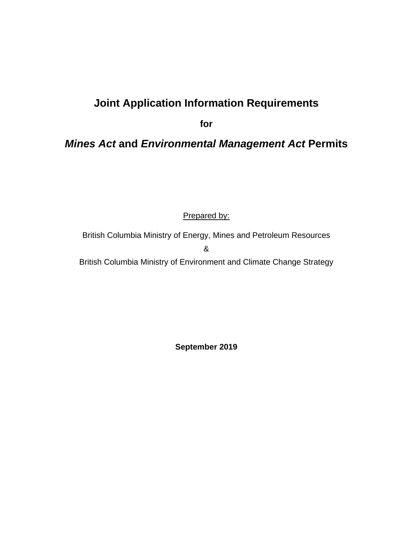# **Joint Application Information Requirements**

**for**

# *Mines Act* **and** *Environmental Management Act* **Permits**

Prepared by:

British Columbia Ministry of Energy, Mines and Petroleum Resources

&

British Columbia Ministry of Environment and Climate Change Strategy

**September 2019**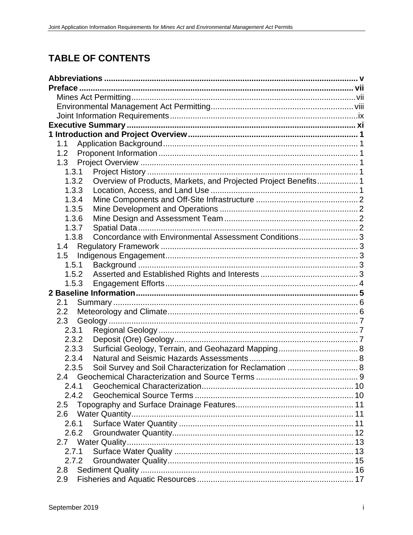# **TABLE OF CONTENTS**

| 1.1   |                                                                 |  |
|-------|-----------------------------------------------------------------|--|
| 1.2   |                                                                 |  |
|       |                                                                 |  |
| 1.3.1 |                                                                 |  |
| 1.3.2 | Overview of Products, Markets, and Projected Project Benefits 1 |  |
| 1.3.3 |                                                                 |  |
| 1.3.4 |                                                                 |  |
| 1.3.5 |                                                                 |  |
| 1.3.6 |                                                                 |  |
| 1.3.7 |                                                                 |  |
| 1.3.8 | Concordance with Environmental Assessment Conditions 3          |  |
|       |                                                                 |  |
|       |                                                                 |  |
| 1.5.1 |                                                                 |  |
|       |                                                                 |  |
| 1.5.3 |                                                                 |  |
|       |                                                                 |  |
| 2.1   |                                                                 |  |
| 2.2   |                                                                 |  |
| 2.3   |                                                                 |  |
| 2.3.1 |                                                                 |  |
| 2.3.2 |                                                                 |  |
| 2.3.3 |                                                                 |  |
| 2.3.4 |                                                                 |  |
| 2.3.5 |                                                                 |  |
|       |                                                                 |  |
| 2.4.1 |                                                                 |  |
| 2.4.2 |                                                                 |  |
| 2.5   |                                                                 |  |
| 2.6   |                                                                 |  |
| 2.6.1 |                                                                 |  |
| 2.6.2 |                                                                 |  |
| 2.7   |                                                                 |  |
| 2.7.1 |                                                                 |  |
| 2.7.2 |                                                                 |  |
| 2.8   |                                                                 |  |
| 2.9   |                                                                 |  |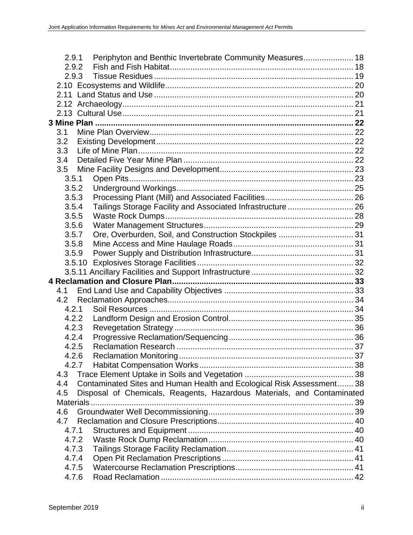| 2.9.2<br>2.9.3<br>3.1<br>3.2<br>3.3<br>3.4<br>3.5<br>3.5.1<br>3.5.2<br>3.5.3<br>Tailings Storage Facility and Associated Infrastructure  26<br>3.5.4<br>3.5.5<br>3.5.6<br>Ore, Overburden, Soil, and Construction Stockpiles  31<br>3.5.7<br>3.5.8<br>3.5.9<br>4.1<br>4.2<br>4.2.1<br>4.2.2<br>4.2.3<br>4.2.4<br>4.2.5<br>4.2.6<br>4.2.7<br>4.3<br>Contaminated Sites and Human Health and Ecological Risk Assessment 38<br>4.4<br>Disposal of Chemicals, Reagents, Hazardous Materials, and Contaminated<br>4.5<br>Materials<br>4.6<br>4.7 |
|---------------------------------------------------------------------------------------------------------------------------------------------------------------------------------------------------------------------------------------------------------------------------------------------------------------------------------------------------------------------------------------------------------------------------------------------------------------------------------------------------------------------------------------------|
|                                                                                                                                                                                                                                                                                                                                                                                                                                                                                                                                             |
|                                                                                                                                                                                                                                                                                                                                                                                                                                                                                                                                             |
|                                                                                                                                                                                                                                                                                                                                                                                                                                                                                                                                             |
|                                                                                                                                                                                                                                                                                                                                                                                                                                                                                                                                             |
|                                                                                                                                                                                                                                                                                                                                                                                                                                                                                                                                             |
|                                                                                                                                                                                                                                                                                                                                                                                                                                                                                                                                             |
|                                                                                                                                                                                                                                                                                                                                                                                                                                                                                                                                             |
|                                                                                                                                                                                                                                                                                                                                                                                                                                                                                                                                             |
|                                                                                                                                                                                                                                                                                                                                                                                                                                                                                                                                             |
|                                                                                                                                                                                                                                                                                                                                                                                                                                                                                                                                             |
|                                                                                                                                                                                                                                                                                                                                                                                                                                                                                                                                             |
|                                                                                                                                                                                                                                                                                                                                                                                                                                                                                                                                             |
|                                                                                                                                                                                                                                                                                                                                                                                                                                                                                                                                             |
|                                                                                                                                                                                                                                                                                                                                                                                                                                                                                                                                             |
|                                                                                                                                                                                                                                                                                                                                                                                                                                                                                                                                             |
|                                                                                                                                                                                                                                                                                                                                                                                                                                                                                                                                             |
|                                                                                                                                                                                                                                                                                                                                                                                                                                                                                                                                             |
|                                                                                                                                                                                                                                                                                                                                                                                                                                                                                                                                             |
|                                                                                                                                                                                                                                                                                                                                                                                                                                                                                                                                             |
|                                                                                                                                                                                                                                                                                                                                                                                                                                                                                                                                             |
|                                                                                                                                                                                                                                                                                                                                                                                                                                                                                                                                             |
|                                                                                                                                                                                                                                                                                                                                                                                                                                                                                                                                             |
|                                                                                                                                                                                                                                                                                                                                                                                                                                                                                                                                             |
|                                                                                                                                                                                                                                                                                                                                                                                                                                                                                                                                             |
|                                                                                                                                                                                                                                                                                                                                                                                                                                                                                                                                             |
|                                                                                                                                                                                                                                                                                                                                                                                                                                                                                                                                             |
|                                                                                                                                                                                                                                                                                                                                                                                                                                                                                                                                             |
|                                                                                                                                                                                                                                                                                                                                                                                                                                                                                                                                             |
|                                                                                                                                                                                                                                                                                                                                                                                                                                                                                                                                             |
|                                                                                                                                                                                                                                                                                                                                                                                                                                                                                                                                             |
|                                                                                                                                                                                                                                                                                                                                                                                                                                                                                                                                             |
|                                                                                                                                                                                                                                                                                                                                                                                                                                                                                                                                             |
|                                                                                                                                                                                                                                                                                                                                                                                                                                                                                                                                             |
|                                                                                                                                                                                                                                                                                                                                                                                                                                                                                                                                             |
|                                                                                                                                                                                                                                                                                                                                                                                                                                                                                                                                             |
|                                                                                                                                                                                                                                                                                                                                                                                                                                                                                                                                             |
|                                                                                                                                                                                                                                                                                                                                                                                                                                                                                                                                             |
|                                                                                                                                                                                                                                                                                                                                                                                                                                                                                                                                             |
|                                                                                                                                                                                                                                                                                                                                                                                                                                                                                                                                             |
| 4.7.1                                                                                                                                                                                                                                                                                                                                                                                                                                                                                                                                       |
| 4.7.2                                                                                                                                                                                                                                                                                                                                                                                                                                                                                                                                       |
| 4.7.3                                                                                                                                                                                                                                                                                                                                                                                                                                                                                                                                       |
| 4.7.4                                                                                                                                                                                                                                                                                                                                                                                                                                                                                                                                       |
|                                                                                                                                                                                                                                                                                                                                                                                                                                                                                                                                             |
| 4.7.5                                                                                                                                                                                                                                                                                                                                                                                                                                                                                                                                       |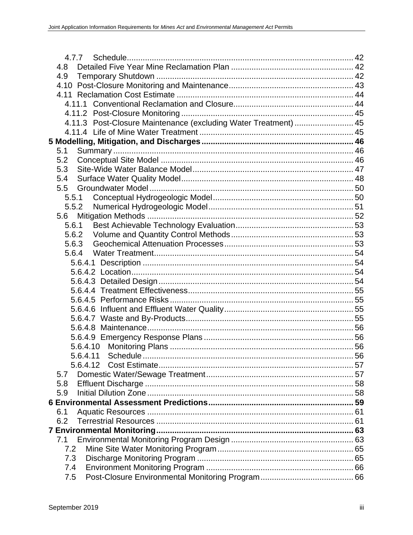| 4.8                                                             |  |
|-----------------------------------------------------------------|--|
| 4.9                                                             |  |
|                                                                 |  |
|                                                                 |  |
|                                                                 |  |
|                                                                 |  |
| 4.11.3 Post-Closure Maintenance (excluding Water Treatment)  45 |  |
|                                                                 |  |
|                                                                 |  |
| 5.1                                                             |  |
| 5.2                                                             |  |
| 5.3                                                             |  |
| 5.4                                                             |  |
| 5.5                                                             |  |
|                                                                 |  |
| 5.5.2                                                           |  |
| 5.6                                                             |  |
| 5.6.1                                                           |  |
| 5.6.2                                                           |  |
| 5.6.3                                                           |  |
| 5.6.4                                                           |  |
|                                                                 |  |
|                                                                 |  |
|                                                                 |  |
|                                                                 |  |
|                                                                 |  |
|                                                                 |  |
|                                                                 |  |
|                                                                 |  |
|                                                                 |  |
|                                                                 |  |
|                                                                 |  |
| 5.6.4.12                                                        |  |
| 5.7                                                             |  |
| 5.8                                                             |  |
| 5.9                                                             |  |
|                                                                 |  |
| 6.1                                                             |  |
| 6.2                                                             |  |
|                                                                 |  |
| 7.1                                                             |  |
| 7.2                                                             |  |
| 7.3                                                             |  |
| 7.4                                                             |  |
| 7.5                                                             |  |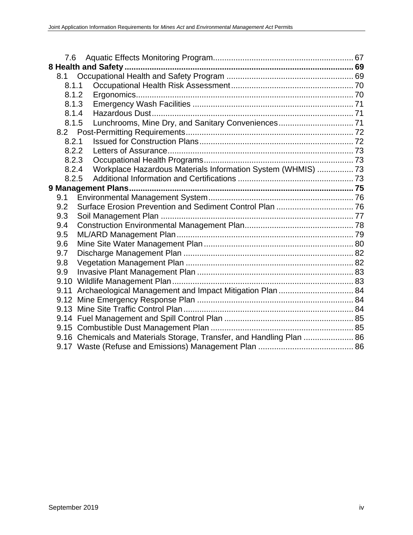| 7.6   |                                                                       |  |
|-------|-----------------------------------------------------------------------|--|
|       |                                                                       |  |
| 8.1   |                                                                       |  |
| 8.1.1 |                                                                       |  |
| 8.1.2 |                                                                       |  |
| 8.1.3 |                                                                       |  |
| 8.1.4 |                                                                       |  |
| 8.1.5 | Lunchrooms, Mine Dry, and Sanitary Conveniences 71                    |  |
|       |                                                                       |  |
| 8.2.1 |                                                                       |  |
| 8.2.2 |                                                                       |  |
| 8.2.3 |                                                                       |  |
| 8.2.4 | Workplace Hazardous Materials Information System (WHMIS)  73          |  |
| 8.2.5 |                                                                       |  |
|       |                                                                       |  |
| 9.1   |                                                                       |  |
| 9.2   |                                                                       |  |
| 9.3   |                                                                       |  |
| 9.4   |                                                                       |  |
| 9.5   |                                                                       |  |
| 9.6   |                                                                       |  |
| 9.7   |                                                                       |  |
| 9.8   |                                                                       |  |
| 9.9   |                                                                       |  |
|       |                                                                       |  |
| 9.11  | Archaeological Management and Impact Mitigation Plan  84              |  |
|       |                                                                       |  |
|       |                                                                       |  |
|       |                                                                       |  |
|       |                                                                       |  |
|       | 9.16 Chemicals and Materials Storage, Transfer, and Handling Plan  86 |  |
|       |                                                                       |  |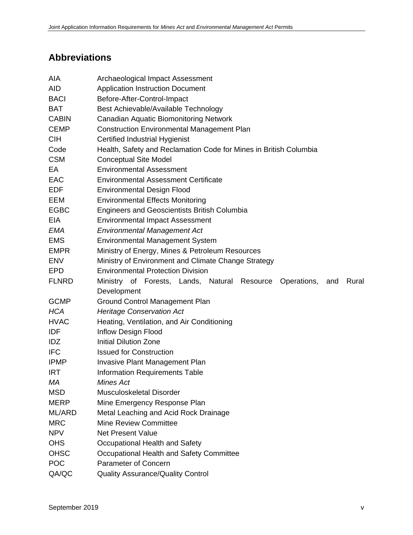# **Abbreviations**

| AIA          | Archaeological Impact Assessment                                            |
|--------------|-----------------------------------------------------------------------------|
| <b>AID</b>   | <b>Application Instruction Document</b>                                     |
| <b>BACI</b>  | Before-After-Control-Impact                                                 |
| <b>BAT</b>   | Best Achievable/Available Technology                                        |
| <b>CABIN</b> | <b>Canadian Aquatic Biomonitoring Network</b>                               |
| <b>CEMP</b>  | <b>Construction Environmental Management Plan</b>                           |
| <b>CIH</b>   | <b>Certified Industrial Hygienist</b>                                       |
| Code         | Health, Safety and Reclamation Code for Mines in British Columbia           |
| <b>CSM</b>   | <b>Conceptual Site Model</b>                                                |
| EA           | <b>Environmental Assessment</b>                                             |
| <b>EAC</b>   | <b>Environmental Assessment Certificate</b>                                 |
| <b>EDF</b>   | <b>Environmental Design Flood</b>                                           |
| EEM          | <b>Environmental Effects Monitoring</b>                                     |
| <b>EGBC</b>  | <b>Engineers and Geoscientists British Columbia</b>                         |
| EIA          | <b>Environmental Impact Assessment</b>                                      |
| EMA          | <b>Environmental Management Act</b>                                         |
| <b>EMS</b>   | <b>Environmental Management System</b>                                      |
| <b>EMPR</b>  | Ministry of Energy, Mines & Petroleum Resources                             |
| <b>ENV</b>   | Ministry of Environment and Climate Change Strategy                         |
| <b>EPD</b>   | <b>Environmental Protection Division</b>                                    |
| <b>FLNRD</b> | Ministry of Forests, Lands, Natural Resource<br>Operations,<br>Rural<br>and |
|              | Development                                                                 |
| <b>GCMP</b>  | <b>Ground Control Management Plan</b>                                       |
| <b>HCA</b>   | <b>Heritage Conservation Act</b>                                            |
| <b>HVAC</b>  | Heating, Ventilation, and Air Conditioning                                  |
| <b>IDF</b>   | <b>Inflow Design Flood</b>                                                  |
| <b>IDZ</b>   | <b>Initial Dilution Zone</b>                                                |
| <b>IFC</b>   | <b>Issued for Construction</b>                                              |
| <b>IPMP</b>  | <b>Invasive Plant Management Plan</b>                                       |
| <b>IRT</b>   | <b>Information Requirements Table</b>                                       |
| МA           | Mines Act                                                                   |
| <b>MSD</b>   | Musculoskeletal Disorder                                                    |
| <b>MERP</b>  | Mine Emergency Response Plan                                                |
| ML/ARD       | Metal Leaching and Acid Rock Drainage                                       |
| <b>MRC</b>   | Mine Review Committee                                                       |
| <b>NPV</b>   | <b>Net Present Value</b>                                                    |
| <b>OHS</b>   | Occupational Health and Safety                                              |
| <b>OHSC</b>  | Occupational Health and Safety Committee                                    |
| <b>POC</b>   | <b>Parameter of Concern</b>                                                 |
| QA/QC        | <b>Quality Assurance/Quality Control</b>                                    |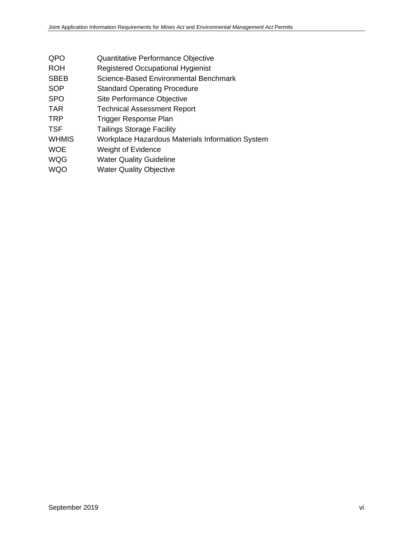- QPO Quantitative Performance Objective
- ROH Registered Occupational Hygienist
- SBEB Science-Based Environmental Benchmark
- SOP Standard Operating Procedure
- SPO Site Performance Objective
- TAR Technical Assessment Report
- TRP Trigger Response Plan
- TSF Tailings Storage Facility
- WHMIS Workplace Hazardous Materials Information System
- WOE Weight of Evidence
- WQG Water Quality Guideline
- WQO Water Quality Objective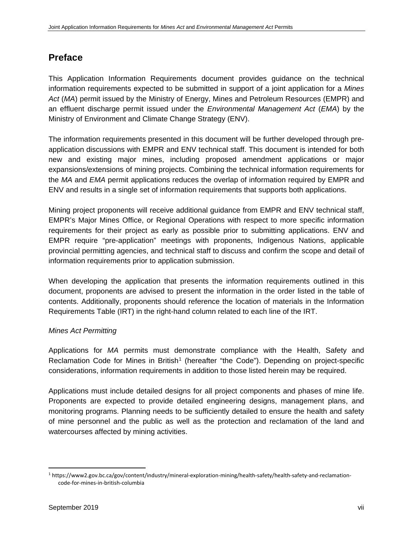# **Preface**

This Application Information Requirements document provides guidance on the technical information requirements expected to be submitted in support of a joint application for a *Mines Act* (*MA*) permit issued by the Ministry of Energy, Mines and Petroleum Resources (EMPR) and an effluent discharge permit issued under the *Environmental Management Act* (*EMA*) by the Ministry of Environment and Climate Change Strategy (ENV).

The information requirements presented in this document will be further developed through preapplication discussions with EMPR and ENV technical staff. This document is intended for both new and existing major mines, including proposed amendment applications or major expansions/extensions of mining projects. Combining the technical information requirements for the *MA* and *EMA* permit applications reduces the overlap of information required by EMPR and ENV and results in a single set of information requirements that supports both applications.

Mining project proponents will receive additional guidance from EMPR and ENV technical staff, EMPR's Major Mines Office, or Regional Operations with respect to more specific information requirements for their project as early as possible prior to submitting applications. ENV and EMPR require "pre-application" meetings with proponents, Indigenous Nations, applicable provincial permitting agencies, and technical staff to discuss and confirm the scope and detail of information requirements prior to application submission.

When developing the application that presents the information requirements outlined in this document, proponents are advised to present the information in the order listed in the table of contents. Additionally, proponents should reference the location of materials in the Information Requirements Table (IRT) in the right-hand column related to each line of the IRT.

# *Mines Act Permitting*

Applications for *MA* permits must demonstrate compliance with the Health, Safety and Reclamation Code for Mines in British<sup>[1](#page-7-0)</sup> (hereafter "the Code"). Depending on project-specific considerations, information requirements in addition to those listed herein may be required.

Applications must include detailed designs for all project components and phases of mine life. Proponents are expected to provide detailed engineering designs, management plans, and monitoring programs. Planning needs to be sufficiently detailed to ensure the health and safety of mine personnel and the public as well as the protection and reclamation of the land and watercourses affected by mining activities.

<span id="page-7-0"></span> <sup>1</sup> https://www2.gov.bc.ca/gov/content/industry/mineral-exploration-mining/health-safety/health-safety-and-reclamationcode-for-mines-in-british-columbia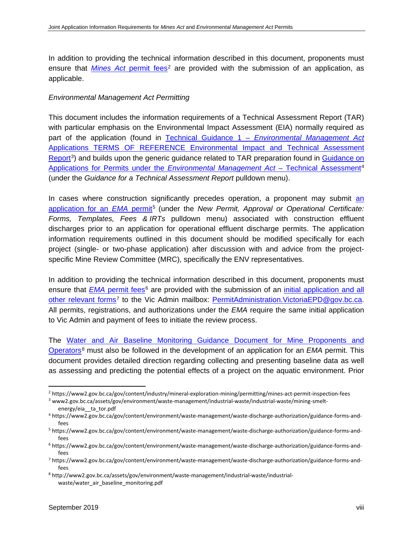In addition to providing the technical information described in this document, proponents must ensure that *Mines Act* [permit fees](http://www2.gov.bc.ca/gov/content/industry/mineral-exploration-mining/permitting/mines-act-permit-inspection-fees)<sup>[2](#page-8-0)</sup> are provided with the submission of an application, as applicable.

#### *Environmental Management Act Permitting*

This document includes the information requirements of a Technical Assessment Report (TAR) with particular emphasis on the Environmental Impact Assessment (EIA) normally required as part of the application (found in Technical Guidance 1 – *[Environmental Management Act](http://www2.gov.bc.ca/assets/gov/environment/waste-management/industrial-waste/industrial-waste/mining-smelt-energy/eia__ta_tor.pdf)* [Applications TERMS OF REFERENCE Environmental Impact and Technical Assessment](http://www2.gov.bc.ca/assets/gov/environment/waste-management/industrial-waste/industrial-waste/mining-smelt-energy/eia__ta_tor.pdf)  [Report](http://www2.gov.bc.ca/assets/gov/environment/waste-management/industrial-waste/industrial-waste/mining-smelt-energy/eia__ta_tor.pdf)<sup>[3](#page-8-1)</sup>) and builds upon the generic guidance related to TAR preparation found in Guidance on [Applications for Permits under the](https://www2.gov.bc.ca/gov/content/environment/waste-management/waste-discharge-authorization/guidance-forms-and-fees) *Environmental Management Act* – Technical Assessment[4](#page-8-2) (under the *Guidance for a Technical Assessment Report* pulldown menu).

In cases where construction significantly precedes operation, a proponent may submit an [application for an](https://www2.gov.bc.ca/gov/content/environment/waste-management/waste-discharge-authorization/guidance-forms-and-fees) *EMA* permit<sup>[5](#page-8-3)</sup> (under the *New Permit, Approval or Operational Certificate: Forms, Templates, Fees & IRTs* pulldown menu) associated with construction effluent discharges prior to an application for operational effluent discharge permits. The application information requirements outlined in this document should be modified specifically for each project (single- or two-phase application) after discussion with and advice from the projectspecific Mine Review Committee (MRC), specifically the ENV representatives.

In addition to providing the technical information described in this document, proponents must ensure that *EMA* [permit fees](https://www2.gov.bc.ca/gov/content/environment/waste-management/waste-discharge-authorization/guidance-forms-and-fees)<sup>[6](#page-8-4)</sup> are provided with the submission of an initial application and all [other relevant forms](https://www2.gov.bc.ca/gov/content/environment/waste-management/waste-discharge-authorization/guidance-forms-and-fees)<sup>[7](#page-8-5)</sup> to the Vic Admin mailbox: PermitAdministration. VictoriaEPD@gov.bc.ca. All permits, registrations, and authorizations under the *EMA* require the same initial application to Vic Admin and payment of fees to initiate the review process.

The [Water and Air Baseline Monitoring Guidance Document for Mine Proponents and](http://www2.gov.bc.ca/assets/gov/environment/waste-management/industrial-waste/industrial-waste/water_air_baseline_monitoring.pdf)  [Operators](http://www2.gov.bc.ca/assets/gov/environment/waste-management/industrial-waste/industrial-waste/water_air_baseline_monitoring.pdf)[8](#page-8-6) must also be followed in the development of an application for an *EMA* permit. This document provides detailed direction regarding collecting and presenting baseline data as well as assessing and predicting the potential effects of a project on the aquatic environment. Prior

<span id="page-8-0"></span> <sup>2</sup> https://www2.gov.bc.ca/gov/content/industry/mineral-exploration-mining/permitting/mines-act-permit-inspection-fees

<span id="page-8-1"></span><sup>3</sup> www2.gov.bc.ca/assets/gov/environment/waste-management/industrial-waste/industrial-waste/mining-smeltenergy/eia\_\_ta\_tor.pdf

<span id="page-8-2"></span><sup>4</sup> https://www2.gov.bc.ca/gov/content/environment/waste-management/waste-discharge-authorization/guidance-forms-andfees

<span id="page-8-3"></span><sup>5</sup> https://www2.gov.bc.ca/gov/content/environment/waste-management/waste-discharge-authorization/guidance-forms-andfees

<span id="page-8-4"></span><sup>6</sup> https://www2.gov.bc.ca/gov/content/environment/waste-management/waste-discharge-authorization/guidance-forms-andfees

<span id="page-8-5"></span><sup>7</sup> https://www2.gov.bc.ca/gov/content/environment/waste-management/waste-discharge-authorization/guidance-forms-andfees

<span id="page-8-6"></span><sup>8</sup> http://www2.gov.bc.ca/assets/gov/environment/waste-management/industrial-waste/industrialwaste/water\_air\_baseline\_monitoring.pdf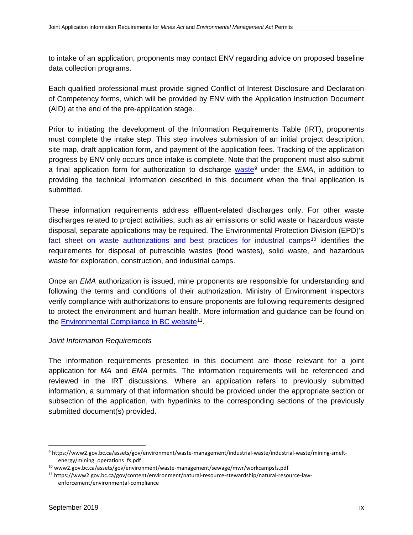to intake of an application, proponents may contact ENV regarding advice on proposed baseline data collection programs.

Each qualified professional must provide signed Conflict of Interest Disclosure and Declaration of Competency forms, which will be provided by ENV with the Application Instruction Document (AID) at the end of the pre-application stage.

Prior to initiating the development of the Information Requirements Table (IRT), proponents must complete the intake step. This step involves submission of an initial project description, site map, draft application form, and payment of the application fees. Tracking of the application progress by ENV only occurs once intake is complete. Note that the proponent must also submit a final application form for authorization to discharge [waste](https://www2.gov.bc.ca/assets/gov/environment/waste-management/industrial-waste/industrial-waste/mining-smelt-energy/mining_operations_fs.pdf)<sup>[9](#page-9-0)</sup> under the *EMA*, in addition to providing the technical information described in this document when the final application is submitted.

These information requirements address effluent-related discharges only. For other waste discharges related to project activities, such as air emissions or solid waste or hazardous waste disposal, separate applications may be required. The Environmental Protection Division (EPD)'s fact sheet on waste authorizations [and best practices for industrial camps](http://www2.gov.bc.ca/assets/gov/environment/waste-management/sewage/mwr/workcampsfs.pdf)<sup>[10](#page-9-1)</sup> identifies the requirements for disposal of putrescible wastes (food wastes), solid waste, and hazardous waste for exploration, construction, and industrial camps.

Once an *EMA* authorization is issued, mine proponents are responsible for understanding and following the terms and conditions of their authorization. Ministry of Environment inspectors verify compliance with authorizations to ensure proponents are following requirements designed to protect the environment and human health. More information and guidance can be found on the [Environmental Compliance in BC website](https://www2.gov.bc.ca/gov/content/environment/natural-resource-stewardship/natural-resource-law-enforcement/environmental-compliance)<sup>[11](#page-9-2)</sup>.

# *Joint Information Requirements*

The information requirements presented in this document are those relevant for a joint application for *MA* and *EMA* permits. The information requirements will be referenced and reviewed in the IRT discussions. Where an application refers to previously submitted information, a summary of that information should be provided under the appropriate section or subsection of the application, with hyperlinks to the corresponding sections of the previously submitted document(s) provided.

<span id="page-9-0"></span> <sup>9</sup> https://www2.gov.bc.ca/assets/gov/environment/waste-management/industrial-waste/industrial-waste/mining-smeltenergy/mining\_operations\_fs.pdf

<span id="page-9-1"></span><sup>10</sup> www2.gov.bc.ca/assets/gov/environment/waste-management/sewage/mwr/workcampsfs.pdf

<span id="page-9-2"></span><sup>11</sup> https://www2.gov.bc.ca/gov/content/environment/natural-resource-stewardship/natural-resource-lawenforcement/environmental-compliance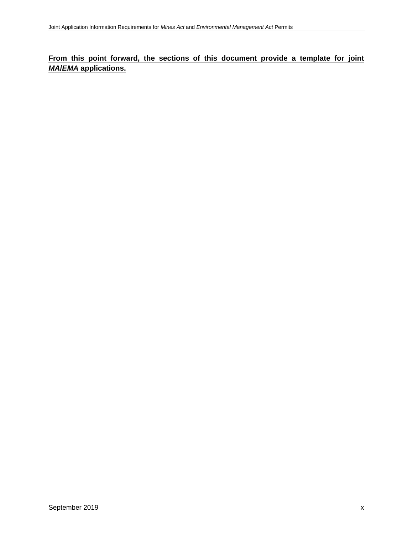# **From this point forward, the sections of this document provide a template for joint**  *MA***/***EMA* **applications.**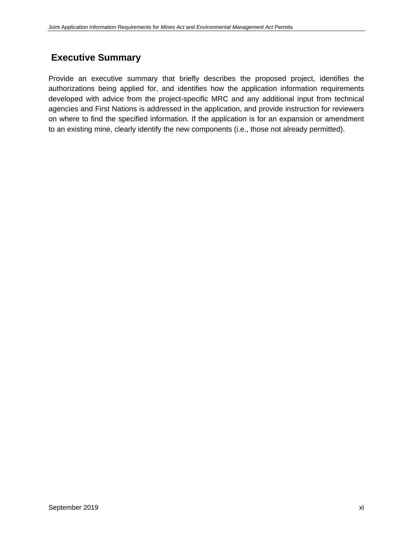# **Executive Summary**

Provide an executive summary that briefly describes the proposed project, identifies the authorizations being applied for, and identifies how the application information requirements developed with advice from the project-specific MRC and any additional input from technical agencies and First Nations is addressed in the application, and provide instruction for reviewers on where to find the specified information. If the application is for an expansion or amendment to an existing mine, clearly identify the new components (i.e., those not already permitted).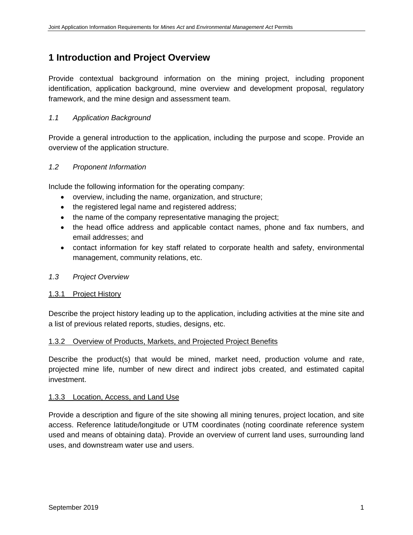# **1 Introduction and Project Overview**

Provide contextual background information on the mining project, including proponent identification, application background, mine overview and development proposal, regulatory framework, and the mine design and assessment team.

# *1.1 Application Background*

Provide a general introduction to the application, including the purpose and scope. Provide an overview of the application structure.

# *1.2 Proponent Information*

Include the following information for the operating company:

- overview, including the name, organization, and structure;
- the registered legal name and registered address;
- the name of the company representative managing the project;
- the head office address and applicable contact names, phone and fax numbers, and email addresses; and
- contact information for key staff related to corporate health and safety, environmental management, community relations, etc.

# *1.3 Project Overview*

#### 1.3.1 Project History

Describe the project history leading up to the application, including activities at the mine site and a list of previous related reports, studies, designs, etc.

#### 1.3.2 Overview of Products, Markets, and Projected Project Benefits

Describe the product(s) that would be mined, market need, production volume and rate, projected mine life, number of new direct and indirect jobs created, and estimated capital investment.

#### 1.3.3 Location, Access, and Land Use

Provide a description and figure of the site showing all mining tenures, project location, and site access. Reference latitude/longitude or UTM coordinates (noting coordinate reference system used and means of obtaining data). Provide an overview of current land uses, surrounding land uses, and downstream water use and users.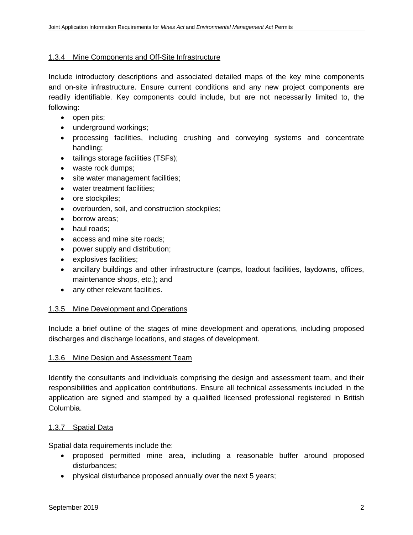#### 1.3.4 Mine Components and Off-Site Infrastructure

Include introductory descriptions and associated detailed maps of the key mine components and on-site infrastructure. Ensure current conditions and any new project components are readily identifiable. Key components could include, but are not necessarily limited to, the following:

- open pits;
- underground workings;
- processing facilities, including crushing and conveying systems and concentrate handling;
- tailings storage facilities (TSFs);
- waste rock dumps;
- site water management facilities;
- water treatment facilities;
- ore stockpiles;
- overburden, soil, and construction stockpiles;
- borrow areas;
- haul roads:
- access and mine site roads;
- power supply and distribution;
- explosives facilities;
- ancillary buildings and other infrastructure (camps, loadout facilities, laydowns, offices, maintenance shops, etc.); and
- any other relevant facilities.

#### 1.3.5 Mine Development and Operations

Include a brief outline of the stages of mine development and operations, including proposed discharges and discharge locations, and stages of development.

#### 1.3.6 Mine Design and Assessment Team

Identify the consultants and individuals comprising the design and assessment team, and their responsibilities and application contributions. Ensure all technical assessments included in the application are signed and stamped by a qualified licensed professional registered in British Columbia.

#### 1.3.7 Spatial Data

Spatial data requirements include the:

- proposed permitted mine area, including a reasonable buffer around proposed disturbances;
- physical disturbance proposed annually over the next 5 years;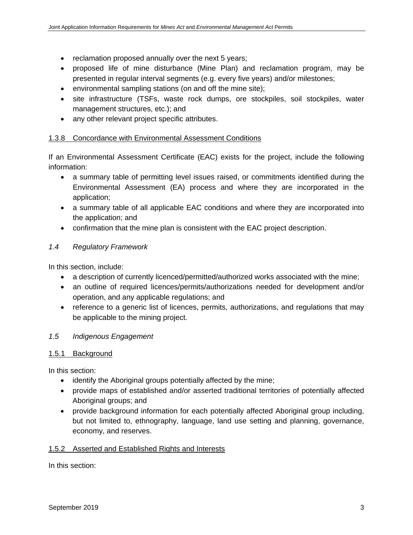- reclamation proposed annually over the next 5 years;
- proposed life of mine disturbance (Mine Plan) and reclamation program, may be presented in regular interval segments (e.g. every five years) and/or milestones;
- environmental sampling stations (on and off the mine site);
- site infrastructure (TSFs, waste rock dumps, ore stockpiles, soil stockpiles, water management structures, etc.); and
- any other relevant project specific attributes.

#### 1.3.8 Concordance with Environmental Assessment Conditions

If an Environmental Assessment Certificate (EAC) exists for the project, include the following information:

- a summary table of permitting level issues raised, or commitments identified during the Environmental Assessment (EA) process and where they are incorporated in the application;
- a summary table of all applicable EAC conditions and where they are incorporated into the application; and
- confirmation that the mine plan is consistent with the EAC project description.

### *1.4 Regulatory Framework*

In this section, include:

- a description of currently licenced/permitted/authorized works associated with the mine;
- an outline of required licences/permits/authorizations needed for development and/or operation, and any applicable regulations; and
- reference to a generic list of licences, permits, authorizations, and regulations that may be applicable to the mining project.

#### *1.5 Indigenous Engagement*

#### 1.5.1 Background

In this section:

- identify the Aboriginal groups potentially affected by the mine;
- provide maps of established and/or asserted traditional territories of potentially affected Aboriginal groups; and
- provide background information for each potentially affected Aboriginal group including, but not limited to, ethnography, language, land use setting and planning, governance, economy, and reserves.

#### 1.5.2 Asserted and Established Rights and Interests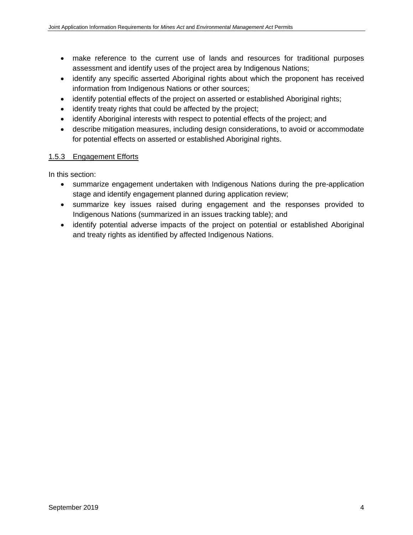- make reference to the current use of lands and resources for traditional purposes assessment and identify uses of the project area by Indigenous Nations;
- identify any specific asserted Aboriginal rights about which the proponent has received information from Indigenous Nations or other sources;
- identify potential effects of the project on asserted or established Aboriginal rights;
- identify treaty rights that could be affected by the project;
- identify Aboriginal interests with respect to potential effects of the project; and
- describe mitigation measures, including design considerations, to avoid or accommodate for potential effects on asserted or established Aboriginal rights.

### 1.5.3 Engagement Efforts

- summarize engagement undertaken with Indigenous Nations during the pre-application stage and identify engagement planned during application review;
- summarize key issues raised during engagement and the responses provided to Indigenous Nations (summarized in an issues tracking table); and
- identify potential adverse impacts of the project on potential or established Aboriginal and treaty rights as identified by affected Indigenous Nations.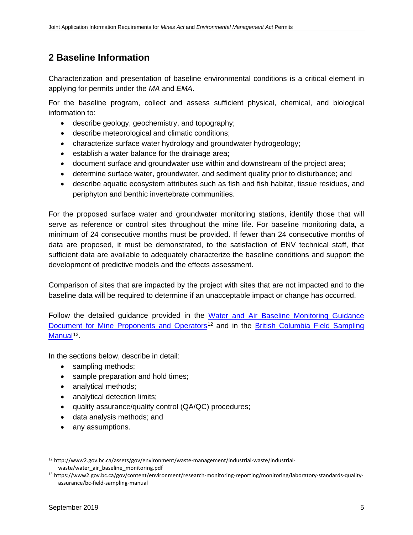# **2 Baseline Information**

Characterization and presentation of baseline environmental conditions is a critical element in applying for permits under the *MA* and *EMA*.

For the baseline program, collect and assess sufficient physical, chemical, and biological information to:

- describe geology, geochemistry, and topography;
- describe meteorological and climatic conditions;
- characterize surface water hydrology and groundwater hydrogeology;
- establish a water balance for the drainage area;
- document surface and groundwater use within and downstream of the project area;
- determine surface water, groundwater, and sediment quality prior to disturbance; and
- describe aquatic ecosystem attributes such as fish and fish habitat, tissue residues, and periphyton and benthic invertebrate communities.

For the proposed surface water and groundwater monitoring stations, identify those that will serve as reference or control sites throughout the mine life. For baseline monitoring data, a minimum of 24 consecutive months must be provided. If fewer than 24 consecutive months of data are proposed, it must be demonstrated, to the satisfaction of ENV technical staff, that sufficient data are available to adequately characterize the baseline conditions and support the development of predictive models and the effects assessment.

Comparison of sites that are impacted by the project with sites that are not impacted and to the baseline data will be required to determine if an unacceptable impact or change has occurred.

Follow the detailed guidance provided in the [Water and Air Baseline Monitoring Guidance](https://www2.gov.bc.ca/assets/gov/environment/waste-management/industrial-waste/industrial-waste/water_air_baseline_monitoring.pdf)  [Document for Mine Proponents and Operators](https://www2.gov.bc.ca/assets/gov/environment/waste-management/industrial-waste/industrial-waste/water_air_baseline_monitoring.pdf)<sup>[12](#page-16-0)</sup> and in the [British Columbia](https://www2.gov.bc.ca/gov/content/environment/research-monitoring-reporting/monitoring/laboratory-standards-quality-assurance/bc-field-sampling-manual) Field Sampling [Manual](https://www2.gov.bc.ca/gov/content/environment/research-monitoring-reporting/monitoring/laboratory-standards-quality-assurance/bc-field-sampling-manual)<sup>[13](#page-16-1)</sup>.

In the sections below, describe in detail:

- sampling methods;
- sample preparation and hold times;
- analytical methods;
- analytical detection limits;
- quality assurance/quality control (QA/QC) procedures;
- data analysis methods; and
- any assumptions.

<span id="page-16-0"></span> <sup>12</sup> http://www2.gov.bc.ca/assets/gov/environment/waste-management/industrial-waste/industrialwaste/water\_air\_baseline\_monitoring.pdf

<span id="page-16-1"></span><sup>13</sup> https://www2.gov.bc.ca/gov/content/environment/research-monitoring-reporting/monitoring/laboratory-standards-qualityassurance/bc-field-sampling-manual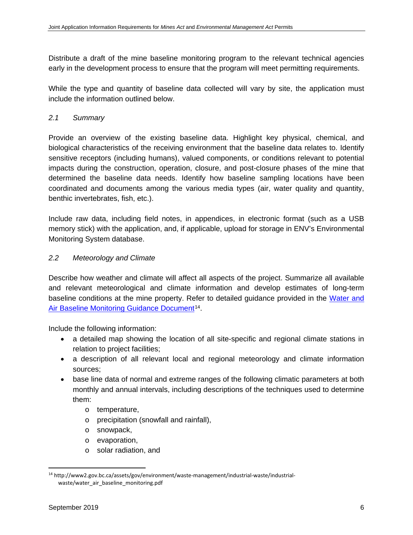Distribute a draft of the mine baseline monitoring program to the relevant technical agencies early in the development process to ensure that the program will meet permitting requirements.

While the type and quantity of baseline data collected will vary by site, the application must include the information outlined below.

# *2.1 Summary*

Provide an overview of the existing baseline data. Highlight key physical, chemical, and biological characteristics of the receiving environment that the baseline data relates to. Identify sensitive receptors (including humans), valued components, or conditions relevant to potential impacts during the construction, operation, closure, and post-closure phases of the mine that determined the baseline data needs. Identify how baseline sampling locations have been coordinated and documents among the various media types (air, water quality and quantity, benthic invertebrates, fish, etc.).

Include raw data, including field notes, in appendices, in electronic format (such as a USB memory stick) with the application, and, if applicable, upload for storage in ENV's Environmental Monitoring System database.

# *2.2 Meteorology and Climate*

Describe how weather and climate will affect all aspects of the project. Summarize all available and relevant meteorological and climate information and develop estimates of long-term baseline conditions at the mine property. Refer to detailed guidance provided in the [Water and](http://www2.gov.bc.ca/assets/gov/environment/waste-management/industrial-waste/industrial-waste/water_air_baseline_monitoring.pdf)  [Air Baseline Monitoring Guidance Document](http://www2.gov.bc.ca/assets/gov/environment/waste-management/industrial-waste/industrial-waste/water_air_baseline_monitoring.pdf)<sup>14</sup>.

Include the following information:

- a detailed map showing the location of all site-specific and regional climate stations in relation to project facilities;
- a description of all relevant local and regional meteorology and climate information sources;
- base line data of normal and extreme ranges of the following climatic parameters at both monthly and annual intervals, including descriptions of the techniques used to determine them:
	- o temperature,
	- o precipitation (snowfall and rainfall),
	- o snowpack,
	- o evaporation,
	- o solar radiation, and

<span id="page-17-0"></span> <sup>14</sup> http://www2.gov.bc.ca/assets/gov/environment/waste-management/industrial-waste/industrialwaste/water\_air\_baseline\_monitoring.pdf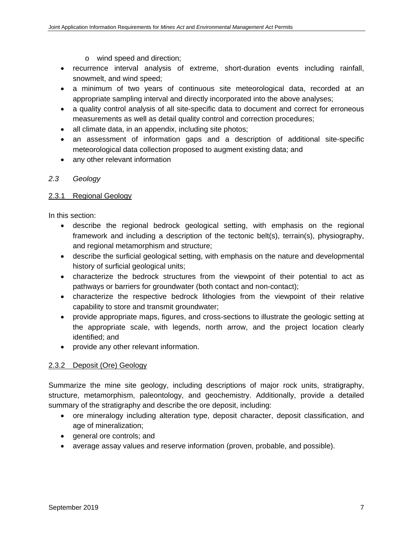- o wind speed and direction;
- recurrence interval analysis of extreme, short-duration events including rainfall, snowmelt, and wind speed;
- a minimum of two years of continuous site meteorological data, recorded at an appropriate sampling interval and directly incorporated into the above analyses;
- a quality control analysis of all site-specific data to document and correct for erroneous measurements as well as detail quality control and correction procedures;
- all climate data, in an appendix, including site photos;
- an assessment of information gaps and a description of additional site-specific meteorological data collection proposed to augment existing data; and
- any other relevant information

#### *2.3 Geology*

#### 2.3.1 Regional Geology

In this section:

- describe the regional bedrock geological setting, with emphasis on the regional framework and including a description of the tectonic belt(s), terrain(s), physiography, and regional metamorphism and structure;
- describe the surficial geological setting, with emphasis on the nature and developmental history of surficial geological units;
- characterize the bedrock structures from the viewpoint of their potential to act as pathways or barriers for groundwater (both contact and non-contact);
- characterize the respective bedrock lithologies from the viewpoint of their relative capability to store and transmit groundwater;
- provide appropriate maps, figures, and cross-sections to illustrate the geologic setting at the appropriate scale, with legends, north arrow, and the project location clearly identified; and
- provide any other relevant information.

# 2.3.2 Deposit (Ore) Geology

Summarize the mine site geology, including descriptions of major rock units, stratigraphy, structure, metamorphism, paleontology, and geochemistry. Additionally, provide a detailed summary of the stratigraphy and describe the ore deposit, including:

- ore mineralogy including alteration type, deposit character, deposit classification, and age of mineralization;
- general ore controls; and
- average assay values and reserve information (proven, probable, and possible).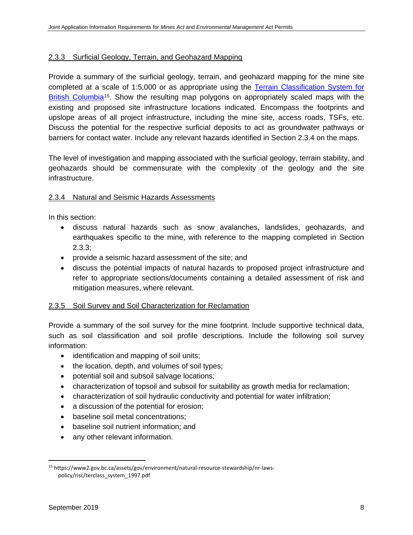#### 2.3.3 Surficial Geology, Terrain, and Geohazard Mapping

Provide a summary of the surficial geology, terrain, and geohazard mapping for the mine site completed at a scale of 1:5,000 or as appropriate using the [Terrain Classification System for](https://www2.gov.bc.ca/assets/gov/environment/natural-resource-stewardship/nr-laws-policy/risc/terclass_system_1997.pdf)  [British Columbia](https://www2.gov.bc.ca/assets/gov/environment/natural-resource-stewardship/nr-laws-policy/risc/terclass_system_1997.pdf)<sup>[15](#page-19-0)</sup>. Show the resulting map polygons on appropriately scaled maps with the existing and proposed site infrastructure locations indicated. Encompass the footprints and upslope areas of all project infrastructure, including the mine site, access roads, TSFs, etc. Discuss the potential for the respective surficial deposits to act as groundwater pathways or barriers for contact water. Include any relevant hazards identified in Section 2.3.4 on the maps.

The level of investigation and mapping associated with the surficial geology, terrain stability, and geohazards should be commensurate with the complexity of the geology and the site infrastructure.

#### 2.3.4 Natural and Seismic Hazards Assessments

In this section:

- discuss natural hazards such as snow avalanches, landslides, geohazards, and earthquakes specific to the mine, with reference to the mapping completed in Section 2.3.3;
- provide a seismic hazard assessment of the site; and
- discuss the potential impacts of natural hazards to proposed project infrastructure and refer to appropriate sections/documents containing a detailed assessment of risk and mitigation measures, where relevant.

#### 2.3.5 Soil Survey and Soil Characterization for Reclamation

Provide a summary of the soil survey for the mine footprint. Include supportive technical data, such as soil classification and soil profile descriptions. Include the following soil survey information:

- identification and mapping of soil units;
- the location, depth, and volumes of soil types;
- potential soil and subsoil salvage locations;
- characterization of topsoil and subsoil for suitability as growth media for reclamation;
- characterization of soil hydraulic conductivity and potential for water infiltration;
- a discussion of the potential for erosion:
- baseline soil metal concentrations;
- baseline soil nutrient information; and
- any other relevant information.

<span id="page-19-0"></span> <sup>15</sup> https://www2.gov.bc.ca/assets/gov/environment/natural-resource-stewardship/nr-lawspolicy/risc/terclass\_system\_1997.pdf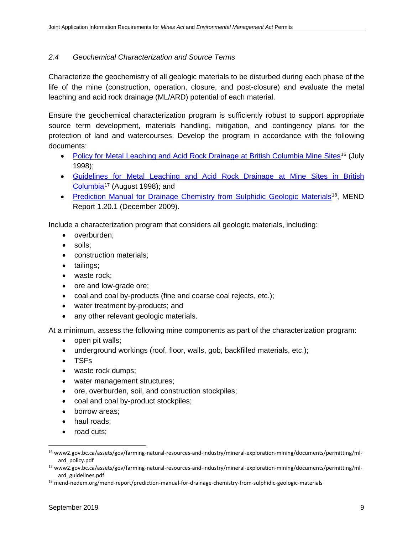### *2.4 Geochemical Characterization and Source Terms*

Characterize the geochemistry of all geologic materials to be disturbed during each phase of the life of the mine (construction, operation, closure, and post-closure) and evaluate the metal leaching and acid rock drainage (ML/ARD) potential of each material.

Ensure the geochemical characterization program is sufficiently robust to support appropriate source term development, materials handling, mitigation, and contingency plans for the protection of land and watercourses. Develop the program in accordance with the following documents:

- [Policy for Metal Leaching and Acid Rock Drainage at British Columbia Mine Sites](http://www2.gov.bc.ca/assets/gov/farming-natural-resources-and-industry/mineral-exploration-mining/documents/permitting/ml-ard_policy.pdf)<sup>[16](#page-20-0)</sup> (July 1998);
- [Guidelines for Metal Leaching and Acid Rock Drainage at Mine Sites in British](http://www2.gov.bc.ca/assets/gov/farming-natural-resources-and-industry/mineral-exploration-mining/documents/permitting/ml-ard_guidelines.pdf)  [Columbia](http://www2.gov.bc.ca/assets/gov/farming-natural-resources-and-industry/mineral-exploration-mining/documents/permitting/ml-ard_guidelines.pdf)[17](#page-20-1) (August 1998); and
- [Prediction Manual for Drainage Chemistry from Sulphidic Geologic Materials](http://mend-nedem.org/mend-report/prediction-manual-for-drainage-chemistry-from-sulphidic-geologic-materials/)<sup>18</sup>, MEND Report 1.20.1 (December 2009).

Include a characterization program that considers all geologic materials, including:

- overburden;
- soils;
- construction materials;
- tailings;
- waste rock;
- ore and low-grade ore;
- coal and coal by-products (fine and coarse coal rejects, etc.);
- water treatment by-products; and
- any other relevant geologic materials.

At a minimum, assess the following mine components as part of the characterization program:

- open pit walls;
- underground workings (roof, floor, walls, gob, backfilled materials, etc.);
- TSFs
- waste rock dumps;
- water management structures;
- ore, overburden, soil, and construction stockpiles;
- coal and coal by-product stockpiles;
- borrow areas;
- haul roads;
- road cuts;

<span id="page-20-0"></span> <sup>16</sup> [www2.gov.bc.ca/assets/gov/farming-natural-resources-and-industry/mineral-exploration-mining/documents/permitting/ml](http://www2.gov.bc.ca/assets/gov/farming-natural-resources-and-industry/mineral-exploration-mining/documents/permitting/ml-ard_policy.pdf)[ard\\_policy.pdf](http://www2.gov.bc.ca/assets/gov/farming-natural-resources-and-industry/mineral-exploration-mining/documents/permitting/ml-ard_policy.pdf)

<span id="page-20-1"></span><sup>17</sup> [www2.gov.bc.ca/assets/gov/farming-natural-resources-and-industry/mineral-exploration-mining/documents/permitting/ml](http://www2.gov.bc.ca/assets/gov/farming-natural-resources-and-industry/mineral-exploration-mining/documents/permitting/ml-ard_guidelines.pdf)[ard\\_guidelines.pdf](http://www2.gov.bc.ca/assets/gov/farming-natural-resources-and-industry/mineral-exploration-mining/documents/permitting/ml-ard_guidelines.pdf)

<span id="page-20-2"></span><sup>&</sup>lt;sup>18</sup> mend-nedem.org/mend-report/prediction-manual-for-drainage-chemistry-from-sulphidic-geologic-materials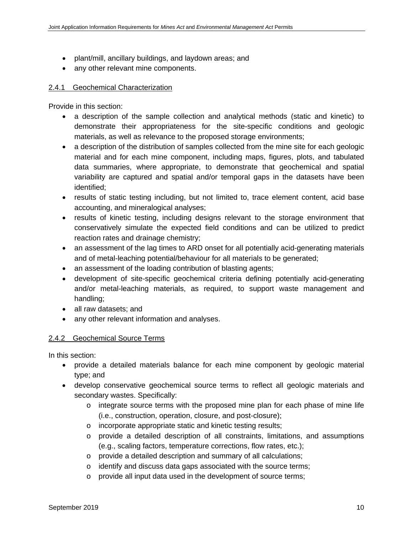- plant/mill, ancillary buildings, and laydown areas; and
- any other relevant mine components.

#### 2.4.1 Geochemical Characterization

Provide in this section:

- a description of the sample collection and analytical methods (static and kinetic) to demonstrate their appropriateness for the site-specific conditions and geologic materials, as well as relevance to the proposed storage environments;
- a description of the distribution of samples collected from the mine site for each geologic material and for each mine component, including maps, figures, plots, and tabulated data summaries, where appropriate, to demonstrate that geochemical and spatial variability are captured and spatial and/or temporal gaps in the datasets have been identified;
- results of static testing including, but not limited to, trace element content, acid base accounting, and mineralogical analyses;
- results of kinetic testing, including designs relevant to the storage environment that conservatively simulate the expected field conditions and can be utilized to predict reaction rates and drainage chemistry;
- an assessment of the lag times to ARD onset for all potentially acid-generating materials and of metal-leaching potential/behaviour for all materials to be generated;
- an assessment of the loading contribution of blasting agents;
- development of site-specific geochemical criteria defining potentially acid-generating and/or metal-leaching materials, as required, to support waste management and handling;
- all raw datasets; and
- any other relevant information and analyses.

# 2.4.2 Geochemical Source Terms

- provide a detailed materials balance for each mine component by geologic material type; and
- develop conservative geochemical source terms to reflect all geologic materials and secondary wastes. Specifically:
	- $\circ$  integrate source terms with the proposed mine plan for each phase of mine life (i.e., construction, operation, closure, and post-closure);
	- o incorporate appropriate static and kinetic testing results;
	- o provide a detailed description of all constraints, limitations, and assumptions (e.g., scaling factors, temperature corrections, flow rates, etc.);
	- o provide a detailed description and summary of all calculations;
	- o identify and discuss data gaps associated with the source terms;
	- o provide all input data used in the development of source terms;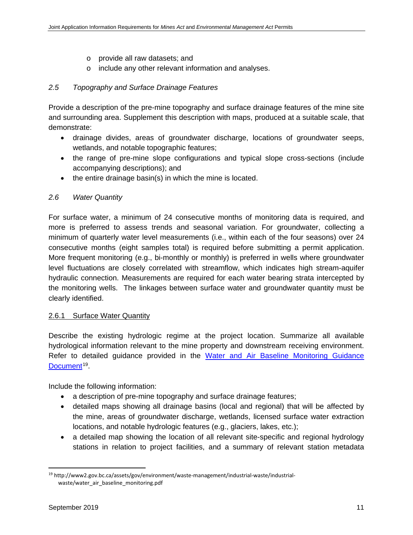- o provide all raw datasets; and
- o include any other relevant information and analyses.

### *2.5 Topography and Surface Drainage Features*

Provide a description of the pre-mine topography and surface drainage features of the mine site and surrounding area. Supplement this description with maps, produced at a suitable scale, that demonstrate:

- drainage divides, areas of groundwater discharge, locations of groundwater seeps, wetlands, and notable topographic features;
- the range of pre-mine slope configurations and typical slope cross-sections (include accompanying descriptions); and
- the entire drainage basin(s) in which the mine is located.

### *2.6 Water Quantity*

For surface water, a minimum of 24 consecutive months of monitoring data is required, and more is preferred to assess trends and seasonal variation. For groundwater, collecting a minimum of quarterly water level measurements (i.e., within each of the four seasons) over 24 consecutive months (eight samples total) is required before submitting a permit application. More frequent monitoring (e.g., bi-monthly or monthly) is preferred in wells where groundwater level fluctuations are closely correlated with streamflow, which indicates high stream-aquifer hydraulic connection. Measurements are required for each water bearing strata intercepted by the monitoring wells. The linkages between surface water and groundwater quantity must be clearly identified.

#### 2.6.1 Surface Water Quantity

Describe the existing hydrologic regime at the project location. Summarize all available hydrological information relevant to the mine property and downstream receiving environment. Refer to detailed guidance provided in the Water and Air Baseline Monitoring Guidance [Document](http://www2.gov.bc.ca/assets/gov/environment/waste-management/industrial-waste/industrial-waste/water_air_baseline_monitoring.pdf)<sup>[19](#page-22-0)</sup>.

Include the following information:

- a description of pre-mine topography and surface drainage features;
- detailed maps showing all drainage basins (local and regional) that will be affected by the mine, areas of groundwater discharge, wetlands, licensed surface water extraction locations, and notable hydrologic features (e.g., glaciers, lakes, etc.);
- a detailed map showing the location of all relevant site-specific and regional hydrology stations in relation to project facilities, and a summary of relevant station metadata

<span id="page-22-0"></span> <sup>19</sup> http://www2.gov.bc.ca/assets/gov/environment/waste-management/industrial-waste/industrialwaste/water\_air\_baseline\_monitoring.pdf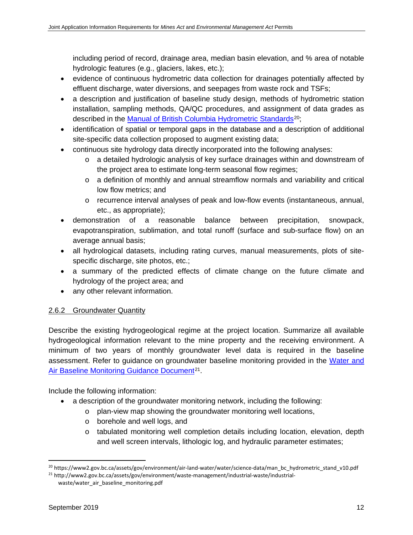including period of record, drainage area, median basin elevation, and % area of notable hydrologic features (e.g., glaciers, lakes, etc.);

- evidence of continuous hydrometric data collection for drainages potentially affected by effluent discharge, water diversions, and seepages from waste rock and TSFs;
- a description and justification of baseline study design, methods of hydrometric station installation, sampling methods, QA/QC procedures, and assignment of data grades as described in the [Manual of British Columbia Hydrometric Standards](https://www2.gov.bc.ca/assets/gov/environment/air-land-water/water/science-data/man_bc_hydrometric_stand_v10.pdf)<sup>[20](#page-23-0)</sup>;
- identification of spatial or temporal gaps in the database and a description of additional site-specific data collection proposed to augment existing data;
- continuous site hydrology data directly incorporated into the following analyses:
	- o a detailed hydrologic analysis of key surface drainages within and downstream of the project area to estimate long-term seasonal flow regimes;
	- $\circ$  a definition of monthly and annual streamflow normals and variability and critical low flow metrics; and
	- o recurrence interval analyses of peak and low-flow events (instantaneous, annual, etc., as appropriate);
- demonstration of a reasonable balance between precipitation, snowpack, evapotranspiration, sublimation, and total runoff (surface and sub-surface flow) on an average annual basis;
- all hydrological datasets, including rating curves, manual measurements, plots of sitespecific discharge, site photos, etc.;
- a summary of the predicted effects of climate change on the future climate and hydrology of the project area; and
- any other relevant information.

# 2.6.2 Groundwater Quantity

Describe the existing hydrogeological regime at the project location. Summarize all available hydrogeological information relevant to the mine property and the receiving environment. A minimum of two years of monthly groundwater level data is required in the baseline assessment. Refer to guidance on groundwater baseline monitoring provided in the [Water and](http://www2.gov.bc.ca/assets/gov/environment/waste-management/industrial-waste/industrial-waste/water_air_baseline_monitoring.pdf)  Air Baseline [Monitoring Guidance Document](http://www2.gov.bc.ca/assets/gov/environment/waste-management/industrial-waste/industrial-waste/water_air_baseline_monitoring.pdf)<sup>21</sup>.

Include the following information:

- a description of the groundwater monitoring network, including the following:
	- o plan-view map showing the groundwater monitoring well locations,
	- o borehole and well logs, and
	- o tabulated monitoring well completion details including location, elevation, depth and well screen intervals, lithologic log, and hydraulic parameter estimates;

<span id="page-23-1"></span><span id="page-23-0"></span> <sup>20</sup> https://www2.gov.bc.ca/assets/gov/environment/air-land-water/water/science-data/man\_bc\_hydrometric\_stand\_v10.pdf <sup>21</sup> http://www2.gov.bc.ca/assets/gov/environment/waste-management/industrial-waste/industrial-

waste/water\_air\_baseline\_monitoring.pdf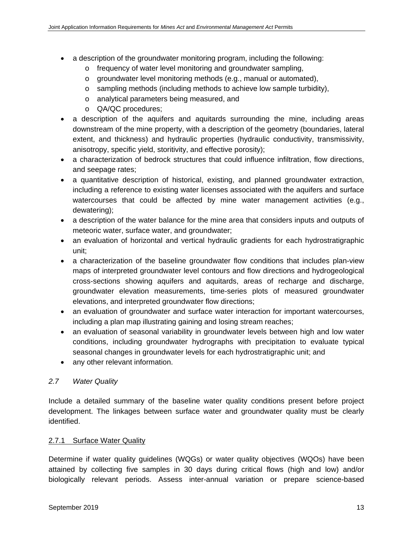- a description of the groundwater monitoring program, including the following:
	- o frequency of water level monitoring and groundwater sampling,
	- o groundwater level monitoring methods (e.g., manual or automated),
	- o sampling methods (including methods to achieve low sample turbidity),
	- o analytical parameters being measured, and
	- o QA/QC procedures;
- a description of the aquifers and aquitards surrounding the mine, including areas downstream of the mine property, with a description of the geometry (boundaries, lateral extent, and thickness) and hydraulic properties (hydraulic conductivity, transmissivity, anisotropy, specific yield, storitivity, and effective porosity);
- a characterization of bedrock structures that could influence infiltration, flow directions, and seepage rates;
- a quantitative description of historical, existing, and planned groundwater extraction, including a reference to existing water licenses associated with the aquifers and surface watercourses that could be affected by mine water management activities (e.g., dewatering);
- a description of the water balance for the mine area that considers inputs and outputs of meteoric water, surface water, and groundwater;
- an evaluation of horizontal and vertical hydraulic gradients for each hydrostratigraphic unit;
- a characterization of the baseline groundwater flow conditions that includes plan-view maps of interpreted groundwater level contours and flow directions and hydrogeological cross-sections showing aquifers and aquitards, areas of recharge and discharge, groundwater elevation measurements, time-series plots of measured groundwater elevations, and interpreted groundwater flow directions;
- an evaluation of groundwater and surface water interaction for important watercourses, including a plan map illustrating gaining and losing stream reaches;
- an evaluation of seasonal variability in groundwater levels between high and low water conditions, including groundwater hydrographs with precipitation to evaluate typical seasonal changes in groundwater levels for each hydrostratigraphic unit; and
- any other relevant information.

# *2.7 Water Quality*

Include a detailed summary of the baseline water quality conditions present before project development. The linkages between surface water and groundwater quality must be clearly identified.

# 2.7.1 Surface Water Quality

Determine if water quality guidelines (WQGs) or water quality objectives (WQOs) have been attained by collecting five samples in 30 days during critical flows (high and low) and/or biologically relevant periods. Assess inter-annual variation or prepare science-based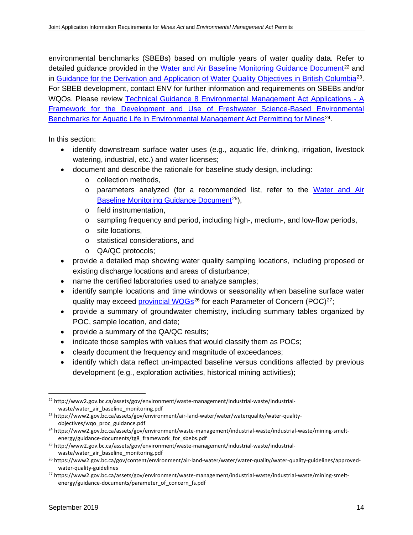environmental benchmarks (SBEBs) based on multiple years of water quality data. Refer to detailed guidance provided in the [Water and Air Baseline Monitoring Guidance Document](http://www2.gov.bc.ca/assets/gov/environment/waste-management/industrial-waste/industrial-waste/water_air_baseline_monitoring.pdf)<sup>[22](#page-25-0)</sup> and in [Guidance for the Derivation and Application of Water Quality Objectives in British Columbia](https://www2.gov.bc.ca/assets/gov/environment/air-land-water/water/waterquality/water-quality-objectives/wqo_proc_guidance.pdf)[23](#page-25-1). For SBEB development, contact ENV for further information and requirements on SBEBs and/or WQOs. Please review [Technical Guidance 8 Environmental Management Act Applications -](https://www2.gov.bc.ca/assets/gov/environment/waste-management/industrial-waste/industrial-waste/mining-smelt-energy/guidance-documents/tg8_framework_for_sbebs.pdf) A [Framework for the Development and Use of Freshwater Science-Based Environmental](https://www2.gov.bc.ca/assets/gov/environment/waste-management/industrial-waste/industrial-waste/mining-smelt-energy/guidance-documents/tg8_framework_for_sbebs.pdf)  [Benchmarks for Aquatic Life in Environmental Management Act Permitting for Mines](https://www2.gov.bc.ca/assets/gov/environment/waste-management/industrial-waste/industrial-waste/mining-smelt-energy/guidance-documents/tg8_framework_for_sbebs.pdf)<sup>24</sup>.

- identify downstream surface water uses (e.g., aquatic life, drinking, irrigation, livestock watering, industrial, etc.) and water licenses;
- document and describe the rationale for baseline study design, including:
	- o collection methods,
	- o parameters analyzed (for a recommended list, refer to the [Water and](http://www2.gov.bc.ca/assets/gov/environment/waste-management/industrial-waste/industrial-waste/water_air_baseline_monitoring.pdf) Air [Baseline Monitoring Guidance Document](http://www2.gov.bc.ca/assets/gov/environment/waste-management/industrial-waste/industrial-waste/water_air_baseline_monitoring.pdf)<sup>[25](#page-25-3)</sup>),
	- o field instrumentation,
	- o sampling frequency and period, including high-, medium-, and low-flow periods,
	- o site locations,
	- o statistical considerations, and
	- o QA/QC protocols;
- provide a detailed map showing water quality sampling locations, including proposed or existing discharge locations and areas of disturbance;
- name the certified laboratories used to analyze samples;
- identify sample locations and time windows or seasonality when baseline surface water quality may exceed [provincial WQGs](https://www2.gov.bc.ca/gov/content/environment/air-land-water/water/water-quality/water-quality-guidelines/approved-water-quality-guidelines)<sup>[26](#page-25-4)</sup> for each Parameter of Concern (POC)<sup>27</sup>;
- provide a summary of groundwater chemistry, including summary tables organized by POC, sample location, and date;
- provide a summary of the QA/QC results;
- indicate those samples with values that would classify them as POCs;
- clearly document the frequency and magnitude of exceedances;
- identify which data reflect un-impacted baseline versus conditions affected by previous development (e.g., exploration activities, historical mining activities);

<span id="page-25-0"></span> <sup>22</sup> http://www2.gov.bc.ca/assets/gov/environment/waste-management/industrial-waste/industrialwaste/water\_air\_baseline\_monitoring.pdf

<span id="page-25-1"></span><sup>23</sup> https://www2.gov.bc.ca/assets/gov/environment/air-land-water/water/waterquality/water-qualityobjectives/wqo\_proc\_guidance.pdf

<span id="page-25-2"></span><sup>24</sup> https://www2.gov.bc.ca/assets/gov/environment/waste-management/industrial-waste/industrial-waste/mining-smeltenergy/guidance-documents/tg8\_framework\_for\_sbebs.pdf

<span id="page-25-3"></span><sup>25</sup> http://www2.gov.bc.ca/assets/gov/environment/waste-management/industrial-waste/industrialwaste/water\_air\_baseline\_monitoring.pdf

<span id="page-25-4"></span><sup>26</sup> https://www2.gov.bc.ca/gov/content/environment/air-land-water/water/water-quality/water-quality-guidelines/approvedwater-quality-guidelines

<span id="page-25-5"></span><sup>27</sup> https://www2.gov.bc.ca/assets/gov/environment/waste-management/industrial-waste/industrial-waste/mining-smeltenergy/guidance-documents/parameter\_of\_concern\_fs.pdf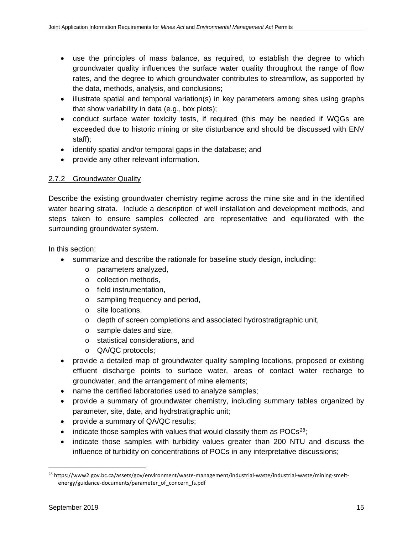- use the principles of mass balance, as required, to establish the degree to which groundwater quality influences the surface water quality throughout the range of flow rates, and the degree to which groundwater contributes to streamflow, as supported by the data, methods, analysis, and conclusions;
- illustrate spatial and temporal variation(s) in key parameters among sites using graphs that show variability in data (e.g., box plots);
- conduct surface water toxicity tests, if required (this may be needed if WQGs are exceeded due to historic mining or site disturbance and should be discussed with ENV staff);
- identify spatial and/or temporal gaps in the database; and
- provide any other relevant information.

# 2.7.2 Groundwater Quality

Describe the existing groundwater chemistry regime across the mine site and in the identified water bearing strata. Include a description of well installation and development methods, and steps taken to ensure samples collected are representative and equilibrated with the surrounding groundwater system.

- summarize and describe the rationale for baseline study design, including:
	- o parameters analyzed,
	- o collection methods,
	- o field instrumentation,
	- o sampling frequency and period,
	- o site locations,
	- o depth of screen completions and associated hydrostratigraphic unit,
	- o sample dates and size,
	- o statistical considerations, and
	- o QA/QC protocols;
- provide a detailed map of groundwater quality sampling locations, proposed or existing effluent discharge points to surface water, areas of contact water recharge to groundwater, and the arrangement of mine elements;
- name the certified laboratories used to analyze samples;
- provide a summary of groundwater chemistry, including summary tables organized by parameter, site, date, and hydrstratigraphic unit;
- provide a summary of QA/QC results;
- indicate those samples with values that would classify them as  $POCs^{28}$ ;
- indicate those samples with turbidity values greater than 200 NTU and discuss the influence of turbidity on concentrations of POCs in any interpretative discussions;

<span id="page-26-0"></span> <sup>28</sup> https://www2.gov.bc.ca/assets/gov/environment/waste-management/industrial-waste/industrial-waste/mining-smeltenergy/guidance-documents/parameter\_of\_concern\_fs.pdf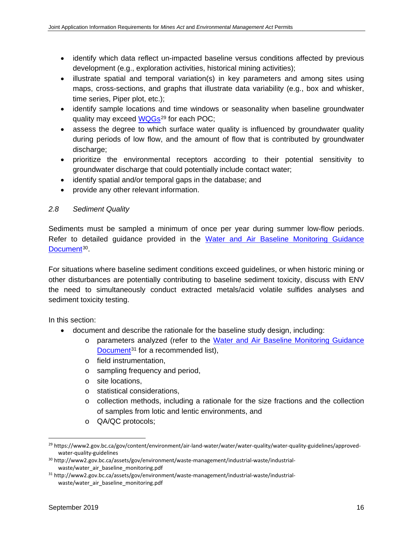- identify which data reflect un-impacted baseline versus conditions affected by previous development (e.g., exploration activities, historical mining activities);
- illustrate spatial and temporal variation(s) in key parameters and among sites using maps, cross-sections, and graphs that illustrate data variability (e.g., box and whisker, time series, Piper plot, etc.);
- identify sample locations and time windows or seasonality when baseline groundwater quality may exceed [WQGs](https://www2.gov.bc.ca/gov/content/environment/air-land-water/water/water-quality/water-quality-guidelines/approved-water-quality-guidelines)<sup>[29](#page-27-0)</sup> for each POC;
- assess the degree to which surface water quality is influenced by groundwater quality during periods of low flow, and the amount of flow that is contributed by groundwater discharge:
- prioritize the environmental receptors according to their potential sensitivity to groundwater discharge that could potentially include contact water;
- identify spatial and/or temporal gaps in the database; and
- provide any other relevant information.

# *2.8 Sediment Quality*

Sediments must be sampled a minimum of once per year during summer low-flow periods. Refer to detailed guidance provided in the [Water and Air Baseline Monitoring Guidance](http://www2.gov.bc.ca/assets/gov/environment/waste-management/industrial-waste/industrial-waste/water_air_baseline_monitoring.pdf)  [Document](http://www2.gov.bc.ca/assets/gov/environment/waste-management/industrial-waste/industrial-waste/water_air_baseline_monitoring.pdf)<sup>[30](#page-27-1)</sup>.

For situations where baseline sediment conditions exceed guidelines, or when historic mining or other disturbances are potentially contributing to baseline sediment toxicity, discuss with ENV the need to simultaneously conduct extracted metals/acid volatile sulfides analyses and sediment toxicity testing.

- document and describe the rationale for the baseline study design, including:
	- o parameters analyzed (refer to the [Water and Air Baseline Monitoring Guidance](http://www2.gov.bc.ca/assets/gov/environment/waste-management/industrial-waste/industrial-waste/water_air_baseline_monitoring.pdf)  [Document](http://www2.gov.bc.ca/assets/gov/environment/waste-management/industrial-waste/industrial-waste/water_air_baseline_monitoring.pdf)<sup>[31](#page-27-2)</sup> for a recommended list),
	- o field instrumentation,
	- o sampling frequency and period,
	- o site locations,
	- o statistical considerations,
	- $\circ$  collection methods, including a rationale for the size fractions and the collection of samples from lotic and lentic environments, and
	- o QA/QC protocols;

<span id="page-27-0"></span> <sup>29</sup> https://www2.gov.bc.ca/gov/content/environment/air-land-water/water/water-quality/water-quality-guidelines/approvedwater-quality-guidelines

<span id="page-27-1"></span><sup>30</sup> http://www2.gov.bc.ca/assets/gov/environment/waste-management/industrial-waste/industrialwaste/water\_air\_baseline\_monitoring.pdf

<span id="page-27-2"></span><sup>31</sup> http://www2.gov.bc.ca/assets/gov/environment/waste-management/industrial-waste/industrialwaste/water\_air\_baseline\_monitoring.pdf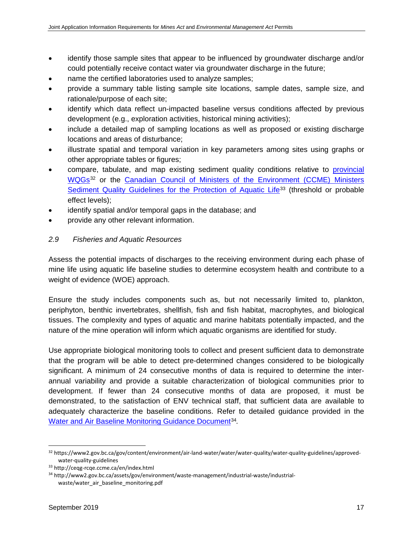- identify those sample sites that appear to be influenced by groundwater discharge and/or could potentially receive contact water via groundwater discharge in the future;
- name the certified laboratories used to analyze samples;
- provide a summary table listing sample site locations, sample dates, sample size, and rationale/purpose of each site;
- identify which data reflect un-impacted baseline versus conditions affected by previous development (e.g., exploration activities, historical mining activities);
- include a detailed map of sampling locations as well as proposed or existing discharge locations and areas of disturbance;
- illustrate spatial and temporal variation in key parameters among sites using graphs or other appropriate tables or figures;
- compare, tabulate, and map existing sediment quality conditions relative to [provincial](https://www2.gov.bc.ca/gov/content/environment/air-land-water/water/water-quality/water-quality-guidelines/approved-water-quality-guidelines)  [WQGs](https://www2.gov.bc.ca/gov/content/environment/air-land-water/water/water-quality/water-quality-guidelines/approved-water-quality-guidelines)[32](#page-28-0) or the [Canadian Council of Ministers of the Environment \(CCME\) Ministers](http://ceqg-rcqe.ccme.ca/en/index.html)  [Sediment Quality Guidelines for the Protection of Aquatic Life](http://ceqg-rcqe.ccme.ca/en/index.html)<sup>[33](#page-28-1)</sup> (threshold or probable effect levels);
- identify spatial and/or temporal gaps in the database; and
- provide any other relevant information.

#### *2.9 Fisheries and Aquatic Resources*

Assess the potential impacts of discharges to the receiving environment during each phase of mine life using aquatic life baseline studies to determine ecosystem health and contribute to a weight of evidence (WOE) approach.

Ensure the study includes components such as, but not necessarily limited to, plankton, periphyton, benthic invertebrates, shellfish, fish and fish habitat, macrophytes, and biological tissues. The complexity and types of aquatic and marine habitats potentially impacted, and the nature of the mine operation will inform which aquatic organisms are identified for study.

Use appropriate biological monitoring tools to collect and present sufficient data to demonstrate that the program will be able to detect pre-determined changes considered to be biologically significant. A minimum of 24 consecutive months of data is required to determine the interannual variability and provide a suitable characterization of biological communities prior to development. If fewer than 24 consecutive months of data are proposed, it must be demonstrated, to the satisfaction of ENV technical staff, that sufficient data are available to adequately characterize the baseline conditions. Refer to detailed guidance provided in the [Water and Air Baseline Monitoring Guidance Document](http://www2.gov.bc.ca/assets/gov/environment/waste-management/industrial-waste/industrial-waste/water_air_baseline_monitoring.pdf)<sup>[34](#page-28-2)</sup>.

<span id="page-28-0"></span> <sup>32</sup> https://www2.gov.bc.ca/gov/content/environment/air-land-water/water/water-quality/water-quality-guidelines/approvedwater-quality-guidelines

<span id="page-28-1"></span><sup>33</sup> http://ceqg-rcqe.ccme.ca/en/index.html

<span id="page-28-2"></span><sup>34</sup> http://www2.gov.bc.ca/assets/gov/environment/waste-management/industrial-waste/industrialwaste/water\_air\_baseline\_monitoring.pdf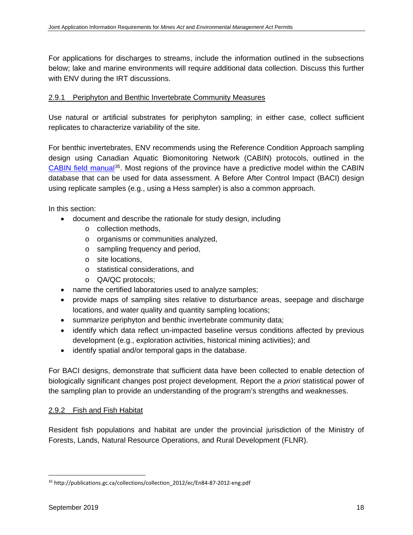For applications for discharges to streams, include the information outlined in the subsections below; lake and marine environments will require additional data collection. Discuss this further with ENV during the IRT discussions.

#### 2.9.1 Periphyton and Benthic Invertebrate Community Measures

Use natural or artificial substrates for periphyton sampling; in either case, collect sufficient replicates to characterize variability of the site.

For benthic invertebrates, ENV recommends using the Reference Condition Approach sampling design using Canadian Aquatic Biomonitoring Network (CABIN) protocols, outlined in the [CABIN field](http://publications.gc.ca/collections/collection_2012/ec/En84-87-2012-eng.pdf) manual[35](#page-29-0). Most regions of the province have a predictive model within the CABIN database that can be used for data assessment. A Before After Control Impact (BACI) design using replicate samples (e.g., using a Hess sampler) is also a common approach.

In this section:

- document and describe the rationale for study design, including
	- o collection methods,
	- o organisms or communities analyzed,
	- o sampling frequency and period,
	- o site locations,
	- o statistical considerations, and
	- o QA/QC protocols;
- name the certified laboratories used to analyze samples;
- provide maps of sampling sites relative to disturbance areas, seepage and discharge locations, and water quality and quantity sampling locations;
- summarize periphyton and benthic invertebrate community data;
- identify which data reflect un-impacted baseline versus conditions affected by previous development (e.g., exploration activities, historical mining activities); and
- identify spatial and/or temporal gaps in the database.

For BACI designs, demonstrate that sufficient data have been collected to enable detection of biologically significant changes post project development. Report the *a priori* statistical power of the sampling plan to provide an understanding of the program's strengths and weaknesses.

#### 2.9.2 Fish and Fish Habitat

Resident fish populations and habitat are under the provincial jurisdiction of the Ministry of Forests, Lands, Natural Resource Operations, and Rural Development (FLNR).

<span id="page-29-0"></span><sup>35</sup> http://publications.gc.ca/collections/collection\_2012/ec/En84-87-2012-eng.pdf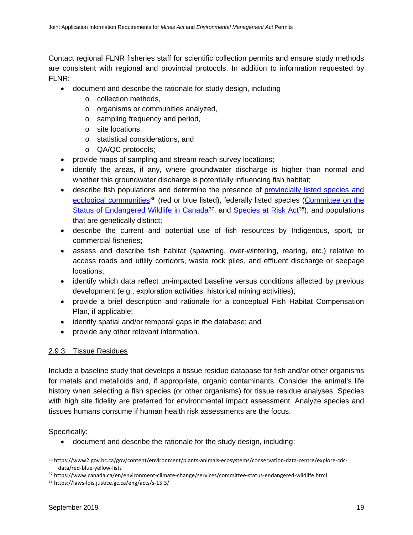Contact regional FLNR fisheries staff for scientific collection permits and ensure study methods are consistent with regional and provincial protocols. In addition to information requested by FLNR:

- document and describe the rationale for study design, including
	- o collection methods,
	- o organisms or communities analyzed,
	- o sampling frequency and period,
	- o site locations,
	- o statistical considerations, and
	- o QA/QC protocols;
- provide maps of sampling and stream reach survey locations;
- identify the areas, if any, where groundwater discharge is higher than normal and whether this groundwater discharge is potentially influencing fish habitat;
- describe fish populations and determine the presence of [provincially listed species and](https://www2.gov.bc.ca/gov/content/environment/plants-animals-ecosystems/conservation-data-centre/explore-cdc-data/red-blue-yellow-lists)  [ecological communities](https://www2.gov.bc.ca/gov/content/environment/plants-animals-ecosystems/conservation-data-centre/explore-cdc-data/red-blue-yellow-lists)<sup>[36](#page-30-0)</sup> (red or blue listed), federally listed species (Committee on the [Status of Endangered Wildlife in Canada](https://www.canada.ca/en/environment-climate-change/services/committee-status-endangered-wildlife.html)<sup>37</sup>, and [Species at Risk Act](https://laws-lois.justice.gc.ca/eng/acts/s-15.3/)<sup>[38](#page-30-2)</sup>), and populations that are genetically distinct;
- describe the current and potential use of fish resources by Indigenous, sport, or commercial fisheries;
- assess and describe fish habitat (spawning, over-wintering, rearing, etc.) relative to access roads and utility corridors, waste rock piles, and effluent discharge or seepage locations;
- identify which data reflect un-impacted baseline versus conditions affected by previous development (e.g., exploration activities, historical mining activities);
- provide a brief description and rationale for a conceptual Fish Habitat Compensation Plan, if applicable;
- identify spatial and/or temporal gaps in the database; and
- provide any other relevant information.

# 2.9.3 Tissue Residues

Include a baseline study that develops a tissue residue database for fish and/or other organisms for metals and metalloids and, if appropriate, organic contaminants. Consider the animal's life history when selecting a fish species (or other organisms) for tissue residue analyses. Species with high site fidelity are preferred for environmental impact assessment. Analyze species and tissues humans consume if human health risk assessments are the focus.

Specifically:

• document and describe the rationale for the study design, including:

<span id="page-30-0"></span> <sup>36</sup> https://www2.gov.bc.ca/gov/content/environment/plants-animals-ecosystems/conservation-data-centre/explore-cdcdata/red-blue-yellow-lists

<span id="page-30-1"></span><sup>37</sup> https://www.canada.ca/en/environment-climate-change/services/committee-status-endangered-wildlife.html

<span id="page-30-2"></span><sup>38</sup> https://laws-lois.justice.gc.ca/eng/acts/s-15.3/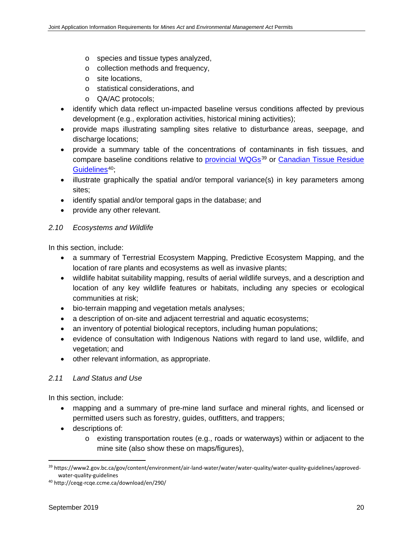- o species and tissue types analyzed,
- o collection methods and frequency,
- o site locations,
- o statistical considerations, and
- o QA/AC protocols;
- identify which data reflect un-impacted baseline versus conditions affected by previous development (e.g., exploration activities, historical mining activities);
- provide maps illustrating sampling sites relative to disturbance areas, seepage, and discharge locations;
- provide a summary table of the concentrations of contaminants in fish tissues, and compare baseline conditions relative to [provincial WQGs](https://www2.gov.bc.ca/gov/content/environment/air-land-water/water/water-quality/water-quality-guidelines/approved-water-quality-guidelines)<sup>[39](#page-31-0)</sup> or Canadian Tissue Residue [Guidelines](http://ceqg-rcqe.ccme.ca/download/en/290/)<sup>[40](#page-31-1)</sup>;
- illustrate graphically the spatial and/or temporal variance(s) in key parameters among sites;
- identify spatial and/or temporal gaps in the database; and
- provide any other relevant.

#### *2.10 Ecosystems and Wildlife*

In this section, include:

- a summary of Terrestrial Ecosystem Mapping, Predictive Ecosystem Mapping, and the location of rare plants and ecosystems as well as invasive plants;
- wildlife habitat suitability mapping, results of aerial wildlife surveys, and a description and location of any key wildlife features or habitats, including any species or ecological communities at risk;
- bio-terrain mapping and vegetation metals analyses;
- a description of on-site and adjacent terrestrial and aquatic ecosystems;
- an inventory of potential biological receptors, including human populations;
- evidence of consultation with Indigenous Nations with regard to land use, wildlife, and vegetation; and
- other relevant information, as appropriate.

#### *2.11 Land Status and Use*

In this section, include:

- mapping and a summary of pre-mine land surface and mineral rights, and licensed or permitted users such as forestry, guides, outfitters, and trappers;
- descriptions of:
	- $\circ$  existing transportation routes (e.g., roads or waterways) within or adjacent to the mine site (also show these on maps/figures),

<span id="page-31-0"></span> <sup>39</sup> https://www2.gov.bc.ca/gov/content/environment/air-land-water/water/water-quality/water-quality-guidelines/approvedwater-quality-guidelines

<span id="page-31-1"></span><sup>40</sup> http://ceqg-rcqe.ccme.ca/download/en/290/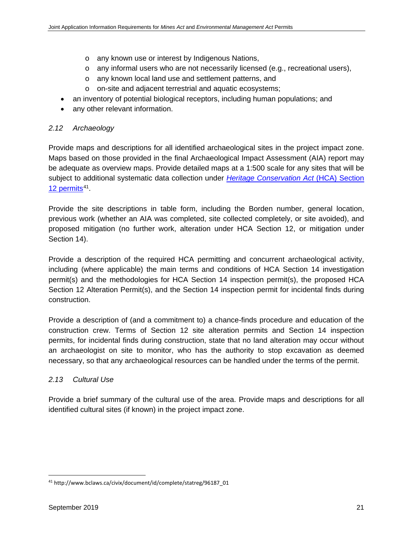- o any known use or interest by Indigenous Nations,
- $\circ$  any informal users who are not necessarily licensed (e.g., recreational users),
- o any known local land use and settlement patterns, and
- o on-site and adjacent terrestrial and aquatic ecosystems;
- an inventory of potential biological receptors, including human populations; and
- any other relevant information.

#### *2.12 Archaeology*

Provide maps and descriptions for all identified archaeological sites in the project impact zone. Maps based on those provided in the final Archaeological Impact Assessment (AIA) report may be adequate as overview maps. Provide detailed maps at a 1:500 scale for any sites that will be subject to additional systematic data collection under *[Heritage Conservation Act](http://www.bclaws.ca/civix/document/id/complete/statreg/96187_01)* (HCA) Section 12 permits<sup>41</sup>.

Provide the site descriptions in table form, including the Borden number, general location, previous work (whether an AIA was completed, site collected completely, or site avoided), and proposed mitigation (no further work, alteration under HCA Section 12, or mitigation under Section 14).

Provide a description of the required HCA permitting and concurrent archaeological activity, including (where applicable) the main terms and conditions of HCA Section 14 investigation permit(s) and the methodologies for HCA Section 14 inspection permit(s), the proposed HCA Section 12 Alteration Permit(s), and the Section 14 inspection permit for incidental finds during construction.

Provide a description of (and a commitment to) a chance-finds procedure and education of the construction crew. Terms of Section 12 site alteration permits and Section 14 inspection permits, for incidental finds during construction, state that no land alteration may occur without an archaeologist on site to monitor, who has the authority to stop excavation as deemed necessary, so that any archaeological resources can be handled under the terms of the permit.

#### *2.13 Cultural Use*

Provide a brief summary of the cultural use of the area. Provide maps and descriptions for all identified cultural sites (if known) in the project impact zone.

<span id="page-32-0"></span> <sup>41</sup> http://www.bclaws.ca/civix/document/id/complete/statreg/96187\_01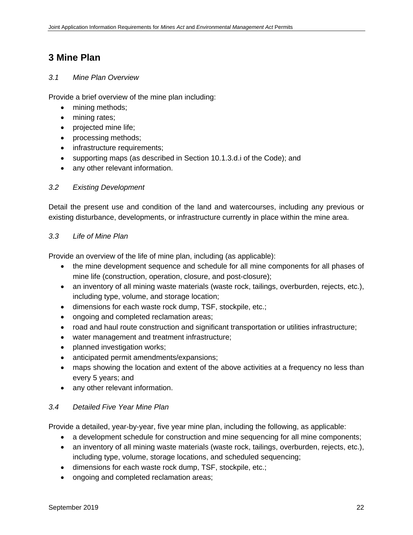# **3 Mine Plan**

#### *3.1 Mine Plan Overview*

Provide a brief overview of the mine plan including:

- mining methods;
- mining rates;
- projected mine life;
- processing methods;
- infrastructure requirements;
- supporting maps (as described in Section 10.1.3.d.i of the Code); and
- any other relevant information.

### *3.2 Existing Development*

Detail the present use and condition of the land and watercourses, including any previous or existing disturbance, developments, or infrastructure currently in place within the mine area.

#### *3.3 Life of Mine Plan*

Provide an overview of the life of mine plan, including (as applicable):

- the mine development sequence and schedule for all mine components for all phases of mine life (construction, operation, closure, and post-closure);
- an inventory of all mining waste materials (waste rock, tailings, overburden, rejects, etc.), including type, volume, and storage location;
- dimensions for each waste rock dump, TSF, stockpile, etc.;
- ongoing and completed reclamation areas;
- road and haul route construction and significant transportation or utilities infrastructure;
- water management and treatment infrastructure;
- planned investigation works;
- anticipated permit amendments/expansions;
- maps showing the location and extent of the above activities at a frequency no less than every 5 years; and
- any other relevant information.

#### *3.4 Detailed Five Year Mine Plan*

Provide a detailed, year-by-year, five year mine plan, including the following, as applicable:

- a development schedule for construction and mine sequencing for all mine components;
- an inventory of all mining waste materials (waste rock, tailings, overburden, rejects, etc.), including type, volume, storage locations, and scheduled sequencing;
- dimensions for each waste rock dump, TSF, stockpile, etc.;
- ongoing and completed reclamation areas;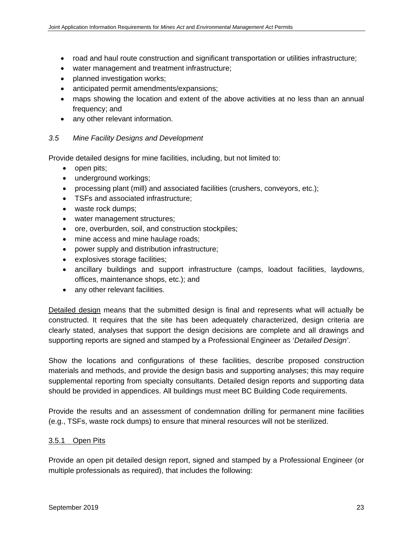- road and haul route construction and significant transportation or utilities infrastructure;
- water management and treatment infrastructure;
- planned investigation works;
- anticipated permit amendments/expansions;
- maps showing the location and extent of the above activities at no less than an annual frequency; and
- any other relevant information.

#### *3.5 Mine Facility Designs and Development*

Provide detailed designs for mine facilities, including, but not limited to:

- open pits;
- underground workings;
- processing plant (mill) and associated facilities (crushers, conveyors, etc.);
- TSFs and associated infrastructure;
- waste rock dumps;
- water management structures;
- ore, overburden, soil, and construction stockpiles;
- mine access and mine haulage roads;
- power supply and distribution infrastructure;
- explosives storage facilities;
- ancillary buildings and support infrastructure (camps, loadout facilities, laydowns, offices, maintenance shops, etc.); and
- any other relevant facilities.

Detailed design means that the submitted design is final and represents what will actually be constructed. It requires that the site has been adequately characterized, design criteria are clearly stated, analyses that support the design decisions are complete and all drawings and supporting reports are signed and stamped by a Professional Engineer as '*Detailed Design'*.

Show the locations and configurations of these facilities, describe proposed construction materials and methods, and provide the design basis and supporting analyses; this may require supplemental reporting from specialty consultants. Detailed design reports and supporting data should be provided in appendices. All buildings must meet BC Building Code requirements.

Provide the results and an assessment of condemnation drilling for permanent mine facilities (e.g., TSFs, waste rock dumps) to ensure that mineral resources will not be sterilized.

#### 3.5.1 Open Pits

Provide an open pit detailed design report, signed and stamped by a Professional Engineer (or multiple professionals as required), that includes the following: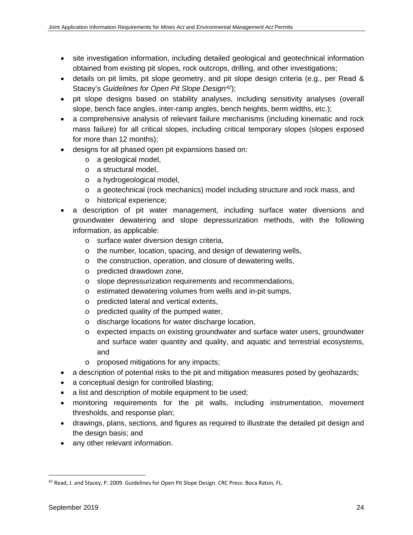- site investigation information, including detailed geological and geotechnical information obtained from existing pit slopes, rock outcrops, drilling, and other investigations;
- details on pit limits, pit slope geometry, and pit slope design criteria (e.g., per Read & Stacey's *Guidelines for Open Pit Slope Design[42](#page-35-0)*);
- pit slope designs based on stability analyses, including sensitivity analyses (overall slope, bench face angles, inter-ramp angles, bench heights, berm widths, etc.);
- a comprehensive analysis of relevant failure mechanisms (including kinematic and rock mass failure) for all critical slopes, including critical temporary slopes (slopes exposed for more than 12 months);
- designs for all phased open pit expansions based on:
	- o a geological model,
	- o a structural model,
	- o a hydrogeological model,
	- o a geotechnical (rock mechanics) model including structure and rock mass, and
	- o historical experience;
- a description of pit water management, including surface water diversions and groundwater dewatering and slope depressurization methods, with the following information, as applicable:
	- o surface water diversion design criteria,
	- o the number, location, spacing, and design of dewatering wells,
	- o the construction, operation, and closure of dewatering wells,
	- o predicted drawdown zone,
	- o slope depressurization requirements and recommendations,
	- o estimated dewatering volumes from wells and in-pit sumps,
	- o predicted lateral and vertical extents,
	- o predicted quality of the pumped water,
	- o discharge locations for water discharge location,
	- $\circ$  expected impacts on existing groundwater and surface water users, groundwater and surface water quantity and quality, and aquatic and terrestrial ecosystems, and
	- o proposed mitigations for any impacts;
- a description of potential risks to the pit and mitigation measures posed by geohazards;
- a conceptual design for controlled blasting;
- a list and description of mobile equipment to be used;
- monitoring requirements for the pit walls, including instrumentation, movement thresholds, and response plan;
- drawings, plans, sections, and figures as required to illustrate the detailed pit design and the design basis; and
- any other relevant information.

<span id="page-35-0"></span><sup>42</sup> Read, J. and Stacey, P. 2009. Guidelines for Open Pit Slope Design. CRC Press: Boca Raton, FL.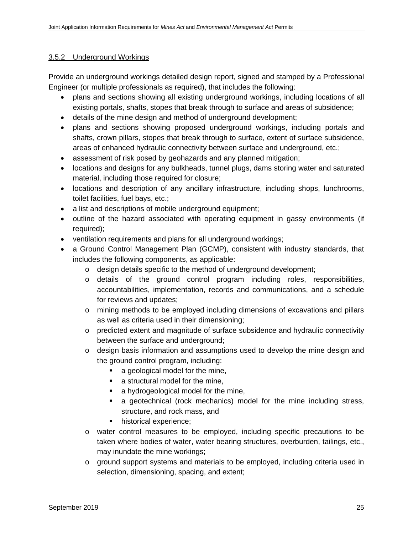## 3.5.2 Underground Workings

Provide an underground workings detailed design report, signed and stamped by a Professional Engineer (or multiple professionals as required), that includes the following:

- plans and sections showing all existing underground workings, including locations of all existing portals, shafts, stopes that break through to surface and areas of subsidence;
- details of the mine design and method of underground development;
- plans and sections showing proposed underground workings, including portals and shafts, crown pillars, stopes that break through to surface, extent of surface subsidence, areas of enhanced hydraulic connectivity between surface and underground, etc.;
- assessment of risk posed by geohazards and any planned mitigation;
- locations and designs for any bulkheads, tunnel plugs, dams storing water and saturated material, including those required for closure;
- locations and description of any ancillary infrastructure, including shops, lunchrooms, toilet facilities, fuel bays, etc.;
- a list and descriptions of mobile underground equipment;
- outline of the hazard associated with operating equipment in gassy environments (if required);
- ventilation requirements and plans for all underground workings;
- a Ground Control Management Plan (GCMP), consistent with industry standards, that includes the following components, as applicable:
	- o design details specific to the method of underground development;
	- o details of the ground control program including roles, responsibilities, accountabilities, implementation, records and communications, and a schedule for reviews and updates;
	- o mining methods to be employed including dimensions of excavations and pillars as well as criteria used in their dimensioning;
	- o predicted extent and magnitude of surface subsidence and hydraulic connectivity between the surface and underground;
	- $\circ$  design basis information and assumptions used to develop the mine design and the ground control program, including:
		- a geological model for the mine,
		- **a** structural model for the mine,
		- a hydrogeological model for the mine,
		- a geotechnical (rock mechanics) model for the mine including stress, structure, and rock mass, and
		- **historical experience;**
	- o water control measures to be employed, including specific precautions to be taken where bodies of water, water bearing structures, overburden, tailings, etc., may inundate the mine workings;
	- o ground support systems and materials to be employed, including criteria used in selection, dimensioning, spacing, and extent;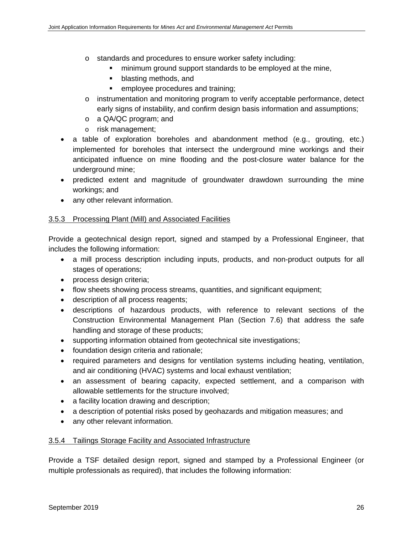- o standards and procedures to ensure worker safety including:
	- minimum ground support standards to be employed at the mine,
	- **•** blasting methods, and
	- **EXECUTE:** employee procedures and training;
- o instrumentation and monitoring program to verify acceptable performance, detect early signs of instability, and confirm design basis information and assumptions;
- o a QA/QC program; and
- o risk management;
- a table of exploration boreholes and abandonment method (e.g., grouting, etc.) implemented for boreholes that intersect the underground mine workings and their anticipated influence on mine flooding and the post-closure water balance for the underground mine;
- predicted extent and magnitude of groundwater drawdown surrounding the mine workings; and
- any other relevant information.

## 3.5.3 Processing Plant (Mill) and Associated Facilities

Provide a geotechnical design report, signed and stamped by a Professional Engineer, that includes the following information:

- a mill process description including inputs, products, and non-product outputs for all stages of operations;
- process design criteria;
- flow sheets showing process streams, quantities, and significant equipment;
- description of all process reagents;
- descriptions of hazardous products, with reference to relevant sections of the Construction Environmental Management Plan (Section 7.6) that address the safe handling and storage of these products;
- supporting information obtained from geotechnical site investigations;
- foundation design criteria and rationale;
- required parameters and designs for ventilation systems including heating, ventilation, and air conditioning (HVAC) systems and local exhaust ventilation;
- an assessment of bearing capacity, expected settlement, and a comparison with allowable settlements for the structure involved;
- a facility location drawing and description;
- a description of potential risks posed by geohazards and mitigation measures; and
- any other relevant information.

#### 3.5.4 Tailings Storage Facility and Associated Infrastructure

Provide a TSF detailed design report, signed and stamped by a Professional Engineer (or multiple professionals as required), that includes the following information: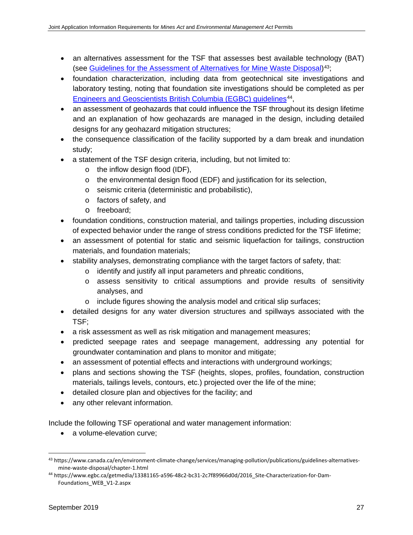- an alternatives assessment for the TSF that assesses best available technology (BAT) (see Guidelines for [the Assessment of Alternatives for Mine Waste Disposal\)](https://www.canada.ca/en/environment-climate-change/services/managing-pollution/publications/guidelines-alternatives-mine-waste-disposal/chapter-1.html)[43;](#page-38-0)
- foundation characterization, including data from geotechnical site investigations and laboratory testing, noting that foundation site investigations should be completed as per [Engineers and Geoscientists British Columbia \(EGBC\)](https://www.egbc.ca/getmedia/13381165-a596-48c2-bc31-2c7f89966d0d/2016_Site-Characterization-for-Dam-Foundations_WEB_V1-2.aspx) guidelines<sup>44</sup>,
- an assessment of geohazards that could influence the TSF throughout its design lifetime and an explanation of how geohazards are managed in the design, including detailed designs for any geohazard mitigation structures;
- the consequence classification of the facility supported by a dam break and inundation study;
- a statement of the TSF design criteria, including, but not limited to:
	- o the inflow design flood (IDF),
	- o the environmental design flood (EDF) and justification for its selection,
	- o seismic criteria (deterministic and probabilistic),
	- o factors of safety, and
	- o freeboard;
- foundation conditions, construction material, and tailings properties, including discussion of expected behavior under the range of stress conditions predicted for the TSF lifetime;
- an assessment of potential for static and seismic liquefaction for tailings, construction materials, and foundation materials;
- stability analyses, demonstrating compliance with the target factors of safety, that:
	- o identify and justify all input parameters and phreatic conditions,
	- o assess sensitivity to critical assumptions and provide results of sensitivity analyses, and
	- o include figures showing the analysis model and critical slip surfaces;
- detailed designs for any water diversion structures and spillways associated with the TSF;
- a risk assessment as well as risk mitigation and management measures;
- predicted seepage rates and seepage management, addressing any potential for groundwater contamination and plans to monitor and mitigate;
- an assessment of potential effects and interactions with underground workings;
- plans and sections showing the TSF (heights, slopes, profiles, foundation, construction materials, tailings levels, contours, etc.) projected over the life of the mine;
- detailed closure plan and objectives for the facility; and
- any other relevant information.

Include the following TSF operational and water management information:

• a volume-elevation curve;

<span id="page-38-0"></span> <sup>43</sup> https://www.canada.ca/en/environment-climate-change/services/managing-pollution/publications/guidelines-alternativesmine-waste-disposal/chapter-1.html

<span id="page-38-1"></span><sup>44</sup> https://www.egbc.ca/getmedia/13381165-a596-48c2-bc31-2c7f89966d0d/2016\_Site-Characterization-for-Dam-Foundations\_WEB\_V1-2.aspx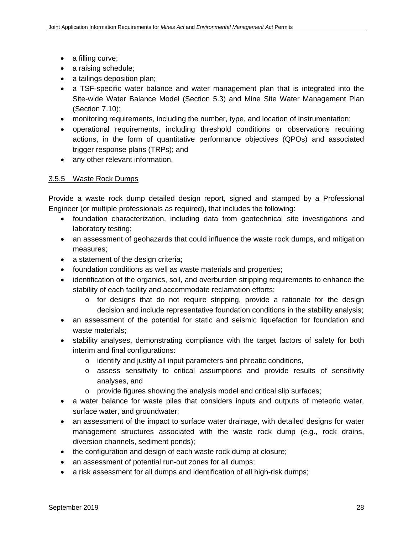- a filling curve;
- a raising schedule;
- a tailings deposition plan;
- a TSF-specific water balance and water management plan that is integrated into the Site-wide Water Balance Model (Section 5.3) and Mine Site Water Management Plan (Section 7.10);
- monitoring requirements, including the number, type, and location of instrumentation;
- operational requirements, including threshold conditions or observations requiring actions, in the form of quantitative performance objectives (QPOs) and associated trigger response plans (TRPs); and
- any other relevant information.

## 3.5.5 Waste Rock Dumps

Provide a waste rock dump detailed design report, signed and stamped by a Professional Engineer (or multiple professionals as required), that includes the following:

- foundation characterization, including data from geotechnical site investigations and laboratory testing;
- an assessment of geohazards that could influence the waste rock dumps, and mitigation measures;
- a statement of the design criteria;
- foundation conditions as well as waste materials and properties;
- identification of the organics, soil, and overburden stripping requirements to enhance the stability of each facility and accommodate reclamation efforts;
	- $\circ$  for designs that do not require stripping, provide a rationale for the design decision and include representative foundation conditions in the stability analysis;
- an assessment of the potential for static and seismic liquefaction for foundation and waste materials;
- stability analyses, demonstrating compliance with the target factors of safety for both interim and final configurations:
	- o identify and justify all input parameters and phreatic conditions,
	- o assess sensitivity to critical assumptions and provide results of sensitivity analyses, and
	- o provide figures showing the analysis model and critical slip surfaces;
- a water balance for waste piles that considers inputs and outputs of meteoric water, surface water, and groundwater;
- an assessment of the impact to surface water drainage, with detailed designs for water management structures associated with the waste rock dump (e.g., rock drains, diversion channels, sediment ponds);
- the configuration and design of each waste rock dump at closure;
- an assessment of potential run-out zones for all dumps;
- a risk assessment for all dumps and identification of all high-risk dumps;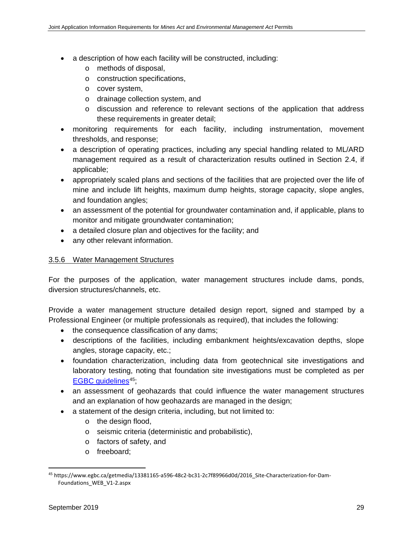- a description of how each facility will be constructed, including:
	- o methods of disposal,
	- o construction specifications,
	- o cover system,
	- o drainage collection system, and
	- o discussion and reference to relevant sections of the application that address these requirements in greater detail;
- monitoring requirements for each facility, including instrumentation, movement thresholds, and response;
- a description of operating practices, including any special handling related to ML/ARD management required as a result of characterization results outlined in Section 2.4, if applicable;
- appropriately scaled plans and sections of the facilities that are projected over the life of mine and include lift heights, maximum dump heights, storage capacity, slope angles, and foundation angles;
- an assessment of the potential for groundwater contamination and, if applicable, plans to monitor and mitigate groundwater contamination;
- a detailed closure plan and objectives for the facility; and
- any other relevant information.

# 3.5.6 Water Management Structures

For the purposes of the application, water management structures include dams, ponds, diversion structures/channels, etc.

Provide a water management structure detailed design report, signed and stamped by a Professional Engineer (or multiple professionals as required), that includes the following:

- the consequence classification of any dams;
- descriptions of the facilities, including embankment heights/excavation depths, slope angles, storage capacity, etc.;
- foundation characterization, including data from geotechnical site investigations and laboratory testing, noting that foundation site investigations must be completed as per EGBC quidelines<sup>[45](#page-40-0)</sup>;
- an assessment of geohazards that could influence the water management structures and an explanation of how geohazards are managed in the design;
- a statement of the design criteria, including, but not limited to:
	- o the design flood,
	- o seismic criteria (deterministic and probabilistic),
	- o factors of safety, and
	- o freeboard;

<span id="page-40-0"></span> <sup>45</sup> https://www.egbc.ca/getmedia/13381165-a596-48c2-bc31-2c7f89966d0d/2016\_Site-Characterization-for-Dam-Foundations\_WEB\_V1-2.aspx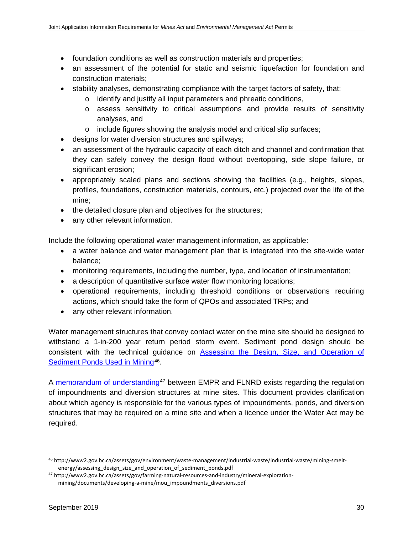- foundation conditions as well as construction materials and properties;
- an assessment of the potential for static and seismic liquefaction for foundation and construction materials;
- stability analyses, demonstrating compliance with the target factors of safety, that:
	- o identify and justify all input parameters and phreatic conditions,
	- o assess sensitivity to critical assumptions and provide results of sensitivity analyses, and
	- o include figures showing the analysis model and critical slip surfaces;
- designs for water diversion structures and spillways;
- an assessment of the hydraulic capacity of each ditch and channel and confirmation that they can safely convey the design flood without overtopping, side slope failure, or significant erosion;
- appropriately scaled plans and sections showing the facilities (e.g., heights, slopes, profiles, foundations, construction materials, contours, etc.) projected over the life of the mine;
- the detailed closure plan and objectives for the structures;
- any other relevant information.

Include the following operational water management information, as applicable:

- a water balance and water management plan that is integrated into the site-wide water balance;
- monitoring requirements, including the number, type, and location of instrumentation;
- a description of quantitative surface water flow monitoring locations;
- operational requirements, including threshold conditions or observations requiring actions, which should take the form of QPOs and associated TRPs; and
- any other relevant information.

Water management structures that convey contact water on the mine site should be designed to withstand a 1-in-200 year return period storm event. Sediment pond design should be consistent with the technical guidance on [Assessing the Design, Size, and Operation of](http://www2.gov.bc.ca/assets/gov/environment/waste-management/industrial-waste/industrial-waste/mining-smelt-energy/assessing_design_size_and_operation_of_sediment_ponds.pdf)  [Sediment Ponds Used in Mining](http://www2.gov.bc.ca/assets/gov/environment/waste-management/industrial-waste/industrial-waste/mining-smelt-energy/assessing_design_size_and_operation_of_sediment_ponds.pdf)<sup>46</sup>.

A [memorandum of understanding](http://www2.gov.bc.ca/assets/gov/farming-natural-resources-and-industry/mineral-exploration-mining/documents/developing-a-mine/mou_impoundments_diversions.pdf)<sup>[47](#page-41-1)</sup> between EMPR and FLNRD exists regarding the regulation of impoundments and diversion structures at mine sites. This document provides clarification about which agency is responsible for the various types of impoundments, ponds, and diversion structures that may be required on a mine site and when a licence under the Water Act may be required.

<span id="page-41-0"></span> <sup>46</sup> http://www2.gov.bc.ca/assets/gov/environment/waste-management/industrial-waste/industrial-waste/mining-smeltenergy/assessing\_design\_size\_and\_operation\_of\_sediment\_ponds.pdf

<span id="page-41-1"></span><sup>47</sup> http://www2.gov.bc.ca/assets/gov/farming-natural-resources-and-industry/mineral-explorationmining/documents/developing-a-mine/mou\_impoundments\_diversions.pdf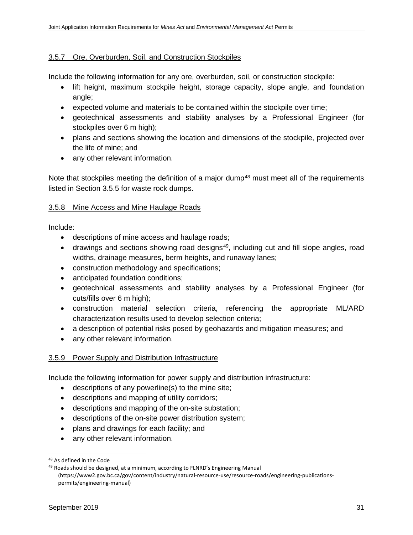#### 3.5.7 Ore, Overburden, Soil, and Construction Stockpiles

Include the following information for any ore, overburden, soil, or construction stockpile:

- lift height, maximum stockpile height, storage capacity, slope angle, and foundation angle;
- expected volume and materials to be contained within the stockpile over time;
- geotechnical assessments and stability analyses by a Professional Engineer (for stockpiles over 6 m high);
- plans and sections showing the location and dimensions of the stockpile, projected over the life of mine; and
- any other relevant information.

Note that stockpiles meeting the definition of a major dump<sup>[48](#page-42-0)</sup> must meet all of the requirements listed in Section 3.5.5 for waste rock dumps.

#### 3.5.8 Mine Access and Mine Haulage Roads

Include:

- descriptions of mine access and haulage roads;
- drawings and sections showing road designs<sup>49</sup>, including cut and fill slope angles, road widths, drainage measures, berm heights, and runaway lanes;
- construction methodology and specifications;
- anticipated foundation conditions;
- geotechnical assessments and stability analyses by a Professional Engineer (for cuts/fills over 6 m high);
- construction material selection criteria, referencing the appropriate ML/ARD characterization results used to develop selection criteria;
- a description of potential risks posed by geohazards and mitigation measures; and
- any other relevant information.

#### 3.5.9 Power Supply and Distribution Infrastructure

Include the following information for power supply and distribution infrastructure:

- descriptions of any powerline(s) to the mine site;
- descriptions and mapping of utility corridors;
- descriptions and mapping of the on-site substation;
- descriptions of the on-site power distribution system;
- plans and drawings for each facility; and
- any other relevant information.

<span id="page-42-0"></span> <sup>48</sup> As defined in the Code

<span id="page-42-1"></span><sup>49</sup> Roads should be designed, at a minimum, according to FLNRD's Engineering Manual [\(https://www2.gov.bc.ca/gov/content/industry/natural-resource-use/resource-roads/engineering-publications](https://www2.gov.bc.ca/gov/content/industry/natural-resource-use/resource-roads/engineering-publications-permits/engineering-manual)[permits/engineering-manual\)](https://www2.gov.bc.ca/gov/content/industry/natural-resource-use/resource-roads/engineering-publications-permits/engineering-manual)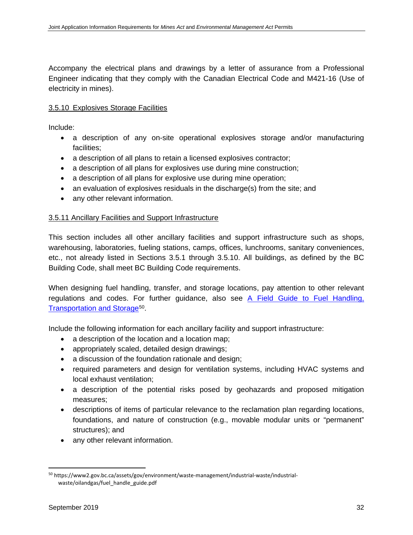Accompany the electrical plans and drawings by a letter of assurance from a Professional Engineer indicating that they comply with the Canadian Electrical Code and M421-16 (Use of electricity in mines).

## 3.5.10 Explosives Storage Facilities

Include:

- a description of any on-site operational explosives storage and/or manufacturing facilities;
- a description of all plans to retain a licensed explosives contractor;
- a description of all plans for explosives use during mine construction;
- a description of all plans for explosive use during mine operation;
- an evaluation of explosives residuals in the discharge(s) from the site; and
- any other relevant information.

#### 3.5.11 Ancillary Facilities and Support Infrastructure

This section includes all other ancillary facilities and support infrastructure such as shops, warehousing, laboratories, fueling stations, camps, offices, lunchrooms, sanitary conveniences, etc., not already listed in Sections 3.5.1 through 3.5.10. All buildings, as defined by the BC Building Code, shall meet BC Building Code requirements.

When designing fuel handling, transfer, and storage locations, pay attention to other relevant regulations and codes. For further guidance, also see [A Field Guide to Fuel Handling,](https://www2.gov.bc.ca/assets/gov/environment/waste-management/industrial-waste/industrial-waste/oilandgas/fuel_handle_guide.pdf)  [Transportation and Storage](https://www2.gov.bc.ca/assets/gov/environment/waste-management/industrial-waste/industrial-waste/oilandgas/fuel_handle_guide.pdf)<sup>[50](#page-43-0)</sup>.

Include the following information for each ancillary facility and support infrastructure:

- a description of the location and a location map;
- appropriately scaled, detailed design drawings;
- a discussion of the foundation rationale and design;
- required parameters and design for ventilation systems, including HVAC systems and local exhaust ventilation;
- a description of the potential risks posed by geohazards and proposed mitigation measures;
- descriptions of items of particular relevance to the reclamation plan regarding locations, foundations, and nature of construction (e.g., movable modular units or "permanent" structures); and
- any other relevant information.

<span id="page-43-0"></span> <sup>50</sup> https://www2.gov.bc.ca/assets/gov/environment/waste-management/industrial-waste/industrialwaste/oilandgas/fuel\_handle\_guide.pdf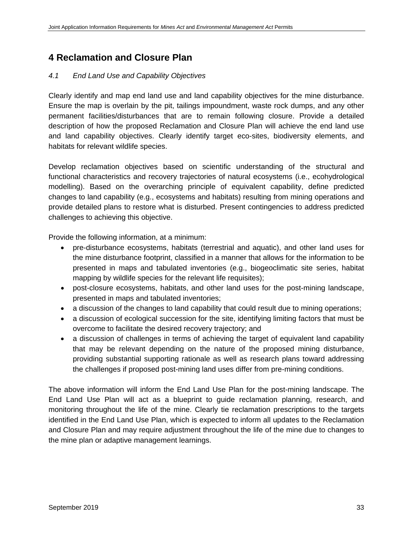# **4 Reclamation and Closure Plan**

### *4.1 End Land Use and Capability Objectives*

Clearly identify and map end land use and land capability objectives for the mine disturbance. Ensure the map is overlain by the pit, tailings impoundment, waste rock dumps, and any other permanent facilities/disturbances that are to remain following closure. Provide a detailed description of how the proposed Reclamation and Closure Plan will achieve the end land use and land capability objectives. Clearly identify target eco-sites, biodiversity elements, and habitats for relevant wildlife species.

Develop reclamation objectives based on scientific understanding of the structural and functional characteristics and recovery trajectories of natural ecosystems (i.e., ecohydrological modelling). Based on the overarching principle of equivalent capability, define predicted changes to land capability (e.g., ecosystems and habitats) resulting from mining operations and provide detailed plans to restore what is disturbed. Present contingencies to address predicted challenges to achieving this objective.

Provide the following information, at a minimum:

- pre-disturbance ecosystems, habitats (terrestrial and aquatic), and other land uses for the mine disturbance footprint, classified in a manner that allows for the information to be presented in maps and tabulated inventories (e.g., biogeoclimatic site series, habitat mapping by wildlife species for the relevant life requisites);
- post-closure ecosystems, habitats, and other land uses for the post-mining landscape, presented in maps and tabulated inventories;
- a discussion of the changes to land capability that could result due to mining operations;
- a discussion of ecological succession for the site, identifying limiting factors that must be overcome to facilitate the desired recovery trajectory; and
- a discussion of challenges in terms of achieving the target of equivalent land capability that may be relevant depending on the nature of the proposed mining disturbance, providing substantial supporting rationale as well as research plans toward addressing the challenges if proposed post-mining land uses differ from pre-mining conditions.

The above information will inform the End Land Use Plan for the post-mining landscape. The End Land Use Plan will act as a blueprint to guide reclamation planning, research, and monitoring throughout the life of the mine. Clearly tie reclamation prescriptions to the targets identified in the End Land Use Plan, which is expected to inform all updates to the Reclamation and Closure Plan and may require adjustment throughout the life of the mine due to changes to the mine plan or adaptive management learnings.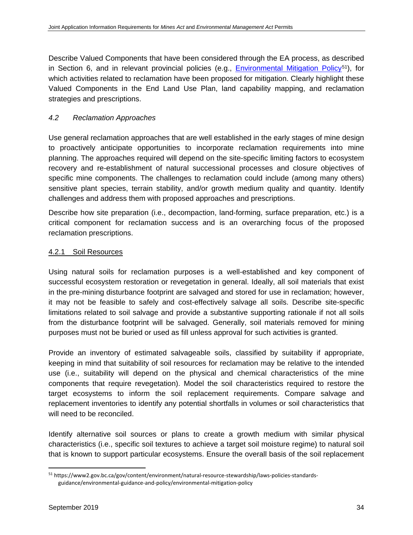Describe Valued Components that have been considered through the EA process, as described in Section 6, and in relevant provincial policies (e.g., [Environmental Mitigation Policy](https://www2.gov.bc.ca/gov/content/environment/natural-resource-stewardship/laws-policies-standards-guidance/environmental-guidance-and-policy/environmental-mitigation-policy)<sup>[51](#page-45-0)</sup>), for which activities related to reclamation have been proposed for mitigation. Clearly highlight these Valued Components in the End Land Use Plan, land capability mapping, and reclamation strategies and prescriptions.

## *4.2 Reclamation Approaches*

Use general reclamation approaches that are well established in the early stages of mine design to proactively anticipate opportunities to incorporate reclamation requirements into mine planning. The approaches required will depend on the site-specific limiting factors to ecosystem recovery and re-establishment of natural successional processes and closure objectives of specific mine components. The challenges to reclamation could include (among many others) sensitive plant species, terrain stability, and/or growth medium quality and quantity. Identify challenges and address them with proposed approaches and prescriptions.

Describe how site preparation (i.e., decompaction, land-forming, surface preparation, etc.) is a critical component for reclamation success and is an overarching focus of the proposed reclamation prescriptions.

## 4.2.1 Soil Resources

Using natural soils for reclamation purposes is a well-established and key component of successful ecosystem restoration or revegetation in general. Ideally, all soil materials that exist in the pre-mining disturbance footprint are salvaged and stored for use in reclamation; however, it may not be feasible to safely and cost-effectively salvage all soils. Describe site-specific limitations related to soil salvage and provide a substantive supporting rationale if not all soils from the disturbance footprint will be salvaged. Generally, soil materials removed for mining purposes must not be buried or used as fill unless approval for such activities is granted.

Provide an inventory of estimated salvageable soils, classified by suitability if appropriate, keeping in mind that suitability of soil resources for reclamation may be relative to the intended use (i.e., suitability will depend on the physical and chemical characteristics of the mine components that require revegetation). Model the soil characteristics required to restore the target ecosystems to inform the soil replacement requirements. Compare salvage and replacement inventories to identify any potential shortfalls in volumes or soil characteristics that will need to be reconciled.

Identify alternative soil sources or plans to create a growth medium with similar physical characteristics (i.e., specific soil textures to achieve a target soil moisture regime) to natural soil that is known to support particular ecosystems. Ensure the overall basis of the soil replacement

<span id="page-45-0"></span> <sup>51</sup> https://www2.gov.bc.ca/gov/content/environment/natural-resource-stewardship/laws-policies-standardsguidance/environmental-guidance-and-policy/environmental-mitigation-policy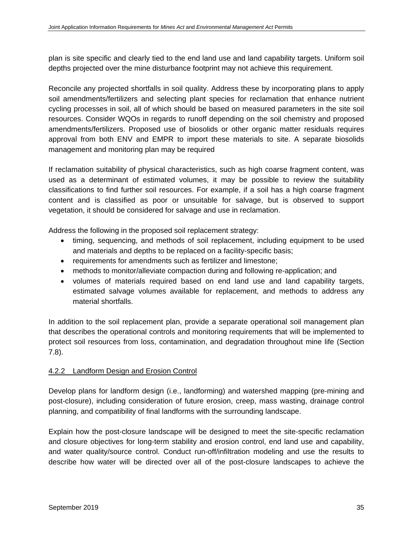plan is site specific and clearly tied to the end land use and land capability targets. Uniform soil depths projected over the mine disturbance footprint may not achieve this requirement.

Reconcile any projected shortfalls in soil quality. Address these by incorporating plans to apply soil amendments/fertilizers and selecting plant species for reclamation that enhance nutrient cycling processes in soil, all of which should be based on measured parameters in the site soil resources. Consider WQOs in regards to runoff depending on the soil chemistry and proposed amendments/fertilizers. Proposed use of biosolids or other organic matter residuals requires approval from both ENV and EMPR to import these materials to site. A separate biosolids management and monitoring plan may be required

If reclamation suitability of physical characteristics, such as high coarse fragment content, was used as a determinant of estimated volumes, it may be possible to review the suitability classifications to find further soil resources. For example, if a soil has a high coarse fragment content and is classified as poor or unsuitable for salvage, but is observed to support vegetation, it should be considered for salvage and use in reclamation.

Address the following in the proposed soil replacement strategy:

- timing, sequencing, and methods of soil replacement, including equipment to be used and materials and depths to be replaced on a facility-specific basis;
- requirements for amendments such as fertilizer and limestone;
- methods to monitor/alleviate compaction during and following re-application; and
- volumes of materials required based on end land use and land capability targets, estimated salvage volumes available for replacement, and methods to address any material shortfalls.

In addition to the soil replacement plan, provide a separate operational soil management plan that describes the operational controls and monitoring requirements that will be implemented to protect soil resources from loss, contamination, and degradation throughout mine life (Section 7.8).

# 4.2.2 Landform Design and Erosion Control

Develop plans for landform design (i.e., landforming) and watershed mapping (pre-mining and post-closure), including consideration of future erosion, creep, mass wasting, drainage control planning, and compatibility of final landforms with the surrounding landscape.

Explain how the post-closure landscape will be designed to meet the site-specific reclamation and closure objectives for long-term stability and erosion control, end land use and capability, and water quality/source control. Conduct run-off/infiltration modeling and use the results to describe how water will be directed over all of the post-closure landscapes to achieve the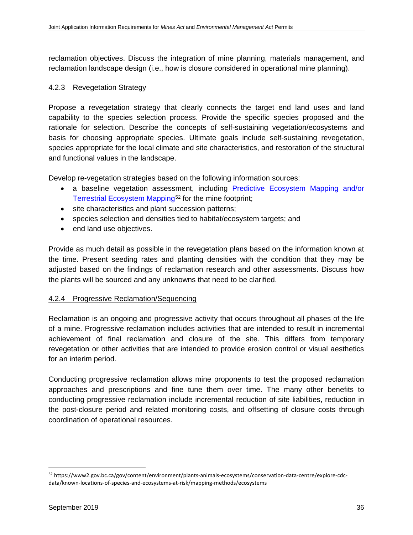reclamation objectives. Discuss the integration of mine planning, materials management, and reclamation landscape design (i.e., how is closure considered in operational mine planning).

#### 4.2.3 Revegetation Strategy

Propose a revegetation strategy that clearly connects the target end land uses and land capability to the species selection process. Provide the specific species proposed and the rationale for selection. Describe the concepts of self-sustaining vegetation/ecosystems and basis for choosing appropriate species. Ultimate goals include self-sustaining revegetation, species appropriate for the local climate and site characteristics, and restoration of the structural and functional values in the landscape.

Develop re-vegetation strategies based on the following information sources:

- a baseline vegetation assessment, including [Predictive Ecosystem Mapping and/or](https://www2.gov.bc.ca/gov/content/environment/plants-animals-ecosystems/conservation-data-centre/explore-cdc-data/known-locations-of-species-and-ecosystems-at-risk/mapping-methods/ecosystems)  [Terrestrial Ecosystem Mapping](https://www2.gov.bc.ca/gov/content/environment/plants-animals-ecosystems/conservation-data-centre/explore-cdc-data/known-locations-of-species-and-ecosystems-at-risk/mapping-methods/ecosystems)<sup>[52](#page-47-0)</sup> for the mine footprint;
- site characteristics and plant succession patterns;
- species selection and densities tied to habitat/ecosystem targets; and
- end land use objectives.

Provide as much detail as possible in the revegetation plans based on the information known at the time. Present seeding rates and planting densities with the condition that they may be adjusted based on the findings of reclamation research and other assessments. Discuss how the plants will be sourced and any unknowns that need to be clarified.

#### 4.2.4 Progressive Reclamation/Sequencing

Reclamation is an ongoing and progressive activity that occurs throughout all phases of the life of a mine. Progressive reclamation includes activities that are intended to result in incremental achievement of final reclamation and closure of the site. This differs from temporary revegetation or other activities that are intended to provide erosion control or visual aesthetics for an interim period.

Conducting progressive reclamation allows mine proponents to test the proposed reclamation approaches and prescriptions and fine tune them over time. The many other benefits to conducting progressive reclamation include incremental reduction of site liabilities, reduction in the post-closure period and related monitoring costs, and offsetting of closure costs through coordination of operational resources.

<span id="page-47-0"></span> <sup>52</sup> https://www2.gov.bc.ca/gov/content/environment/plants-animals-ecosystems/conservation-data-centre/explore-cdcdata/known-locations-of-species-and-ecosystems-at-risk/mapping-methods/ecosystems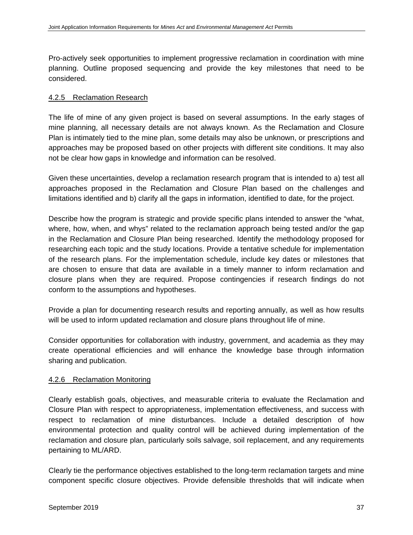Pro-actively seek opportunities to implement progressive reclamation in coordination with mine planning. Outline proposed sequencing and provide the key milestones that need to be considered.

#### 4.2.5 Reclamation Research

The life of mine of any given project is based on several assumptions. In the early stages of mine planning, all necessary details are not always known. As the Reclamation and Closure Plan is intimately tied to the mine plan, some details may also be unknown, or prescriptions and approaches may be proposed based on other projects with different site conditions. It may also not be clear how gaps in knowledge and information can be resolved.

Given these uncertainties, develop a reclamation research program that is intended to a) test all approaches proposed in the Reclamation and Closure Plan based on the challenges and limitations identified and b) clarify all the gaps in information, identified to date, for the project.

Describe how the program is strategic and provide specific plans intended to answer the "what, where, how, when, and whys" related to the reclamation approach being tested and/or the gap in the Reclamation and Closure Plan being researched. Identify the methodology proposed for researching each topic and the study locations. Provide a tentative schedule for implementation of the research plans. For the implementation schedule, include key dates or milestones that are chosen to ensure that data are available in a timely manner to inform reclamation and closure plans when they are required. Propose contingencies if research findings do not conform to the assumptions and hypotheses.

Provide a plan for documenting research results and reporting annually, as well as how results will be used to inform updated reclamation and closure plans throughout life of mine.

Consider opportunities for collaboration with industry, government, and academia as they may create operational efficiencies and will enhance the knowledge base through information sharing and publication.

#### 4.2.6 Reclamation Monitoring

Clearly establish goals, objectives, and measurable criteria to evaluate the Reclamation and Closure Plan with respect to appropriateness, implementation effectiveness, and success with respect to reclamation of mine disturbances. Include a detailed description of how environmental protection and quality control will be achieved during implementation of the reclamation and closure plan, particularly soils salvage, soil replacement, and any requirements pertaining to ML/ARD.

Clearly tie the performance objectives established to the long-term reclamation targets and mine component specific closure objectives. Provide defensible thresholds that will indicate when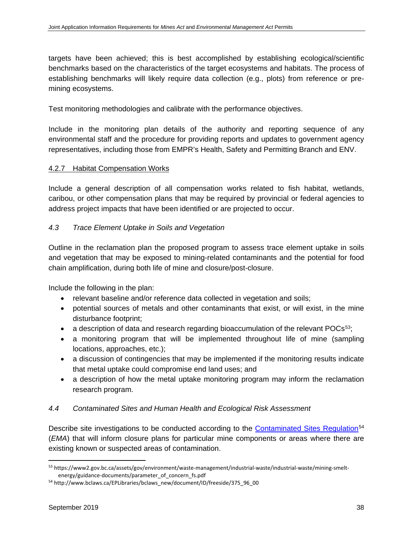targets have been achieved; this is best accomplished by establishing ecological/scientific benchmarks based on the characteristics of the target ecosystems and habitats. The process of establishing benchmarks will likely require data collection (e.g., plots) from reference or premining ecosystems.

Test monitoring methodologies and calibrate with the performance objectives.

Include in the monitoring plan details of the authority and reporting sequence of any environmental staff and the procedure for providing reports and updates to government agency representatives, including those from EMPR's Health, Safety and Permitting Branch and ENV.

## 4.2.7 Habitat Compensation Works

Include a general description of all compensation works related to fish habitat, wetlands, caribou, or other compensation plans that may be required by provincial or federal agencies to address project impacts that have been identified or are projected to occur.

## *4.3 Trace Element Uptake in Soils and Vegetation*

Outline in the reclamation plan the proposed program to assess trace element uptake in soils and vegetation that may be exposed to mining-related contaminants and the potential for food chain amplification, during both life of mine and closure/post-closure.

Include the following in the plan:

- relevant baseline and/or reference data collected in vegetation and soils;
- potential sources of metals and other contaminants that exist, or will exist, in the mine disturbance footprint;
- a description of data and research regarding bioaccumulation of the relevant  $POCs^{53}$ ;
- a monitoring program that will be implemented throughout life of mine (sampling locations, approaches, etc.);
- a discussion of contingencies that may be implemented if the monitoring results indicate that metal uptake could compromise end land uses; and
- a description of how the metal uptake monitoring program may inform the reclamation research program.

# *4.4 Contaminated Sites and Human Health and Ecological Risk Assessment*

Describe site investigations to be conducted according to the [Contaminated Sites Regulation](http://www.bclaws.ca/EPLibraries/bclaws_new/document/ID/freeside/375_96_00)<sup>[54](#page-49-1)</sup> (*EMA*) that will inform closure plans for particular mine components or areas where there are existing known or suspected areas of contamination.

<span id="page-49-0"></span> <sup>53</sup> https://www2.gov.bc.ca/assets/gov/environment/waste-management/industrial-waste/industrial-waste/mining-smeltenergy/guidance-documents/parameter\_of\_concern\_fs.pdf

<span id="page-49-1"></span><sup>54</sup> http://www.bclaws.ca/EPLibraries/bclaws\_new/document/ID/freeside/375\_96\_00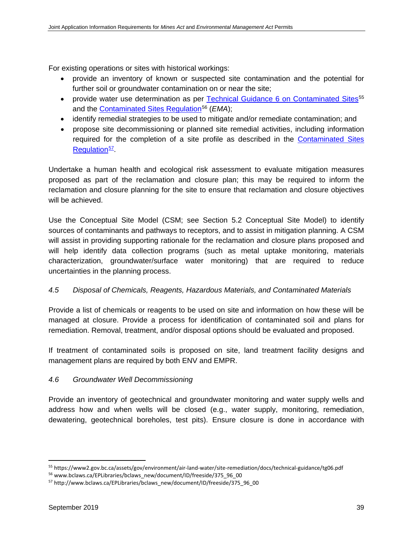For existing operations or sites with historical workings:

- provide an inventory of known or suspected site contamination and the potential for further soil or groundwater contamination on or near the site;
- provide water use determination as per [Technical Guidance 6 on Contaminated Sites](https://www2.gov.bc.ca/assets/gov/environment/air-land-water/site-remediation/docs/technical-guidance/tg06.pdf)<sup>[55](#page-50-0)</sup> and the [Contaminated Sites Regulation](http://www.bclaws.ca/EPLibraries/bclaws_new/document/ID/freeside/375_96_00)<sup>[56](#page-50-1)</sup> (*EMA*):
- identify remedial strategies to be used to mitigate and/or remediate contamination; and
- propose site decommissioning or planned site remedial activities, including information required for the completion of a site profile as described in the [Contaminated Sites](http://www.bclaws.ca/EPLibraries/bclaws_new/document/ID/freeside/375_96_00)  [Regulation](http://www.bclaws.ca/EPLibraries/bclaws_new/document/ID/freeside/375_96_00)<sup>57</sup>

Undertake a human health and ecological risk assessment to evaluate mitigation measures proposed as part of the reclamation and closure plan; this may be required to inform the reclamation and closure planning for the site to ensure that reclamation and closure objectives will be achieved.

Use the Conceptual Site Model (CSM; see Section 5.2 Conceptual Site Model) to identify sources of contaminants and pathways to receptors, and to assist in mitigation planning. A CSM will assist in providing supporting rationale for the reclamation and closure plans proposed and will help identify data collection programs (such as metal uptake monitoring, materials characterization, groundwater/surface water monitoring) that are required to reduce uncertainties in the planning process.

# *4.5 Disposal of Chemicals, Reagents, Hazardous Materials, and Contaminated Materials*

Provide a list of chemicals or reagents to be used on site and information on how these will be managed at closure. Provide a process for identification of contaminated soil and plans for remediation. Removal, treatment, and/or disposal options should be evaluated and proposed.

If treatment of contaminated soils is proposed on site, land treatment facility designs and management plans are required by both ENV and EMPR.

# *4.6 Groundwater Well Decommissioning*

Provide an inventory of geotechnical and groundwater monitoring and water supply wells and address how and when wells will be closed (e.g., water supply, monitoring, remediation, dewatering, geotechnical boreholes, test pits). Ensure closure is done in accordance with

<span id="page-50-0"></span> <sup>55</sup> https://www2.gov.bc.ca/assets/gov/environment/air-land-water/site-remediation/docs/technical-guidance/tg06.pdf

<span id="page-50-1"></span><sup>56</sup> www.bclaws.ca/EPLibraries/bclaws\_new/document/ID/freeside/375\_96\_00

<span id="page-50-2"></span><sup>57</sup> http://www.bclaws.ca/EPLibraries/bclaws\_new/document/ID/freeside/375\_96\_00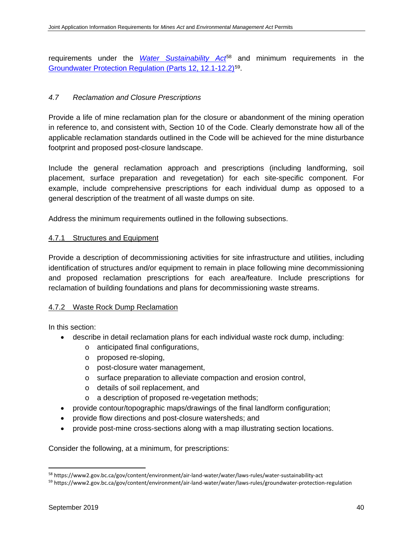requirements under the *[Water Sustainability Act](https://www2.gov.bc.ca/gov/content/environment/air-land-water/water/laws-rules/water-sustainability-act)*[58](#page-51-0) and minimum requirements in the [Groundwater Protection Regulation \(Parts 12, 12.1-12.2\)](https://www2.gov.bc.ca/gov/content/environment/air-land-water/water/laws-rules/groundwater-protection-regulation)[59](#page-51-1).

## *4.7 Reclamation and Closure Prescriptions*

Provide a life of mine reclamation plan for the closure or abandonment of the mining operation in reference to, and consistent with, Section 10 of the Code. Clearly demonstrate how all of the applicable reclamation standards outlined in the Code will be achieved for the mine disturbance footprint and proposed post-closure landscape.

Include the general reclamation approach and prescriptions (including landforming, soil placement, surface preparation and revegetation) for each site-specific component. For example, include comprehensive prescriptions for each individual dump as opposed to a general description of the treatment of all waste dumps on site.

Address the minimum requirements outlined in the following subsections.

#### 4.7.1 Structures and Equipment

Provide a description of decommissioning activities for site infrastructure and utilities, including identification of structures and/or equipment to remain in place following mine decommissioning and proposed reclamation prescriptions for each area/feature. Include prescriptions for reclamation of building foundations and plans for decommissioning waste streams.

# 4.7.2 Waste Rock Dump Reclamation

In this section:

- describe in detail reclamation plans for each individual waste rock dump, including:
	- o anticipated final configurations,
	- o proposed re-sloping,
	- o post-closure water management,
	- o surface preparation to alleviate compaction and erosion control,
	- o details of soil replacement, and
	- o a description of proposed re-vegetation methods;
- provide contour/topographic maps/drawings of the final landform configuration;
- provide flow directions and post-closure watersheds; and
- provide post-mine cross-sections along with a map illustrating section locations.

Consider the following, at a minimum, for prescriptions:

<span id="page-51-0"></span> <sup>58</sup> https://www2.gov.bc.ca/gov/content/environment/air-land-water/water/laws-rules/water-sustainability-act

<span id="page-51-1"></span><sup>59</sup> https://www2.gov.bc.ca/gov/content/environment/air-land-water/water/laws-rules/groundwater-protection-regulation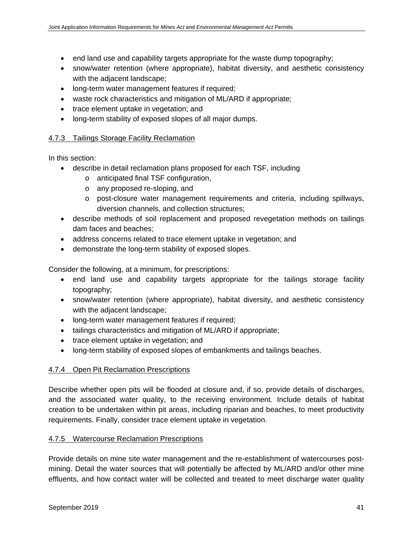- end land use and capability targets appropriate for the waste dump topography;
- snow/water retention (where appropriate), habitat diversity, and aesthetic consistency with the adjacent landscape;
- long-term water management features if required;
- waste rock characteristics and mitigation of ML/ARD if appropriate;
- trace element uptake in vegetation; and
- long-term stability of exposed slopes of all major dumps.

#### 4.7.3 Tailings Storage Facility Reclamation

In this section:

- describe in detail reclamation plans proposed for each TSF, including
	- o anticipated final TSF configuration,
	- o any proposed re-sloping, and
	- o post-closure water management requirements and criteria, including spillways, diversion channels, and collection structures;
- describe methods of soil replacement and proposed revegetation methods on tailings dam faces and beaches;
- address concerns related to trace element uptake in vegetation; and
- demonstrate the long-term stability of exposed slopes.

Consider the following, at a minimum, for prescriptions:

- end land use and capability targets appropriate for the tailings storage facility topography;
- snow/water retention (where appropriate), habitat diversity, and aesthetic consistency with the adjacent landscape;
- long-term water management features if required;
- tailings characteristics and mitigation of ML/ARD if appropriate;
- trace element uptake in vegetation; and
- long-term stability of exposed slopes of embankments and tailings beaches.

#### 4.7.4 Open Pit Reclamation Prescriptions

Describe whether open pits will be flooded at closure and, if so, provide details of discharges, and the associated water quality, to the receiving environment. Include details of habitat creation to be undertaken within pit areas, including riparian and beaches, to meet productivity requirements. Finally, consider trace element uptake in vegetation.

#### 4.7.5 Watercourse Reclamation Prescriptions

Provide details on mine site water management and the re-establishment of watercourses postmining. Detail the water sources that will potentially be affected by ML/ARD and/or other mine effluents, and how contact water will be collected and treated to meet discharge water quality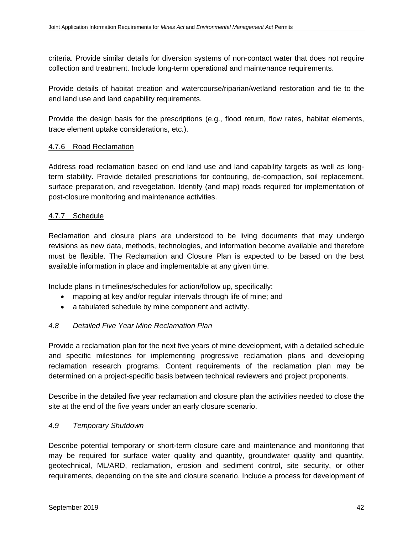criteria. Provide similar details for diversion systems of non-contact water that does not require collection and treatment. Include long-term operational and maintenance requirements.

Provide details of habitat creation and watercourse/riparian/wetland restoration and tie to the end land use and land capability requirements.

Provide the design basis for the prescriptions (e.g., flood return, flow rates, habitat elements, trace element uptake considerations, etc.).

## 4.7.6 Road Reclamation

Address road reclamation based on end land use and land capability targets as well as longterm stability. Provide detailed prescriptions for contouring, de-compaction, soil replacement, surface preparation, and revegetation. Identify (and map) roads required for implementation of post-closure monitoring and maintenance activities.

## 4.7.7 Schedule

Reclamation and closure plans are understood to be living documents that may undergo revisions as new data, methods, technologies, and information become available and therefore must be flexible. The Reclamation and Closure Plan is expected to be based on the best available information in place and implementable at any given time.

Include plans in timelines/schedules for action/follow up, specifically:

- mapping at key and/or regular intervals through life of mine; and
- a tabulated schedule by mine component and activity.

#### *4.8 Detailed Five Year Mine Reclamation Plan*

Provide a reclamation plan for the next five years of mine development, with a detailed schedule and specific milestones for implementing progressive reclamation plans and developing reclamation research programs. Content requirements of the reclamation plan may be determined on a project-specific basis between technical reviewers and project proponents.

Describe in the detailed five year reclamation and closure plan the activities needed to close the site at the end of the five years under an early closure scenario.

#### *4.9 Temporary Shutdown*

Describe potential temporary or short-term closure care and maintenance and monitoring that may be required for surface water quality and quantity, groundwater quality and quantity, geotechnical, ML/ARD, reclamation, erosion and sediment control, site security, or other requirements, depending on the site and closure scenario. Include a process for development of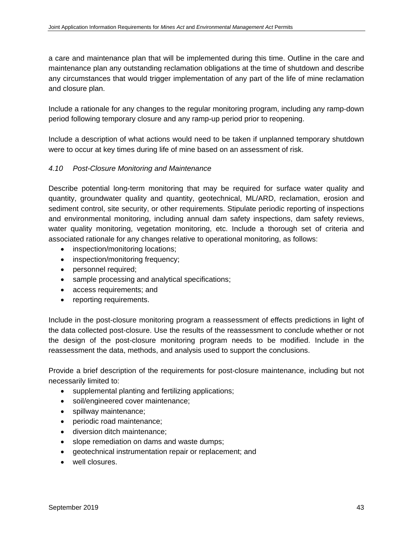a care and maintenance plan that will be implemented during this time. Outline in the care and maintenance plan any outstanding reclamation obligations at the time of shutdown and describe any circumstances that would trigger implementation of any part of the life of mine reclamation and closure plan.

Include a rationale for any changes to the regular monitoring program, including any ramp-down period following temporary closure and any ramp-up period prior to reopening.

Include a description of what actions would need to be taken if unplanned temporary shutdown were to occur at key times during life of mine based on an assessment of risk.

## *4.10 Post-Closure Monitoring and Maintenance*

Describe potential long-term monitoring that may be required for surface water quality and quantity, groundwater quality and quantity, geotechnical, ML/ARD, reclamation, erosion and sediment control, site security, or other requirements. Stipulate periodic reporting of inspections and environmental monitoring, including annual dam safety inspections, dam safety reviews, water quality monitoring, vegetation monitoring, etc. Include a thorough set of criteria and associated rationale for any changes relative to operational monitoring, as follows:

- inspection/monitoring locations;
- inspection/monitoring frequency;
- personnel required;
- sample processing and analytical specifications;
- access requirements; and
- reporting requirements.

Include in the post-closure monitoring program a reassessment of effects predictions in light of the data collected post-closure. Use the results of the reassessment to conclude whether or not the design of the post-closure monitoring program needs to be modified. Include in the reassessment the data, methods, and analysis used to support the conclusions.

Provide a brief description of the requirements for post-closure maintenance, including but not necessarily limited to:

- supplemental planting and fertilizing applications;
- soil/engineered cover maintenance;
- spillway maintenance;
- periodic road maintenance;
- diversion ditch maintenance;
- slope remediation on dams and waste dumps;
- geotechnical instrumentation repair or replacement; and
- well closures.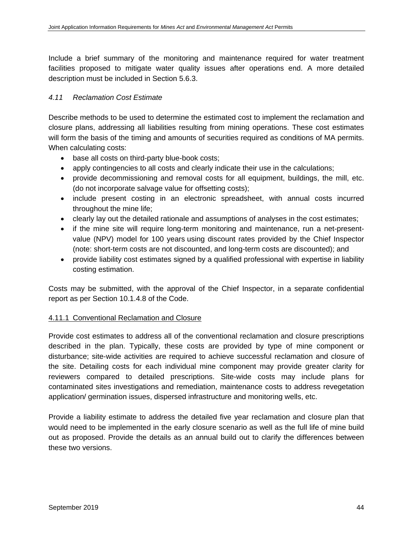Include a brief summary of the monitoring and maintenance required for water treatment facilities proposed to mitigate water quality issues after operations end. A more detailed description must be included in Section 5.6.3.

#### *4.11 Reclamation Cost Estimate*

Describe methods to be used to determine the estimated cost to implement the reclamation and closure plans, addressing all liabilities resulting from mining operations. These cost estimates will form the basis of the timing and amounts of securities required as conditions of MA permits. When calculating costs:

- base all costs on third-party blue-book costs;
- apply contingencies to all costs and clearly indicate their use in the calculations;
- provide decommissioning and removal costs for all equipment, buildings, the mill, etc. (do not incorporate salvage value for offsetting costs);
- include present costing in an electronic spreadsheet, with annual costs incurred throughout the mine life;
- clearly lay out the detailed rationale and assumptions of analyses in the cost estimates;
- if the mine site will require long-term monitoring and maintenance, run a net-presentvalue (NPV) model for 100 years using discount rates provided by the Chief Inspector (note: short-term costs are not discounted, and long-term costs are discounted); and
- provide liability cost estimates signed by a qualified professional with expertise in liability costing estimation.

Costs may be submitted, with the approval of the Chief Inspector, in a separate confidential report as per Section 10.1.4.8 of the Code.

#### 4.11.1 Conventional Reclamation and Closure

Provide cost estimates to address all of the conventional reclamation and closure prescriptions described in the plan. Typically, these costs are provided by type of mine component or disturbance; site-wide activities are required to achieve successful reclamation and closure of the site. Detailing costs for each individual mine component may provide greater clarity for reviewers compared to detailed prescriptions. Site-wide costs may include plans for contaminated sites investigations and remediation, maintenance costs to address revegetation application/ germination issues, dispersed infrastructure and monitoring wells, etc.

Provide a liability estimate to address the detailed five year reclamation and closure plan that would need to be implemented in the early closure scenario as well as the full life of mine build out as proposed. Provide the details as an annual build out to clarify the differences between these two versions.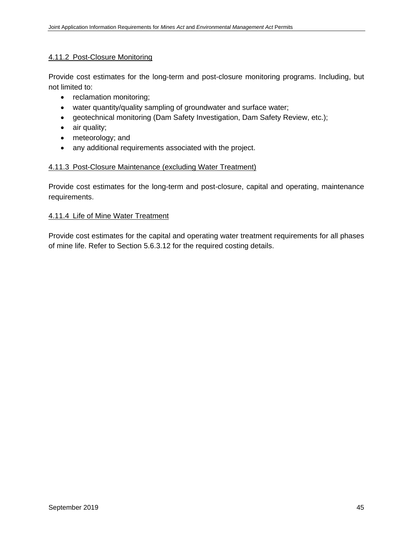#### 4.11.2 Post-Closure Monitoring

Provide cost estimates for the long-term and post-closure monitoring programs. Including, but not limited to:

- reclamation monitoring;
- water quantity/quality sampling of groundwater and surface water;
- geotechnical monitoring (Dam Safety Investigation, Dam Safety Review, etc.);
- air quality;
- meteorology; and
- any additional requirements associated with the project.

#### 4.11.3 Post-Closure Maintenance (excluding Water Treatment)

Provide cost estimates for the long-term and post-closure, capital and operating, maintenance requirements.

#### 4.11.4 Life of Mine Water Treatment

Provide cost estimates for the capital and operating water treatment requirements for all phases of mine life. Refer to Section 5.6.3.12 for the required costing details.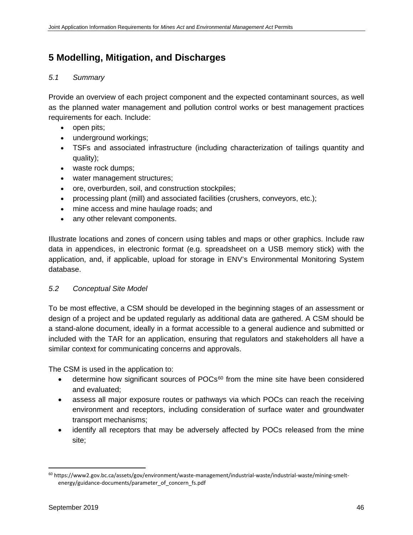# **5 Modelling, Mitigation, and Discharges**

### *5.1 Summary*

Provide an overview of each project component and the expected contaminant sources, as well as the planned water management and pollution control works or best management practices requirements for each. Include:

- open pits;
- underground workings;
- TSFs and associated infrastructure (including characterization of tailings quantity and quality);
- waste rock dumps;
- water management structures;
- ore, overburden, soil, and construction stockpiles;
- processing plant (mill) and associated facilities (crushers, conveyors, etc.);
- mine access and mine haulage roads; and
- any other relevant components.

Illustrate locations and zones of concern using tables and maps or other graphics. Include raw data in appendices, in electronic format (e.g. spreadsheet on a USB memory stick) with the application, and, if applicable, upload for storage in ENV's Environmental Monitoring System database.

#### *5.2 Conceptual Site Model*

To be most effective, a CSM should be developed in the beginning stages of an assessment or design of a project and be updated regularly as additional data are gathered. A CSM should be a stand-alone document, ideally in a format accessible to a general audience and submitted or included with the TAR for an application, ensuring that regulators and stakeholders all have a similar context for communicating concerns and approvals.

The CSM is used in the application to:

- determine how significant sources of POCs<sup>[60](#page-57-0)</sup> from the mine site have been considered and evaluated;
- assess all major exposure routes or pathways via which POCs can reach the receiving environment and receptors, including consideration of surface water and groundwater transport mechanisms;
- identify all receptors that may be adversely affected by POCs released from the mine site;

<span id="page-57-0"></span> <sup>60</sup> https://www2.gov.bc.ca/assets/gov/environment/waste-management/industrial-waste/industrial-waste/mining-smeltenergy/guidance-documents/parameter\_of\_concern\_fs.pdf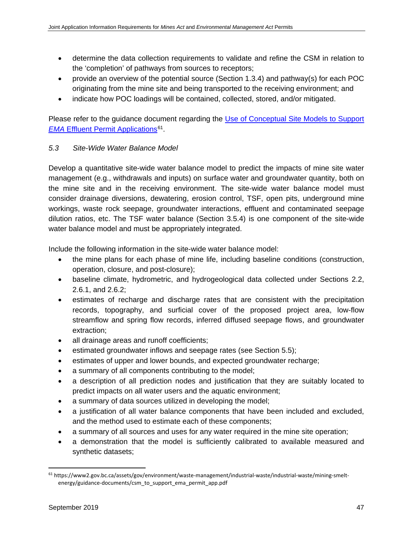- determine the data collection requirements to validate and refine the CSM in relation to the 'completion' of pathways from sources to receptors;
- provide an overview of the potential source (Section 1.3.4) and pathway(s) for each POC originating from the mine site and being transported to the receiving environment; and
- indicate how POC loadings will be contained, collected, stored, and/or mitigated.

Please refer to the guidance document regarding the [Use of Conceptual Site Models to Support](https://www2.gov.bc.ca/assets/gov/environment/waste-management/industrial-waste/industrial-waste/mining-smelt-energy/guidance-documents/csm_to_support_ema_permit_app.pdf)  *EMA* [Effluent Permit Applications](https://www2.gov.bc.ca/assets/gov/environment/waste-management/industrial-waste/industrial-waste/mining-smelt-energy/guidance-documents/csm_to_support_ema_permit_app.pdf)<sup>61</sup>.

# *5.3 Site-Wide Water Balance Model*

Develop a quantitative site-wide water balance model to predict the impacts of mine site water management (e.g., withdrawals and inputs) on surface water and groundwater quantity, both on the mine site and in the receiving environment. The site-wide water balance model must consider drainage diversions, dewatering, erosion control, TSF, open pits, underground mine workings, waste rock seepage, groundwater interactions, effluent and contaminated seepage dilution ratios, etc. The TSF water balance (Section 3.5.4) is one component of the site-wide water balance model and must be appropriately integrated.

Include the following information in the site-wide water balance model:

- the mine plans for each phase of mine life, including baseline conditions (construction, operation, closure, and post-closure);
- baseline climate, hydrometric, and hydrogeological data collected under Sections 2.2, 2.6.1, and 2.6.2;
- estimates of recharge and discharge rates that are consistent with the precipitation records, topography, and surficial cover of the proposed project area, low-flow streamflow and spring flow records, inferred diffused seepage flows, and groundwater extraction;
- all drainage areas and runoff coefficients;
- estimated groundwater inflows and seepage rates (see Section 5.5);
- estimates of upper and lower bounds, and expected groundwater recharge;
- a summary of all components contributing to the model;
- a description of all prediction nodes and justification that they are suitably located to predict impacts on all water users and the aquatic environment;
- a summary of data sources utilized in developing the model;
- a justification of all water balance components that have been included and excluded, and the method used to estimate each of these components;
- a summary of all sources and uses for any water required in the mine site operation;
- a demonstration that the model is sufficiently calibrated to available measured and synthetic datasets;

<span id="page-58-0"></span> <sup>61</sup> https://www2.gov.bc.ca/assets/gov/environment/waste-management/industrial-waste/industrial-waste/mining-smeltenergy/guidance-documents/csm\_to\_support\_ema\_permit\_app.pdf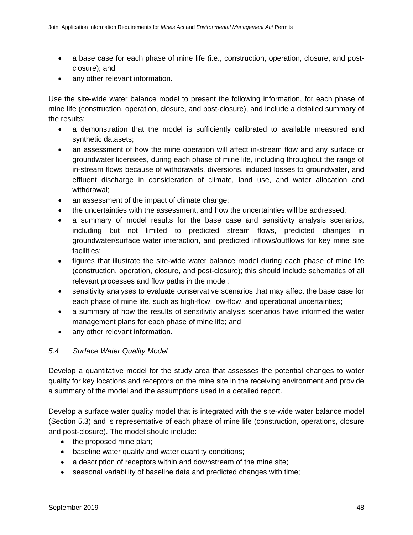- a base case for each phase of mine life (i.e., construction, operation, closure, and postclosure); and
- any other relevant information.

Use the site-wide water balance model to present the following information, for each phase of mine life (construction, operation, closure, and post-closure), and include a detailed summary of the results:

- a demonstration that the model is sufficiently calibrated to available measured and synthetic datasets;
- an assessment of how the mine operation will affect in-stream flow and any surface or groundwater licensees, during each phase of mine life, including throughout the range of in-stream flows because of withdrawals, diversions, induced losses to groundwater, and effluent discharge in consideration of climate, land use, and water allocation and withdrawal;
- an assessment of the impact of climate change;
- the uncertainties with the assessment, and how the uncertainties will be addressed;
- a summary of model results for the base case and sensitivity analysis scenarios, including but not limited to predicted stream flows, predicted changes in groundwater/surface water interaction, and predicted inflows/outflows for key mine site facilities;
- figures that illustrate the site-wide water balance model during each phase of mine life (construction, operation, closure, and post-closure); this should include schematics of all relevant processes and flow paths in the model;
- sensitivity analyses to evaluate conservative scenarios that may affect the base case for each phase of mine life, such as high-flow, low-flow, and operational uncertainties;
- a summary of how the results of sensitivity analysis scenarios have informed the water management plans for each phase of mine life; and
- any other relevant information.

# *5.4 Surface Water Quality Model*

Develop a quantitative model for the study area that assesses the potential changes to water quality for key locations and receptors on the mine site in the receiving environment and provide a summary of the model and the assumptions used in a detailed report.

Develop a surface water quality model that is integrated with the site-wide water balance model (Section 5.3) and is representative of each phase of mine life (construction, operations, closure and post-closure). The model should include:

- the proposed mine plan;
- baseline water quality and water quantity conditions;
- a description of receptors within and downstream of the mine site;
- seasonal variability of baseline data and predicted changes with time;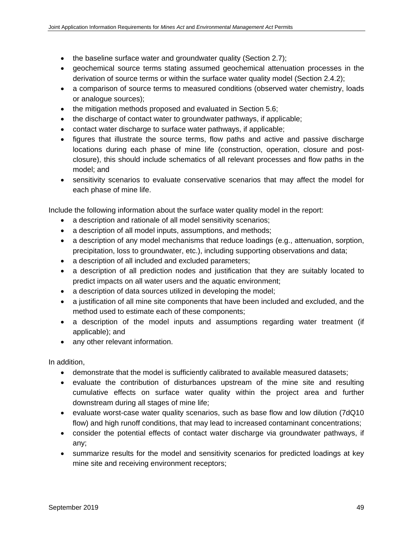- the baseline surface water and groundwater quality (Section 2.7);
- geochemical source terms stating assumed geochemical attenuation processes in the derivation of source terms or within the surface water quality model (Section 2.4.2);
- a comparison of source terms to measured conditions (observed water chemistry, loads or analogue sources);
- the mitigation methods proposed and evaluated in Section 5.6;
- the discharge of contact water to groundwater pathways, if applicable;
- contact water discharge to surface water pathways, if applicable;
- figures that illustrate the source terms, flow paths and active and passive discharge locations during each phase of mine life (construction, operation, closure and postclosure), this should include schematics of all relevant processes and flow paths in the model; and
- sensitivity scenarios to evaluate conservative scenarios that may affect the model for each phase of mine life.

Include the following information about the surface water quality model in the report:

- a description and rationale of all model sensitivity scenarios;
- a description of all model inputs, assumptions, and methods;
- a description of any model mechanisms that reduce loadings (e.g., attenuation, sorption, precipitation, loss to groundwater, etc.), including supporting observations and data;
- a description of all included and excluded parameters;
- a description of all prediction nodes and justification that they are suitably located to predict impacts on all water users and the aquatic environment;
- a description of data sources utilized in developing the model;
- a justification of all mine site components that have been included and excluded, and the method used to estimate each of these components;
- a description of the model inputs and assumptions regarding water treatment (if applicable); and
- any other relevant information.

In addition,

- demonstrate that the model is sufficiently calibrated to available measured datasets;
- evaluate the contribution of disturbances upstream of the mine site and resulting cumulative effects on surface water quality within the project area and further downstream during all stages of mine life;
- evaluate worst-case water quality scenarios, such as base flow and low dilution (7dQ10 flow) and high runoff conditions, that may lead to increased contaminant concentrations;
- consider the potential effects of contact water discharge via groundwater pathways, if any;
- summarize results for the model and sensitivity scenarios for predicted loadings at key mine site and receiving environment receptors;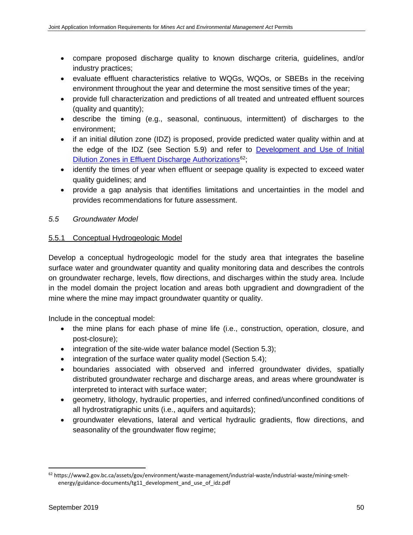- compare proposed discharge quality to known discharge criteria, guidelines, and/or industry practices;
- evaluate effluent characteristics relative to WQGs, WQOs, or SBEBs in the receiving environment throughout the year and determine the most sensitive times of the year;
- provide full characterization and predictions of all treated and untreated effluent sources (quality and quantity);
- describe the timing (e.g., seasonal, continuous, intermittent) of discharges to the environment;
- if an initial dilution zone (IDZ) is proposed, provide predicted water quality within and at the edge of the IDZ (see Section 5.9) and refer to [Development and Use of Initial](https://www2.gov.bc.ca/assets/gov/environment/waste-management/industrial-waste/industrial-waste/mining-smelt-energy/guidance-documents/tg11_development_and_use_of_idz.pdf)  Dilution Zones in Effluent [Discharge Authorizations](https://www2.gov.bc.ca/assets/gov/environment/waste-management/industrial-waste/industrial-waste/mining-smelt-energy/guidance-documents/tg11_development_and_use_of_idz.pdf)<sup>62</sup>;
- identify the times of year when effluent or seepage quality is expected to exceed water quality guidelines; and
- provide a gap analysis that identifies limitations and uncertainties in the model and provides recommendations for future assessment.

# *5.5 Groundwater Model*

## 5.5.1 Conceptual Hydrogeologic Model

Develop a conceptual hydrogeologic model for the study area that integrates the baseline surface water and groundwater quantity and quality monitoring data and describes the controls on groundwater recharge, levels, flow directions, and discharges within the study area. Include in the model domain the project location and areas both upgradient and downgradient of the mine where the mine may impact groundwater quantity or quality.

Include in the conceptual model:

- the mine plans for each phase of mine life (i.e., construction, operation, closure, and post-closure);
- integration of the site-wide water balance model (Section 5.3);
- integration of the surface water quality model (Section 5.4);
- boundaries associated with observed and inferred groundwater divides, spatially distributed groundwater recharge and discharge areas, and areas where groundwater is interpreted to interact with surface water;
- geometry, lithology, hydraulic properties, and inferred confined/unconfined conditions of all hydrostratigraphic units (i.e., aquifers and aquitards);
- groundwater elevations, lateral and vertical hydraulic gradients, flow directions, and seasonality of the groundwater flow regime;

<span id="page-61-0"></span> <sup>62</sup> https://www2.gov.bc.ca/assets/gov/environment/waste-management/industrial-waste/industrial-waste/mining-smeltenergy/guidance-documents/tg11\_development\_and\_use\_of\_idz.pdf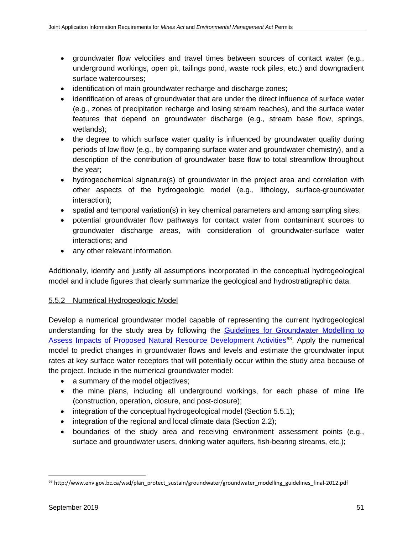- groundwater flow velocities and travel times between sources of contact water (e.g., underground workings, open pit, tailings pond, waste rock piles, etc.) and downgradient surface watercourses;
- identification of main groundwater recharge and discharge zones;
- identification of areas of groundwater that are under the direct influence of surface water (e.g., zones of precipitation recharge and losing stream reaches), and the surface water features that depend on groundwater discharge (e.g., stream base flow, springs, wetlands);
- the degree to which surface water quality is influenced by groundwater quality during periods of low flow (e.g., by comparing surface water and groundwater chemistry), and a description of the contribution of groundwater base flow to total streamflow throughout the year;
- hydrogeochemical signature(s) of groundwater in the project area and correlation with other aspects of the hydrogeologic model (e.g., lithology, surface-groundwater interaction);
- spatial and temporal variation(s) in key chemical parameters and among sampling sites;
- potential groundwater flow pathways for contact water from contaminant sources to groundwater discharge areas, with consideration of groundwater-surface water interactions; and
- any other relevant information.

Additionally, identify and justify all assumptions incorporated in the conceptual hydrogeological model and include figures that clearly summarize the geological and hydrostratigraphic data.

# 5.5.2 Numerical Hydrogeologic Model

Develop a numerical groundwater model capable of representing the current hydrogeological understanding for the study area by following the Guidelines for Groundwater Modelling to [Assess Impacts of Proposed Natural Resource Development Activities](http://www.env.gov.bc.ca/wsd/plan_protect_sustain/groundwater/groundwater_modelling_guidelines_final-2012.pdf)<sup>63</sup>. Apply the numerical model to predict changes in groundwater flows and levels and estimate the groundwater input rates at key surface water receptors that will potentially occur within the study area because of the project. Include in the numerical groundwater model:

- a summary of the model objectives;
- the mine plans, including all underground workings, for each phase of mine life (construction, operation, closure, and post-closure);
- integration of the conceptual hydrogeological model (Section 5.5.1);
- integration of the regional and local climate data (Section 2.2);
- boundaries of the study area and receiving environment assessment points (e.g., surface and groundwater users, drinking water aquifers, fish-bearing streams, etc.);

<span id="page-62-0"></span> <sup>63</sup> http://www.env.gov.bc.ca/wsd/plan\_protect\_sustain/groundwater/groundwater\_modelling\_guidelines\_final-2012.pdf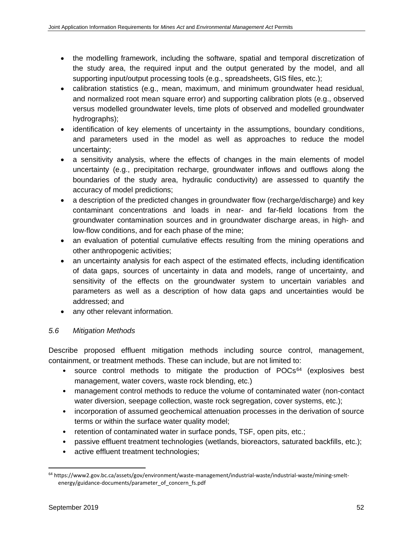- the modelling framework, including the software, spatial and temporal discretization of the study area, the required input and the output generated by the model, and all supporting input/output processing tools (e.g., spreadsheets, GIS files, etc.);
- calibration statistics (e.g., mean, maximum, and minimum groundwater head residual, and normalized root mean square error) and supporting calibration plots (e.g., observed versus modelled groundwater levels, time plots of observed and modelled groundwater hydrographs);
- identification of key elements of uncertainty in the assumptions, boundary conditions, and parameters used in the model as well as approaches to reduce the model uncertainty;
- a sensitivity analysis, where the effects of changes in the main elements of model uncertainty (e.g., precipitation recharge, groundwater inflows and outflows along the boundaries of the study area, hydraulic conductivity) are assessed to quantify the accuracy of model predictions;
- a description of the predicted changes in groundwater flow (recharge/discharge) and key contaminant concentrations and loads in near- and far-field locations from the groundwater contamination sources and in groundwater discharge areas, in high- and low-flow conditions, and for each phase of the mine;
- an evaluation of potential cumulative effects resulting from the mining operations and other anthropogenic activities;
- an uncertainty analysis for each aspect of the estimated effects, including identification of data gaps, sources of uncertainty in data and models, range of uncertainty, and sensitivity of the effects on the groundwater system to uncertain variables and parameters as well as a description of how data gaps and uncertainties would be addressed; and
- any other relevant information.

# *5.6 Mitigation Methods*

Describe proposed effluent mitigation methods including source control, management, containment, or treatment methods. These can include, but are not limited to:

- source control methods to mitigate the production of  $POCs<sup>64</sup>$  $POCs<sup>64</sup>$  $POCs<sup>64</sup>$  (explosives best management, water covers, waste rock blending, etc.)
- management control methods to reduce the volume of contaminated water (non-contact water diversion, seepage collection, waste rock segregation, cover systems, etc.);
- incorporation of assumed geochemical attenuation processes in the derivation of source terms or within the surface water quality model;
- retention of contaminated water in surface ponds, TSF, open pits, etc.;
- passive effluent treatment technologies (wetlands, bioreactors, saturated backfills, etc.);
- active effluent treatment technologies;

<span id="page-63-0"></span> <sup>64</sup> https://www2.gov.bc.ca/assets/gov/environment/waste-management/industrial-waste/industrial-waste/mining-smeltenergy/guidance-documents/parameter\_of\_concern\_fs.pdf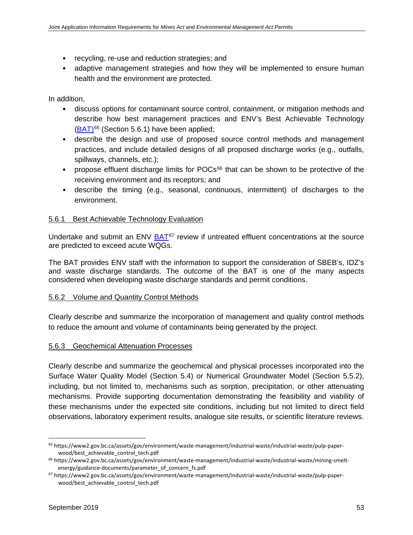- recycling, re-use and reduction strategies; and
- adaptive management strategies and how they will be implemented to ensure human health and the environment are protected.

In addition,

- discuss options for contaminant source control, containment, or mitigation methods and describe how best management practices and ENV's Best Achievable Technology [\(BAT\)](https://www2.gov.bc.ca/assets/gov/environment/waste-management/industrial-waste/industrial-waste/pulp-paper-wood/best_achievable_control_tech.pdf)[65](#page-64-0) (Section 5.6.1) have been applied;
- describe the design and use of proposed source control methods and management practices, and include detailed designs of all proposed discharge works (e.g., outfalls, spillways, channels, etc.);
- propose effluent discharge limits for POCs<sup>[66](#page-64-1)</sup> that can be shown to be protective of the receiving environment and its receptors; and
- describe the timing (e.g., seasonal, continuous, intermittent) of discharges to the environment.

#### 5.6.1 Best Achievable Technology Evaluation

Undertake and submit an ENV [BAT](https://www2.gov.bc.ca/assets/gov/environment/waste-management/industrial-waste/industrial-waste/pulp-paper-wood/best_achievable_control_tech.pdf)<sup>[67](#page-64-2)</sup> review if untreated effluent concentrations at the source are predicted to exceed acute WQGs.

The BAT provides ENV staff with the information to support the consideration of SBEB's, IDZ's and waste discharge standards. The outcome of the BAT is one of the many aspects considered when developing waste discharge standards and permit conditions.

#### 5.6.2 Volume and Quantity Control Methods

Clearly describe and summarize the incorporation of management and quality control methods to reduce the amount and volume of contaminants being generated by the project.

#### 5.6.3 Geochemical Attenuation Processes

Clearly describe and summarize the geochemical and physical processes incorporated into the Surface Water Quality Model (Section 5.4) or Numerical Groundwater Model (Section 5.5.2), including, but not limited to, mechanisms such as sorption, precipitation, or other attenuating mechanisms. Provide supporting documentation demonstrating the feasibility and viability of these mechanisms under the expected site conditions, including but not limited to direct field observations, laboratory experiment results, analogue site results, or scientific literature reviews.

<span id="page-64-0"></span> <sup>65</sup> https://www2.gov.bc.ca/assets/gov/environment/waste-management/industrial-waste/industrial-waste/pulp-paperwood/best\_achievable\_control\_tech.pdf

<span id="page-64-1"></span><sup>66</sup> https://www2.gov.bc.ca/assets/gov/environment/waste-management/industrial-waste/industrial-waste/mining-smeltenergy/guidance-documents/parameter\_of\_concern\_fs.pdf

<span id="page-64-2"></span><sup>67</sup> https://www2.gov.bc.ca/assets/gov/environment/waste-management/industrial-waste/industrial-waste/pulp-paperwood/best\_achievable\_control\_tech.pdf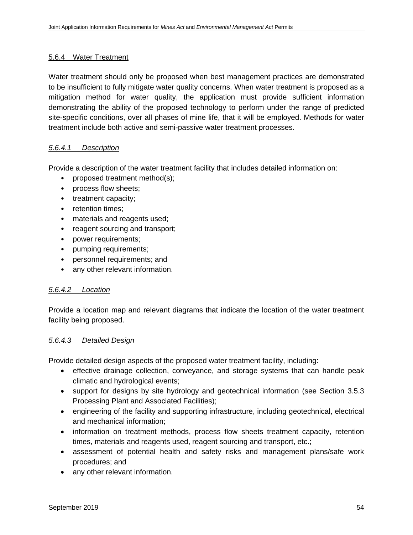#### 5.6.4 Water Treatment

Water treatment should only be proposed when best management practices are demonstrated to be insufficient to fully mitigate water quality concerns. When water treatment is proposed as a mitigation method for water quality, the application must provide sufficient information demonstrating the ability of the proposed technology to perform under the range of predicted site-specific conditions, over all phases of mine life, that it will be employed. Methods for water treatment include both active and semi-passive water treatment processes.

#### *5.6.4.1 Description*

Provide a description of the water treatment facility that includes detailed information on:

- proposed treatment method(s);
- process flow sheets;
- treatment capacity;
- retention times;
- materials and reagents used;
- reagent sourcing and transport;
- power requirements;
- pumping requirements;
- personnel requirements; and
- any other relevant information.

#### *5.6.4.2 Location*

Provide a location map and relevant diagrams that indicate the location of the water treatment facility being proposed.

#### *5.6.4.3 Detailed Design*

Provide detailed design aspects of the proposed water treatment facility, including:

- effective drainage collection, conveyance, and storage systems that can handle peak climatic and hydrological events;
- support for designs by site hydrology and geotechnical information (see Section 3.5.3) Processing Plant and Associated Facilities);
- engineering of the facility and supporting infrastructure, including geotechnical, electrical and mechanical information;
- information on treatment methods, process flow sheets treatment capacity, retention times, materials and reagents used, reagent sourcing and transport, etc.;
- assessment of potential health and safety risks and management plans/safe work procedures; and
- any other relevant information.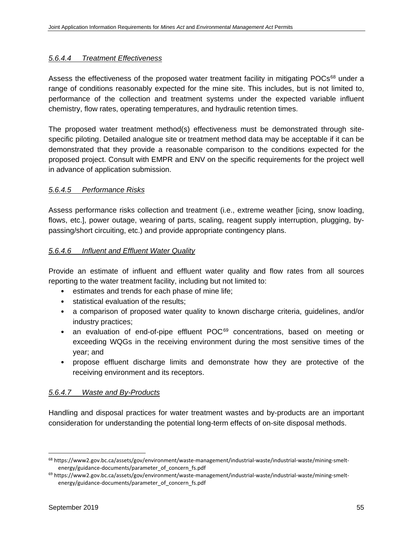### *5.6.4.4 Treatment Effectiveness*

Assess the effectiveness of the proposed water treatment facility in mitigating POCs<sup>[68](#page-66-0)</sup> under a range of conditions reasonably expected for the mine site. This includes, but is not limited to, performance of the collection and treatment systems under the expected variable influent chemistry, flow rates, operating temperatures, and hydraulic retention times.

The proposed water treatment method(s) effectiveness must be demonstrated through sitespecific piloting. Detailed analogue site or treatment method data may be acceptable if it can be demonstrated that they provide a reasonable comparison to the conditions expected for the proposed project. Consult with EMPR and ENV on the specific requirements for the project well in advance of application submission.

## *5.6.4.5 Performance Risks*

Assess performance risks collection and treatment (i.e., extreme weather [icing, snow loading, flows, etc.], power outage, wearing of parts, scaling, reagent supply interruption, plugging, bypassing/short circuiting, etc.) and provide appropriate contingency plans.

## *5.6.4.6 Influent and Effluent Water Quality*

Provide an estimate of influent and effluent water quality and flow rates from all sources reporting to the water treatment facility, including but not limited to:

- estimates and trends for each phase of mine life;
- statistical evaluation of the results;
- a comparison of proposed water quality to known discharge criteria, guidelines, and/or industry practices;
- an evaluation of end-of-pipe effluent POC<sup>[69](#page-66-1)</sup> concentrations, based on meeting or exceeding WQGs in the receiving environment during the most sensitive times of the year; and
- propose effluent discharge limits and demonstrate how they are protective of the receiving environment and its receptors.

#### *5.6.4.7 Waste and By-Products*

Handling and disposal practices for water treatment wastes and by-products are an important consideration for understanding the potential long-term effects of on-site disposal methods.

<span id="page-66-0"></span> <sup>68</sup> https://www2.gov.bc.ca/assets/gov/environment/waste-management/industrial-waste/industrial-waste/mining-smeltenergy/guidance-documents/parameter\_of\_concern\_fs.pdf

<span id="page-66-1"></span><sup>69</sup> https://www2.gov.bc.ca/assets/gov/environment/waste-management/industrial-waste/industrial-waste/mining-smeltenergy/guidance-documents/parameter\_of\_concern\_fs.pdf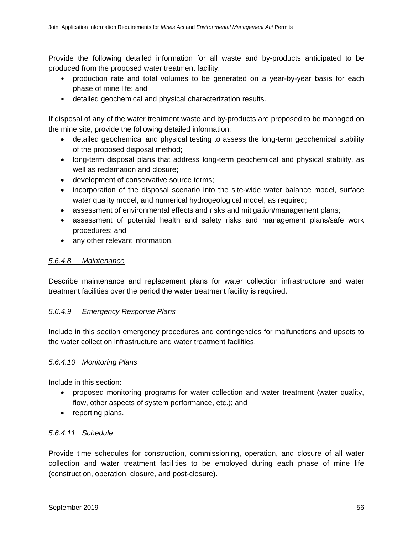Provide the following detailed information for all waste and by-products anticipated to be produced from the proposed water treatment facility:

- production rate and total volumes to be generated on a year-by-year basis for each phase of mine life; and
- detailed geochemical and physical characterization results.

If disposal of any of the water treatment waste and by-products are proposed to be managed on the mine site, provide the following detailed information:

- detailed geochemical and physical testing to assess the long-term geochemical stability of the proposed disposal method;
- long-term disposal plans that address long-term geochemical and physical stability, as well as reclamation and closure;
- development of conservative source terms;
- incorporation of the disposal scenario into the site-wide water balance model, surface water quality model, and numerical hydrogeological model, as required;
- assessment of environmental effects and risks and mitigation/management plans;
- assessment of potential health and safety risks and management plans/safe work procedures; and
- any other relevant information.

#### *5.6.4.8 Maintenance*

Describe maintenance and replacement plans for water collection infrastructure and water treatment facilities over the period the water treatment facility is required.

#### *5.6.4.9 Emergency Response Plans*

Include in this section emergency procedures and contingencies for malfunctions and upsets to the water collection infrastructure and water treatment facilities.

#### *5.6.4.10 Monitoring Plans*

Include in this section:

- proposed monitoring programs for water collection and water treatment (water quality, flow, other aspects of system performance, etc.); and
- reporting plans.

# *5.6.4.11 Schedule*

Provide time schedules for construction, commissioning, operation, and closure of all water collection and water treatment facilities to be employed during each phase of mine life (construction, operation, closure, and post-closure).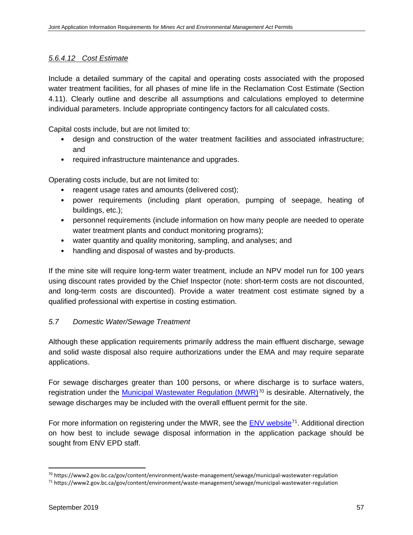## *5.6.4.12 Cost Estimate*

Include a detailed summary of the capital and operating costs associated with the proposed water treatment facilities, for all phases of mine life in the Reclamation Cost Estimate (Section 4.11). Clearly outline and describe all assumptions and calculations employed to determine individual parameters. Include appropriate contingency factors for all calculated costs.

Capital costs include, but are not limited to:

- design and construction of the water treatment facilities and associated infrastructure; and
- required infrastructure maintenance and upgrades.

Operating costs include, but are not limited to:

- reagent usage rates and amounts (delivered cost);
- power requirements (including plant operation, pumping of seepage, heating of buildings, etc.);
- personnel requirements (include information on how many people are needed to operate water treatment plants and conduct monitoring programs);
- water quantity and quality monitoring, sampling, and analyses; and
- handling and disposal of wastes and by-products.

If the mine site will require long-term water treatment, include an NPV model run for 100 years using discount rates provided by the Chief Inspector (note: short-term costs are not discounted, and long-term costs are discounted). Provide a water treatment cost estimate signed by a qualified professional with expertise in costing estimation.

#### *5.7 Domestic Water/Sewage Treatment*

Although these application requirements primarily address the main effluent discharge, sewage and solid waste disposal also require authorizations under the EMA and may require separate applications.

For sewage discharges greater than 100 persons, or where discharge is to surface waters, registration under the [Municipal Wastewater Regulation \(MWR\)](https://www2.gov.bc.ca/gov/content/environment/waste-management/sewage/municipal-wastewater-regulation)<sup>[70](#page-68-0)</sup> is desirable. Alternatively, the sewage discharges may be included with the overall effluent permit for the site.

For more information on registering under the MWR, see the **ENV** [website](https://www2.gov.bc.ca/gov/content/environment/waste-management/sewage/municipal-wastewater-regulation)<sup>71</sup>. Additional direction on how best to include sewage disposal information in the application package should be sought from ENV EPD staff.

<span id="page-68-0"></span> <sup>70</sup> https://www2.gov.bc.ca/gov/content/environment/waste-management/sewage/municipal-wastewater-regulation

<span id="page-68-1"></span><sup>71</sup> https://www2.gov.bc.ca/gov/content/environment/waste-management/sewage/municipal-wastewater-regulation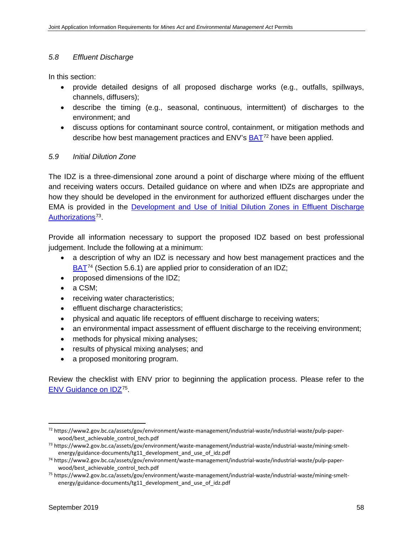## *5.8 Effluent Discharge*

In this section:

- provide detailed designs of all proposed discharge works (e.g., outfalls, spillways, channels, diffusers);
- describe the timing (e.g., seasonal, continuous, intermittent) of discharges to the environment; and
- discuss options for contaminant source control, containment, or mitigation methods and describe how best management practices and ENV's **BAT**<sup>[72](#page-69-0)</sup> have been applied.

## *5.9 Initial Dilution Zone*

The IDZ is a three-dimensional zone around a point of discharge where mixing of the effluent and receiving waters occurs. Detailed guidance on where and when IDZs are appropriate and how they should be developed in the environment for authorized effluent discharges under the EMA is provided in the [Development and Use of Initial Dilution Zones in Effluent Discharge](https://www2.gov.bc.ca/assets/gov/environment/waste-management/industrial-waste/industrial-waste/mining-smelt-energy/guidance-documents/tg11_development_and_use_of_idz.pdf)  [Authorizations](https://www2.gov.bc.ca/assets/gov/environment/waste-management/industrial-waste/industrial-waste/mining-smelt-energy/guidance-documents/tg11_development_and_use_of_idz.pdf)<sup>[73](#page-69-1)</sup>.

Provide all information necessary to support the proposed IDZ based on best professional judgement. Include the following at a minimum:

- a description of why an IDZ is necessary and how best management practices and the [BAT](https://www2.gov.bc.ca/assets/gov/environment/waste-management/industrial-waste/industrial-waste/pulp-paper-wood/best_achievable_control_tech.pdf)<sup>[74](#page-69-2)</sup> (Section 5.6.1) are applied prior to consideration of an IDZ;
- proposed dimensions of the IDZ;
- a CSM;
- receiving water characteristics;
- effluent discharge characteristics;
- physical and aquatic life receptors of effluent discharge to receiving waters;
- an environmental impact assessment of effluent discharge to the receiving environment;
- methods for physical mixing analyses;
- results of physical mixing analyses; and
- a proposed monitoring program.

Review the checklist with ENV prior to beginning the application process. Please refer to the [ENV Guidance on IDZ](https://www2.gov.bc.ca/assets/gov/environment/waste-management/industrial-waste/industrial-waste/mining-smelt-energy/guidance-documents/tg11_development_and_use_of_idz.pdf)[75](#page-69-3).

<span id="page-69-0"></span> <sup>72</sup> https://www2.gov.bc.ca/assets/gov/environment/waste-management/industrial-waste/industrial-waste/pulp-paperwood/best\_achievable\_control\_tech.pdf

<span id="page-69-1"></span><sup>73</sup> https://www2.gov.bc.ca/assets/gov/environment/waste-management/industrial-waste/industrial-waste/mining-smeltenergy/guidance-documents/tg11\_development\_and\_use\_of\_idz.pdf

<span id="page-69-2"></span><sup>74</sup> https://www2.gov.bc.ca/assets/gov/environment/waste-management/industrial-waste/industrial-waste/pulp-paperwood/best\_achievable\_control\_tech.pdf

<span id="page-69-3"></span><sup>75</sup> https://www2.gov.bc.ca/assets/gov/environment/waste-management/industrial-waste/industrial-waste/mining-smeltenergy/guidance-documents/tg11\_development\_and\_use\_of\_idz.pdf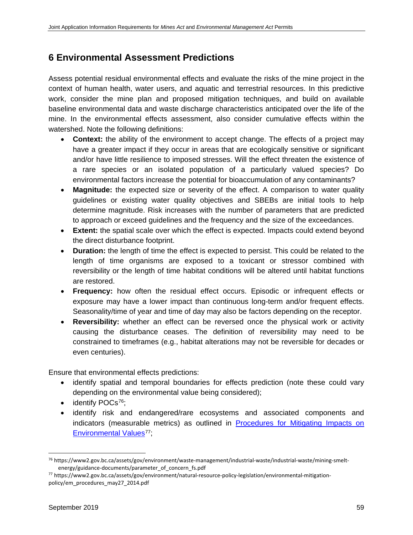# **6 Environmental Assessment Predictions**

Assess potential residual environmental effects and evaluate the risks of the mine project in the context of human health, water users, and aquatic and terrestrial resources. In this predictive work, consider the mine plan and proposed mitigation techniques, and build on available baseline environmental data and waste discharge characteristics anticipated over the life of the mine. In the environmental effects assessment, also consider cumulative effects within the watershed. Note the following definitions:

- **Context:** the ability of the environment to accept change. The effects of a project may have a greater impact if they occur in areas that are ecologically sensitive or significant and/or have little resilience to imposed stresses. Will the effect threaten the existence of a rare species or an isolated population of a particularly valued species? Do environmental factors increase the potential for bioaccumulation of any contaminants?
- **Magnitude:** the expected size or severity of the effect. A comparison to water quality guidelines or existing water quality objectives and SBEBs are initial tools to help determine magnitude. Risk increases with the number of parameters that are predicted to approach or exceed guidelines and the frequency and the size of the exceedances.
- **Extent:** the spatial scale over which the effect is expected. Impacts could extend beyond the direct disturbance footprint.
- **Duration:** the length of time the effect is expected to persist. This could be related to the length of time organisms are exposed to a toxicant or stressor combined with reversibility or the length of time habitat conditions will be altered until habitat functions are restored.
- **Frequency:** how often the residual effect occurs. Episodic or infrequent effects or exposure may have a lower impact than continuous long-term and/or frequent effects. Seasonality/time of year and time of day may also be factors depending on the receptor.
- **Reversibility:** whether an effect can be reversed once the physical work or activity causing the disturbance ceases. The definition of reversibility may need to be constrained to timeframes (e.g., habitat alterations may not be reversible for decades or even centuries).

Ensure that environmental effects predictions:

- identify spatial and temporal boundaries for effects prediction (note these could vary depending on the environmental value being considered);
- identify POCs<sup>76</sup>;
- identify risk and endangered/rare ecosystems and associated components and indicators (measurable metrics) as outlined in **Procedures for Mitigating Impacts on** [Environmental Values](https://www2.gov.bc.ca/assets/gov/environment/natural-resource-policy-legislation/environmental-mitigation-policy/em_procedures_may27_2014.pdf)<sup>[77](#page-70-1)</sup>;

<span id="page-70-0"></span> <sup>76</sup> https://www2.gov.bc.ca/assets/gov/environment/waste-management/industrial-waste/industrial-waste/mining-smeltenergy/guidance-documents/parameter\_of\_concern\_fs.pdf

<span id="page-70-1"></span><sup>77</sup> https://www2.gov.bc.ca/assets/gov/environment/natural-resource-policy-legislation/environmental-mitigationpolicy/em\_procedures\_may27\_2014.pdf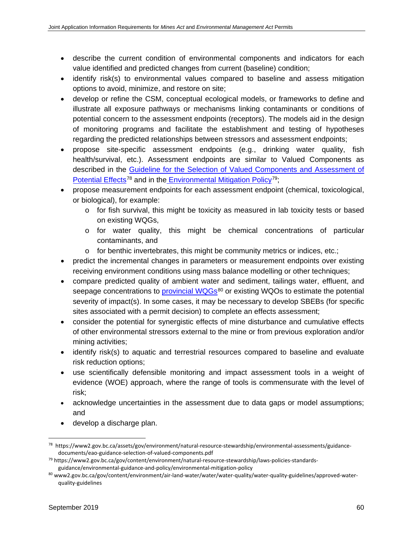- describe the current condition of environmental components and indicators for each value identified and predicted changes from current (baseline) condition;
- identify risk(s) to environmental values compared to baseline and assess mitigation options to avoid, minimize, and restore on site;
- develop or refine the CSM, conceptual ecological models, or frameworks to define and illustrate all exposure pathways or mechanisms linking contaminants or conditions of potential concern to the assessment endpoints (receptors). The models aid in the design of monitoring programs and facilitate the establishment and testing of hypotheses regarding the predicted relationships between stressors and assessment endpoints;
- propose site-specific assessment endpoints (e.g., drinking water quality, fish health/survival, etc.). Assessment endpoints are similar to Valued Components as described in the [Guideline for the Selection of Valued Components and Assessment of](https://www2.gov.bc.ca/assets/gov/environment/natural-resource-stewardship/environmental-assessments/guidance-documents/eao-guidance-selection-of-valued-components.pdf)  [Potential Effects](https://www2.gov.bc.ca/assets/gov/environment/natural-resource-stewardship/environmental-assessments/guidance-documents/eao-guidance-selection-of-valued-components.pdf)<sup>[78](#page-71-0)</sup> and in the [Environmental Mitigation Policy](https://www2.gov.bc.ca/gov/content/environment/natural-resource-stewardship/laws-policies-standards-guidance/environmental-guidance-and-policy/environmental-mitigation-policy)<sup>[79](#page-71-1)</sup>;
- propose measurement endpoints for each assessment endpoint (chemical, toxicological, or biological), for example:
	- $\circ$  for fish survival, this might be toxicity as measured in lab toxicity tests or based on existing WQGs,
	- o for water quality, this might be chemical concentrations of particular contaminants, and
	- $\circ$  for benthic invertebrates, this might be community metrics or indices, etc.;
- predict the incremental changes in parameters or measurement endpoints over existing receiving environment conditions using mass balance modelling or other techniques;
- compare predicted quality of ambient water and sediment, tailings water, effluent, and seepage concentrations to [provincial WQGs](http://www2.gov.bc.ca/gov/content/environment/air-land-water/water/water-quality/water-quality-guidelines/approved-water-quality-guidelines)<sup>[80](#page-71-2)</sup> or existing WQOs to estimate the potential severity of impact(s). In some cases, it may be necessary to develop SBEBs (for specific sites associated with a permit decision) to complete an effects assessment;
- consider the potential for synergistic effects of mine disturbance and cumulative effects of other environmental stressors external to the mine or from previous exploration and/or mining activities;
- identify risk(s) to aquatic and terrestrial resources compared to baseline and evaluate risk reduction options;
- use scientifically defensible monitoring and impact assessment tools in a weight of evidence (WOE) approach, where the range of tools is commensurate with the level of risk;
- acknowledge uncertainties in the assessment due to data gaps or model assumptions; and
- develop a discharge plan.

<span id="page-71-0"></span> <sup>78</sup> https://www2.gov.bc.ca/assets/gov/environment/natural-resource-stewardship/environmental-assessments/guidancedocuments/eao-guidance-selection-of-valued-components.pdf

<span id="page-71-1"></span><sup>79</sup> https://www2.gov.bc.ca/gov/content/environment/natural-resource-stewardship/laws-policies-standardsguidance/environmental-guidance-and-policy/environmental-mitigation-policy

<span id="page-71-2"></span><sup>80</sup> www2.gov.bc.ca/gov/content/environment/air-land-water/water/water-quality/water-quality-guidelines/approved-waterquality-guidelines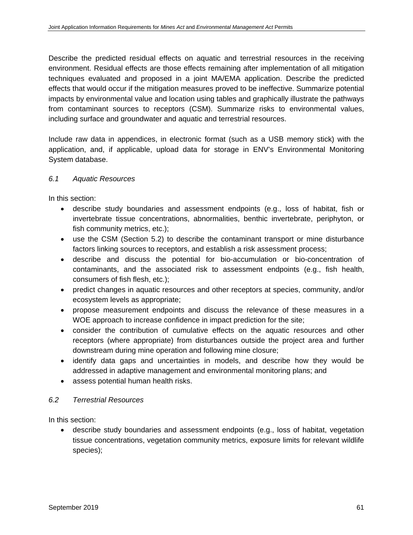Describe the predicted residual effects on aquatic and terrestrial resources in the receiving environment. Residual effects are those effects remaining after implementation of all mitigation techniques evaluated and proposed in a joint MA/EMA application. Describe the predicted effects that would occur if the mitigation measures proved to be ineffective. Summarize potential impacts by environmental value and location using tables and graphically illustrate the pathways from contaminant sources to receptors (CSM). Summarize risks to environmental values, including surface and groundwater and aquatic and terrestrial resources.

Include raw data in appendices, in electronic format (such as a USB memory stick) with the application, and, if applicable, upload data for storage in ENV's Environmental Monitoring System database.

# *6.1 Aquatic Resources*

In this section:

- describe study boundaries and assessment endpoints (e.g., loss of habitat, fish or invertebrate tissue concentrations, abnormalities, benthic invertebrate, periphyton, or fish community metrics, etc.);
- use the CSM (Section 5.2) to describe the contaminant transport or mine disturbance factors linking sources to receptors, and establish a risk assessment process;
- describe and discuss the potential for bio-accumulation or bio-concentration of contaminants, and the associated risk to assessment endpoints (e.g., fish health, consumers of fish flesh, etc.);
- predict changes in aquatic resources and other receptors at species, community, and/or ecosystem levels as appropriate;
- propose measurement endpoints and discuss the relevance of these measures in a WOE approach to increase confidence in impact prediction for the site;
- consider the contribution of cumulative effects on the aquatic resources and other receptors (where appropriate) from disturbances outside the project area and further downstream during mine operation and following mine closure;
- identify data gaps and uncertainties in models, and describe how they would be addressed in adaptive management and environmental monitoring plans; and
- assess potential human health risks.

# *6.2 Terrestrial Resources*

In this section:

• describe study boundaries and assessment endpoints (e.g., loss of habitat, vegetation tissue concentrations, vegetation community metrics, exposure limits for relevant wildlife species);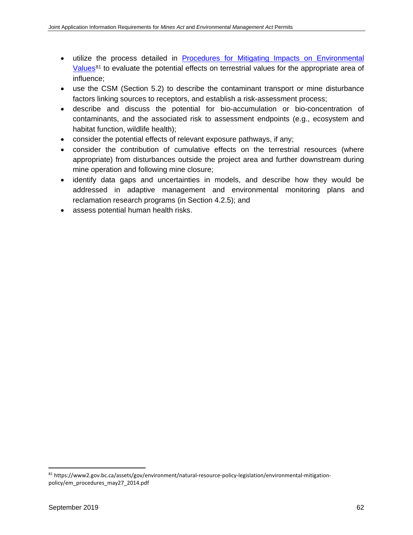- utilize the process detailed in [Procedures for Mitigating Impacts on Environmental](https://www2.gov.bc.ca/assets/gov/environment/natural-resource-policy-legislation/environmental-mitigation-policy/em_procedures_may27_2014.pdf)  [Values](https://www2.gov.bc.ca/assets/gov/environment/natural-resource-policy-legislation/environmental-mitigation-policy/em_procedures_may27_2014.pdf) $81$  to evaluate the potential effects on terrestrial values for the appropriate area of influence;
- use the CSM (Section 5.2) to describe the contaminant transport or mine disturbance factors linking sources to receptors, and establish a risk-assessment process;
- describe and discuss the potential for bio-accumulation or bio-concentration of contaminants, and the associated risk to assessment endpoints (e.g., ecosystem and habitat function, wildlife health);
- consider the potential effects of relevant exposure pathways, if any;
- consider the contribution of cumulative effects on the terrestrial resources (where appropriate) from disturbances outside the project area and further downstream during mine operation and following mine closure;
- identify data gaps and uncertainties in models, and describe how they would be addressed in adaptive management and environmental monitoring plans and reclamation research programs (in Section 4.2.5); and
- assess potential human health risks.

<span id="page-73-0"></span> <sup>81</sup> https://www2.gov.bc.ca/assets/gov/environment/natural-resource-policy-legislation/environmental-mitigationpolicy/em\_procedures\_may27\_2014.pdf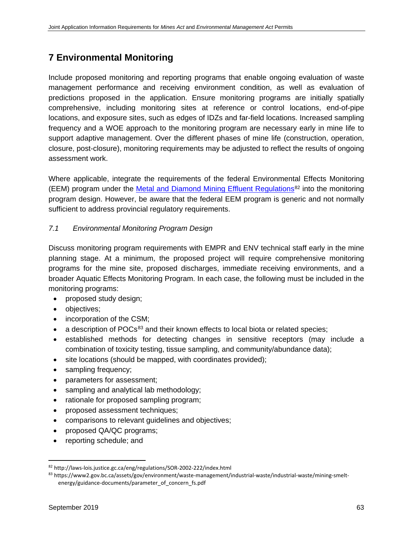# **7 Environmental Monitoring**

Include proposed monitoring and reporting programs that enable ongoing evaluation of waste management performance and receiving environment condition, as well as evaluation of predictions proposed in the application. Ensure monitoring programs are initially spatially comprehensive, including monitoring sites at reference or control locations, end-of-pipe locations, and exposure sites, such as edges of IDZs and far-field locations. Increased sampling frequency and a WOE approach to the monitoring program are necessary early in mine life to support adaptive management. Over the different phases of mine life (construction, operation, closure, post-closure), monitoring requirements may be adjusted to reflect the results of ongoing assessment work.

Where applicable, integrate the requirements of the federal Environmental Effects Monitoring (EEM) program under the [Metal and Diamond Mining Effluent Regulations](http://laws-lois.justice.gc.ca/eng/regulations/SOR-2002-222/index.html)<sup>[82](#page-74-0)</sup> into the monitoring program design. However, be aware that the federal EEM program is generic and not normally sufficient to address provincial regulatory requirements.

# *7.1 Environmental Monitoring Program Design*

Discuss monitoring program requirements with EMPR and ENV technical staff early in the mine planning stage. At a minimum, the proposed project will require comprehensive monitoring programs for the mine site, proposed discharges, immediate receiving environments, and a broader Aquatic Effects Monitoring Program. In each case, the following must be included in the monitoring programs:

- proposed study design;
- objectives;
- incorporation of the CSM;
- $\bullet$  a description of POCs<sup>[83](#page-74-1)</sup> and their known effects to local biota or related species;
- established methods for detecting changes in sensitive receptors (may include a combination of toxicity testing, tissue sampling, and community/abundance data);
- site locations (should be mapped, with coordinates provided);
- sampling frequency;
- parameters for assessment;
- sampling and analytical lab methodology;
- rationale for proposed sampling program;
- proposed assessment techniques;
- comparisons to relevant guidelines and objectives;
- proposed QA/QC programs;
- reporting schedule; and

<span id="page-74-0"></span> <sup>82</sup> http://laws-lois.justice.gc.ca/eng/regulations/SOR-2002-222/index.html

<span id="page-74-1"></span><sup>83</sup> https://www2.gov.bc.ca/assets/gov/environment/waste-management/industrial-waste/industrial-waste/mining-smeltenergy/guidance-documents/parameter\_of\_concern\_fs.pdf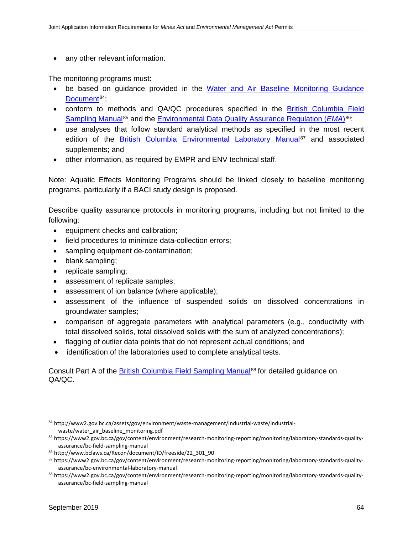any other relevant information.

The monitoring programs must:

- be based on guidance provided in the Water and Air Baseline Monitoring Guidance [Document](http://www2.gov.bc.ca/assets/gov/environment/waste-management/industrial-waste/industrial-waste/water_air_baseline_monitoring.pdf)<sup>84</sup>:
- conform to methods and QA/QC procedures specified in the [British Columbia Field](https://www2.gov.bc.ca/gov/content/environment/research-monitoring-reporting/monitoring/laboratory-standards-quality-assurance/bc-field-sampling-manual)  [Sampling Manual](https://www2.gov.bc.ca/gov/content/environment/research-monitoring-reporting/monitoring/laboratory-standards-quality-assurance/bc-field-sampling-manual)<sup>[85](#page-75-1)</sup> and the [Environmental Data Quality Assurance Regulation \(](http://www.bclaws.ca/Recon/document/ID/freeside/22_301_90)*EMA*)<sup>[86](#page-75-2)</sup>;
- use analyses that follow standard analytical methods as specified in the most recent edition of the [British Columbia Environmental Laboratory Manual](https://www2.gov.bc.ca/gov/content/environment/research-monitoring-reporting/monitoring/laboratory-standards-quality-assurance/bc-environmental-laboratory-manual)<sup>[87](#page-75-3)</sup> and associated supplements; and
- other information, as required by EMPR and ENV technical staff.

Note: Aquatic Effects Monitoring Programs should be linked closely to baseline monitoring programs, particularly if a BACI study design is proposed.

Describe quality assurance protocols in monitoring programs, including but not limited to the following:

- equipment checks and calibration;
- field procedures to minimize data-collection errors;
- sampling equipment de-contamination;
- blank sampling;
- replicate sampling;
- assessment of replicate samples;
- assessment of ion balance (where applicable);
- assessment of the influence of suspended solids on dissolved concentrations in groundwater samples;
- comparison of aggregate parameters with analytical parameters (e.g., conductivity with total dissolved solids, total dissolved solids with the sum of analyzed concentrations);
- flagging of outlier data points that do not represent actual conditions; and
- identification of the laboratories used to complete analytical tests.

Consult Part A of the **British Columbia Field Sampling Manual<sup>[88](#page-75-4)</sup> for detailed guidance on** QA/QC.

<span id="page-75-0"></span> <sup>84</sup> http://www2.gov.bc.ca/assets/gov/environment/waste-management/industrial-waste/industrialwaste/water\_air\_baseline\_monitoring.pdf

<span id="page-75-1"></span><sup>85</sup> https://www2.gov.bc.ca/gov/content/environment/research-monitoring-reporting/monitoring/laboratory-standards-qualityassurance/bc-field-sampling-manual

<span id="page-75-2"></span><sup>86</sup> http://www.bclaws.ca/Recon/document/ID/freeside/22\_301\_90

<span id="page-75-3"></span><sup>87</sup> https://www2.gov.bc.ca/gov/content/environment/research-monitoring-reporting/monitoring/laboratory-standards-qualityassurance/bc-environmental-laboratory-manual

<span id="page-75-4"></span><sup>88</sup> https://www2.gov.bc.ca/gov/content/environment/research-monitoring-reporting/monitoring/laboratory-standards-qualityassurance/bc-field-sampling-manual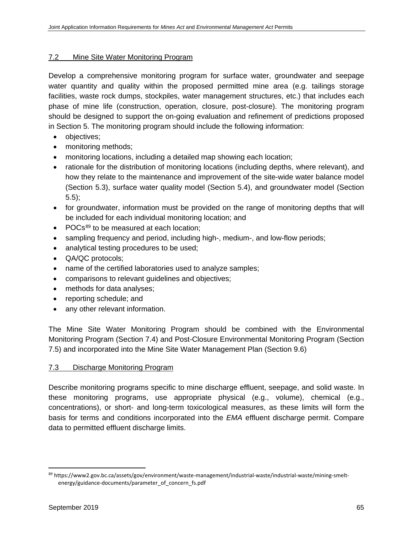#### 7.2 Mine Site Water Monitoring Program

Develop a comprehensive monitoring program for surface water, groundwater and seepage water quantity and quality within the proposed permitted mine area (e.g. tailings storage facilities, waste rock dumps, stockpiles, water management structures, etc.) that includes each phase of mine life (construction, operation, closure, post-closure). The monitoring program should be designed to support the on-going evaluation and refinement of predictions proposed in Section 5. The monitoring program should include the following information:

- objectives;
- monitoring methods;
- monitoring locations, including a detailed map showing each location;
- rationale for the distribution of monitoring locations (including depths, where relevant), and how they relate to the maintenance and improvement of the site-wide water balance model (Section 5.3), surface water quality model (Section 5.4), and groundwater model (Section 5.5);
- for groundwater, information must be provided on the range of monitoring depths that will be included for each individual monitoring location; and
- POCs<sup>[89](#page-76-0)</sup> to be measured at each location:
- sampling frequency and period, including high-, medium-, and low-flow periods;
- analytical testing procedures to be used;
- QA/QC protocols;
- name of the certified laboratories used to analyze samples;
- comparisons to relevant guidelines and objectives;
- methods for data analyses;
- reporting schedule; and
- any other relevant information.

The Mine Site Water Monitoring Program should be combined with the Environmental Monitoring Program (Section 7.4) and Post-Closure Environmental Monitoring Program (Section 7.5) and incorporated into the Mine Site Water Management Plan (Section 9.6)

#### 7.3 Discharge Monitoring Program

Describe monitoring programs specific to mine discharge effluent, seepage, and solid waste. In these monitoring programs, use appropriate physical (e.g., volume), chemical (e.g., concentrations), or short- and long-term toxicological measures, as these limits will form the basis for terms and conditions incorporated into the *EMA* effluent discharge permit. Compare data to permitted effluent discharge limits.

<span id="page-76-0"></span> <sup>89</sup> https://www2.gov.bc.ca/assets/gov/environment/waste-management/industrial-waste/industrial-waste/mining-smeltenergy/guidance-documents/parameter\_of\_concern\_fs.pdf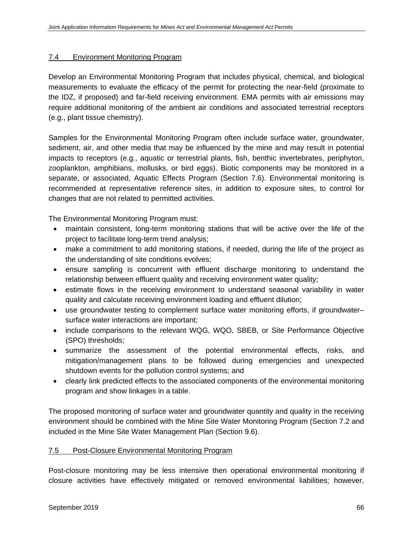#### 7.4 Environment Monitoring Program

Develop an Environmental Monitoring Program that includes physical, chemical, and biological measurements to evaluate the efficacy of the permit for protecting the near-field (proximate to the IDZ, if proposed) and far-field receiving environment. EMA permits with air emissions may require additional monitoring of the ambient air conditions and associated terrestrial receptors (e.g., plant tissue chemistry).

Samples for the Environmental Monitoring Program often include surface water, groundwater, sediment, air, and other media that may be influenced by the mine and may result in potential impacts to receptors (e.g., aquatic or terrestrial plants, fish, benthic invertebrates, periphyton, zooplankton, amphibians, mollusks, or bird eggs). Biotic components may be monitored in a separate, or associated, Aquatic Effects Program (Section 7.6). Environmental monitoring is recommended at representative reference sites, in addition to exposure sites, to control for changes that are not related to permitted activities.

The Environmental Monitoring Program must:

- maintain consistent, long-term monitoring stations that will be active over the life of the project to facilitate long-term trend analysis;
- make a commitment to add monitoring stations, if needed, during the life of the project as the understanding of site conditions evolves;
- ensure sampling is concurrent with effluent discharge monitoring to understand the relationship between effluent quality and receiving environment water quality;
- estimate flows in the receiving environment to understand seasonal variability in water quality and calculate receiving environment loading and effluent dilution;
- use groundwater testing to complement surface water monitoring efforts, if groundwater– surface water interactions are important;
- include comparisons to the relevant WQG, WQO, SBEB, or Site Performance Objective (SPO) thresholds;
- summarize the assessment of the potential environmental effects, risks, and mitigation/management plans to be followed during emergencies and unexpected shutdown events for the pollution control systems; and
- clearly link predicted effects to the associated components of the environmental monitoring program and show linkages in a table.

The proposed monitoring of surface water and groundwater quantity and quality in the receiving environment should be combined with the Mine Site Water Monitoring Program (Section 7.2 and included in the Mine Site Water Management Plan (Section 9.6).

#### 7.5 Post-Closure Environmental Monitoring Program

Post-closure monitoring may be less intensive then operational environmental monitoring if closure activities have effectively mitigated or removed environmental liabilities; however,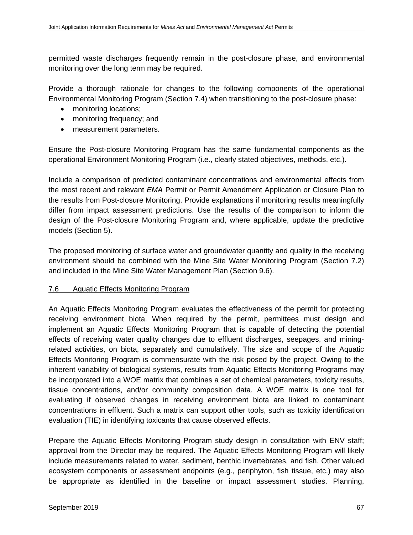permitted waste discharges frequently remain in the post-closure phase, and environmental monitoring over the long term may be required.

Provide a thorough rationale for changes to the following components of the operational Environmental Monitoring Program (Section 7.4) when transitioning to the post-closure phase:

- monitoring locations;
- monitoring frequency; and
- measurement parameters.

Ensure the Post-closure Monitoring Program has the same fundamental components as the operational Environment Monitoring Program (i.e., clearly stated objectives, methods, etc.).

Include a comparison of predicted contaminant concentrations and environmental effects from the most recent and relevant *EMA* Permit or Permit Amendment Application or Closure Plan to the results from Post-closure Monitoring. Provide explanations if monitoring results meaningfully differ from impact assessment predictions. Use the results of the comparison to inform the design of the Post-closure Monitoring Program and, where applicable, update the predictive models (Section 5).

The proposed monitoring of surface water and groundwater quantity and quality in the receiving environment should be combined with the Mine Site Water Monitoring Program (Section 7.2) and included in the Mine Site Water Management Plan (Section 9.6).

#### 7.6 Aquatic Effects Monitoring Program

An Aquatic Effects Monitoring Program evaluates the effectiveness of the permit for protecting receiving environment biota. When required by the permit, permittees must design and implement an Aquatic Effects Monitoring Program that is capable of detecting the potential effects of receiving water quality changes due to effluent discharges, seepages, and miningrelated activities, on biota, separately and cumulatively. The size and scope of the Aquatic Effects Monitoring Program is commensurate with the risk posed by the project. Owing to the inherent variability of biological systems, results from Aquatic Effects Monitoring Programs may be incorporated into a WOE matrix that combines a set of chemical parameters, toxicity results, tissue concentrations, and/or community composition data. A WOE matrix is one tool for evaluating if observed changes in receiving environment biota are linked to contaminant concentrations in effluent. Such a matrix can support other tools, such as toxicity identification evaluation (TIE) in identifying toxicants that cause observed effects.

Prepare the Aquatic Effects Monitoring Program study design in consultation with ENV staff; approval from the Director may be required. The Aquatic Effects Monitoring Program will likely include measurements related to water, sediment, benthic invertebrates, and fish. Other valued ecosystem components or assessment endpoints (e.g., periphyton, fish tissue, etc.) may also be appropriate as identified in the baseline or impact assessment studies. Planning,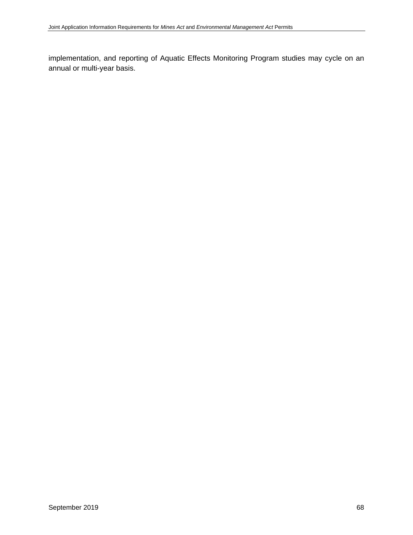implementation, and reporting of Aquatic Effects Monitoring Program studies may cycle on an annual or multi-year basis.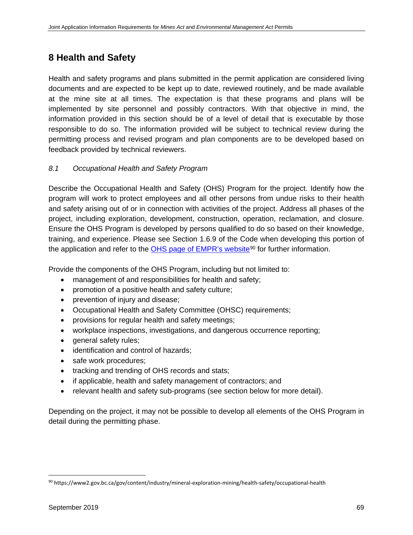# **8 Health and Safety**

Health and safety programs and plans submitted in the permit application are considered living documents and are expected to be kept up to date, reviewed routinely, and be made available at the mine site at all times. The expectation is that these programs and plans will be implemented by site personnel and possibly contractors. With that objective in mind, the information provided in this section should be of a level of detail that is executable by those responsible to do so. The information provided will be subject to technical review during the permitting process and revised program and plan components are to be developed based on feedback provided by technical reviewers.

# *8.1 Occupational Health and Safety Program*

Describe the Occupational Health and Safety (OHS) Program for the project. Identify how the program will work to protect employees and all other persons from undue risks to their health and safety arising out of or in connection with activities of the project. Address all phases of the project, including exploration, development, construction, operation, reclamation, and closure. Ensure the OHS Program is developed by persons qualified to do so based on their knowledge, training, and experience. Please see Section 1.6.9 of the Code when developing this portion of the application and refer to the [OHS page of EMPR's website](https://www2.gov.bc.ca/gov/content/industry/mineral-exploration-mining/health-safety/occupational-health)<sup>[90](#page-80-0)</sup> for further information.

Provide the components of the OHS Program, including but not limited to:

- management of and responsibilities for health and safety;
- promotion of a positive health and safety culture;
- prevention of injury and disease;
- Occupational Health and Safety Committee (OHSC) requirements;
- provisions for regular health and safety meetings;
- workplace inspections, investigations, and dangerous occurrence reporting;
- general safety rules;
- identification and control of hazards;
- safe work procedures;
- tracking and trending of OHS records and stats;
- if applicable, health and safety management of contractors; and
- relevant health and safety sub-programs (see section below for more detail).

Depending on the project, it may not be possible to develop all elements of the OHS Program in detail during the permitting phase.

<span id="page-80-0"></span> <sup>90</sup> https://www2.gov.bc.ca/gov/content/industry/mineral-exploration-mining/health-safety/occupational-health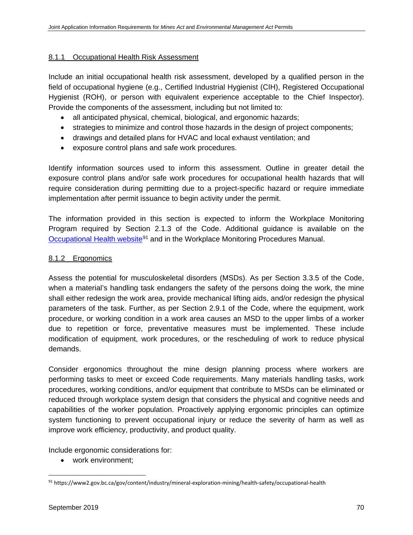#### 8.1.1 Occupational Health Risk Assessment

Include an initial occupational health risk assessment, developed by a qualified person in the field of occupational hygiene (e.g., Certified Industrial Hygienist (CIH), Registered Occupational Hygienist (ROH), or person with equivalent experience acceptable to the Chief Inspector). Provide the components of the assessment, including but not limited to:

- all anticipated physical, chemical, biological, and ergonomic hazards;
- strategies to minimize and control those hazards in the design of project components;
- drawings and detailed plans for HVAC and local exhaust ventilation; and
- exposure control plans and safe work procedures.

Identify information sources used to inform this assessment. Outline in greater detail the exposure control plans and/or safe work procedures for occupational health hazards that will require consideration during permitting due to a project-specific hazard or require immediate implementation after permit issuance to begin activity under the permit.

The information provided in this section is expected to inform the Workplace Monitoring Program required by Section 2.1.3 of the Code. Additional guidance is available on the [Occupational Health](https://www2.gov.bc.ca/gov/content/industry/mineral-exploration-mining/health-safety/occupational-health) website<sup>[91](#page-81-0)</sup> and in the Workplace Monitoring Procedures Manual.

#### 8.1.2 Ergonomics

Assess the potential for musculoskeletal disorders (MSDs). As per Section 3.3.5 of the Code, when a material's handling task endangers the safety of the persons doing the work, the mine shall either redesign the work area, provide mechanical lifting aids, and/or redesign the physical parameters of the task. Further, as per Section 2.9.1 of the Code, where the equipment, work procedure, or working condition in a work area causes an MSD to the upper limbs of a worker due to repetition or force, preventative measures must be implemented. These include modification of equipment, work procedures, or the rescheduling of work to reduce physical demands.

Consider ergonomics throughout the mine design planning process where workers are performing tasks to meet or exceed Code requirements. Many materials handling tasks, work procedures, working conditions, and/or equipment that contribute to MSDs can be eliminated or reduced through workplace system design that considers the physical and cognitive needs and capabilities of the worker population. Proactively applying ergonomic principles can optimize system functioning to prevent occupational injury or reduce the severity of harm as well as improve work efficiency, productivity, and product quality.

Include ergonomic considerations for:

• work environment;

<span id="page-81-0"></span> <sup>91</sup> https://www2.gov.bc.ca/gov/content/industry/mineral-exploration-mining/health-safety/occupational-health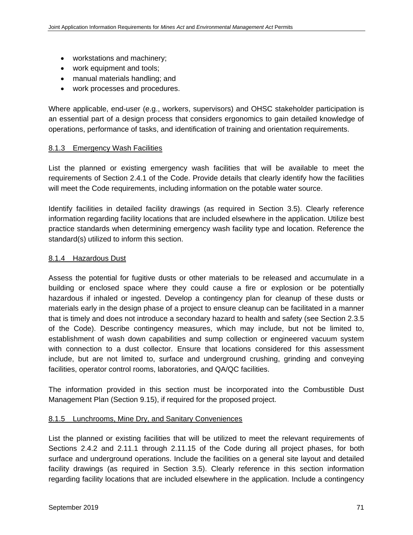- workstations and machinery;
- work equipment and tools;
- manual materials handling; and
- work processes and procedures.

Where applicable, end-user (e.g., workers, supervisors) and OHSC stakeholder participation is an essential part of a design process that considers ergonomics to gain detailed knowledge of operations, performance of tasks, and identification of training and orientation requirements.

# 8.1.3 Emergency Wash Facilities

List the planned or existing emergency wash facilities that will be available to meet the requirements of Section 2.4.1 of the Code. Provide details that clearly identify how the facilities will meet the Code requirements, including information on the potable water source.

Identify facilities in detailed facility drawings (as required in Section 3.5). Clearly reference information regarding facility locations that are included elsewhere in the application. Utilize best practice standards when determining emergency wash facility type and location. Reference the standard(s) utilized to inform this section.

# 8.1.4 Hazardous Dust

Assess the potential for fugitive dusts or other materials to be released and accumulate in a building or enclosed space where they could cause a fire or explosion or be potentially hazardous if inhaled or ingested. Develop a contingency plan for cleanup of these dusts or materials early in the design phase of a project to ensure cleanup can be facilitated in a manner that is timely and does not introduce a secondary hazard to health and safety (see Section 2.3.5 of the Code). Describe contingency measures, which may include, but not be limited to, establishment of wash down capabilities and sump collection or engineered vacuum system with connection to a dust collector. Ensure that locations considered for this assessment include, but are not limited to, surface and underground crushing, grinding and conveying facilities, operator control rooms, laboratories, and QA/QC facilities.

The information provided in this section must be incorporated into the Combustible Dust Management Plan (Section 9.15), if required for the proposed project.

#### 8.1.5 Lunchrooms, Mine Dry, and Sanitary Conveniences

List the planned or existing facilities that will be utilized to meet the relevant requirements of Sections 2.4.2 and 2.11.1 through 2.11.15 of the Code during all project phases, for both surface and underground operations. Include the facilities on a general site layout and detailed facility drawings (as required in Section 3.5). Clearly reference in this section information regarding facility locations that are included elsewhere in the application. Include a contingency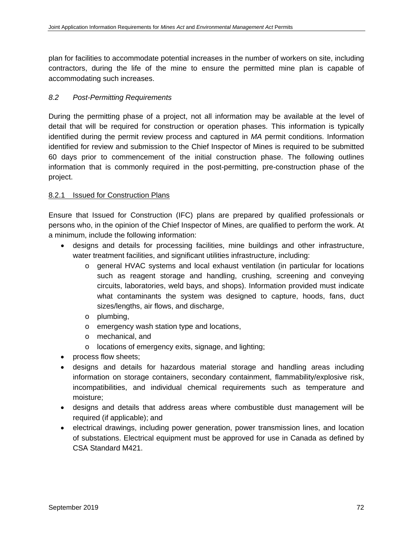plan for facilities to accommodate potential increases in the number of workers on site, including contractors, during the life of the mine to ensure the permitted mine plan is capable of accommodating such increases.

# *8.2 Post-Permitting Requirements*

During the permitting phase of a project, not all information may be available at the level of detail that will be required for construction or operation phases. This information is typically identified during the permit review process and captured in *MA* permit conditions. Information identified for review and submission to the Chief Inspector of Mines is required to be submitted 60 days prior to commencement of the initial construction phase. The following outlines information that is commonly required in the post-permitting, pre-construction phase of the project.

# 8.2.1 Issued for Construction Plans

Ensure that Issued for Construction (IFC) plans are prepared by qualified professionals or persons who, in the opinion of the Chief Inspector of Mines, are qualified to perform the work. At a minimum, include the following information:

- designs and details for processing facilities, mine buildings and other infrastructure, water treatment facilities, and significant utilities infrastructure, including:
	- o general HVAC systems and local exhaust ventilation (in particular for locations such as reagent storage and handling, crushing, screening and conveying circuits, laboratories, weld bays, and shops). Information provided must indicate what contaminants the system was designed to capture, hoods, fans, duct sizes/lengths, air flows, and discharge,
	- o plumbing,
	- o emergency wash station type and locations,
	- o mechanical, and
	- o locations of emergency exits, signage, and lighting;
- process flow sheets;
- designs and details for hazardous material storage and handling areas including information on storage containers, secondary containment, flammability/explosive risk, incompatibilities, and individual chemical requirements such as temperature and moisture;
- designs and details that address areas where combustible dust management will be required (if applicable); and
- electrical drawings, including power generation, power transmission lines, and location of substations. Electrical equipment must be approved for use in Canada as defined by CSA Standard M421.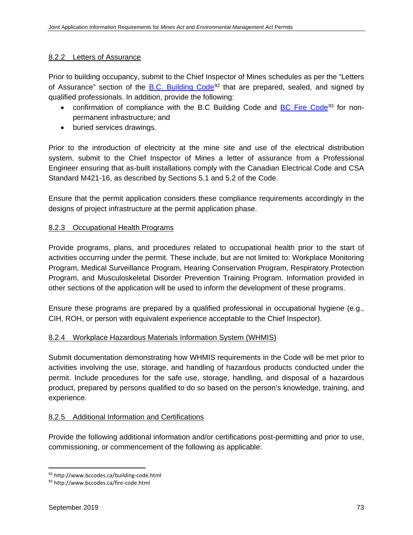#### 8.2.2 Letters of Assurance

Prior to building occupancy, submit to the Chief Inspector of Mines schedules as per the "Letters of Assurance" section of the B.C. Building  $Code^{92}$  $Code^{92}$  $Code^{92}$  that are prepared, sealed, and signed by qualified professionals. In addition, provide the following:

- confirmation of compliance with the B.C Building Code and **[BC Fire Code](http://www.bccodes.ca/fire-code.html)**<sup>[93](#page-84-1)</sup> for nonpermanent infrastructure; and
- buried services drawings.

Prior to the introduction of electricity at the mine site and use of the electrical distribution system, submit to the Chief Inspector of Mines a letter of assurance from a Professional Engineer ensuring that as-built installations comply with the Canadian Electrical Code and CSA Standard M421-16, as described by Sections 5.1 and 5.2 of the Code.

Ensure that the permit application considers these compliance requirements accordingly in the designs of project infrastructure at the permit application phase.

# 8.2.3 Occupational Health Programs

Provide programs, plans, and procedures related to occupational health prior to the start of activities occurring under the permit. These include, but are not limited to: Workplace Monitoring Program, Medical Surveillance Program, Hearing Conservation Program, Respiratory Protection Program, and Musculoskeletal Disorder Prevention Training Program. Information provided in other sections of the application will be used to inform the development of these programs.

Ensure these programs are prepared by a qualified professional in occupational hygiene (e.g., CIH, ROH, or person with equivalent experience acceptable to the Chief Inspector).

# 8.2.4 Workplace Hazardous Materials Information System (WHMIS)

Submit documentation demonstrating how WHMIS requirements in the Code will be met prior to activities involving the use, storage, and handling of hazardous products conducted under the permit. Include procedures for the safe use, storage, handling, and disposal of a hazardous product, prepared by persons qualified to do so based on the person's knowledge, training, and experience.

#### 8.2.5 Additional Information and Certifications

Provide the following additional information and/or certifications post-permitting and prior to use, commissioning, or commencement of the following as applicable:

<span id="page-84-0"></span> <sup>92</sup> http://www.bccodes.ca/building-code.html

<span id="page-84-1"></span><sup>93</sup> http://www.bccodes.ca/fire-code.html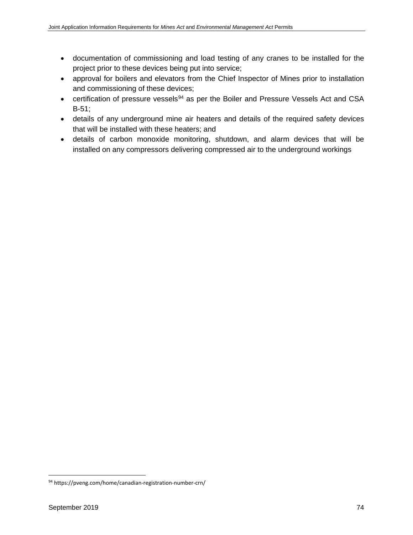- documentation of commissioning and load testing of any cranes to be installed for the project prior to these devices being put into service;
- approval for boilers and elevators from the Chief Inspector of Mines prior to installation and commissioning of these devices;
- certification of pressure vessels<sup>[94](#page-85-0)</sup> as per the Boiler and Pressure Vessels Act and CSA B-51;
- details of any underground mine air heaters and details of the required safety devices that will be installed with these heaters; and
- details of carbon monoxide monitoring, shutdown, and alarm devices that will be installed on any compressors delivering compressed air to the underground workings

<span id="page-85-0"></span> <sup>94</sup> https://pveng.com/home/canadian-registration-number-crn/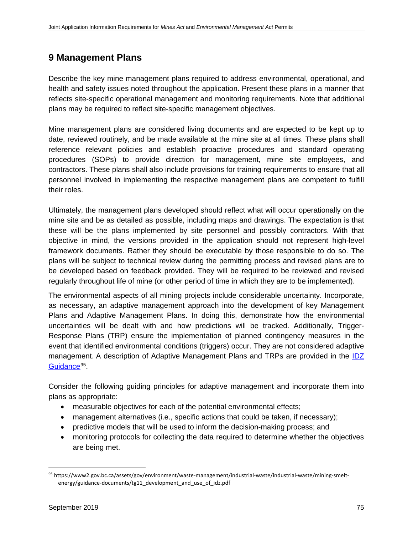# **9 Management Plans**

Describe the key mine management plans required to address environmental, operational, and health and safety issues noted throughout the application. Present these plans in a manner that reflects site-specific operational management and monitoring requirements. Note that additional plans may be required to reflect site-specific management objectives.

Mine management plans are considered living documents and are expected to be kept up to date, reviewed routinely, and be made available at the mine site at all times. These plans shall reference relevant policies and establish proactive procedures and standard operating procedures (SOPs) to provide direction for management, mine site employees, and contractors. These plans shall also include provisions for training requirements to ensure that all personnel involved in implementing the respective management plans are competent to fulfill their roles.

Ultimately, the management plans developed should reflect what will occur operationally on the mine site and be as detailed as possible, including maps and drawings. The expectation is that these will be the plans implemented by site personnel and possibly contractors. With that objective in mind, the versions provided in the application should not represent high-level framework documents. Rather they should be executable by those responsible to do so. The plans will be subject to technical review during the permitting process and revised plans are to be developed based on feedback provided. They will be required to be reviewed and revised regularly throughout life of mine (or other period of time in which they are to be implemented).

The environmental aspects of all mining projects include considerable uncertainty. Incorporate, as necessary, an adaptive management approach into the development of key Management Plans and Adaptive Management Plans. In doing this, demonstrate how the environmental uncertainties will be dealt with and how predictions will be tracked. Additionally, Trigger-Response Plans (TRP) ensure the implementation of planned contingency measures in the event that identified environmental conditions (triggers) occur. They are not considered adaptive management. A description of Adaptive Management Plans and TRPs are provided in the **IDZ** [Guidance](https://www2.gov.bc.ca/assets/gov/environment/waste-management/industrial-waste/industrial-waste/mining-smelt-energy/guidance-documents/tg11_development_and_use_of_idz.pdf)<sup>[95](#page-86-0)</sup>.

Consider the following guiding principles for adaptive management and incorporate them into plans as appropriate:

- measurable objectives for each of the potential environmental effects;
- management alternatives (i.e., specific actions that could be taken, if necessary);
- predictive models that will be used to inform the decision-making process; and
- monitoring protocols for collecting the data required to determine whether the objectives are being met.

<span id="page-86-0"></span> <sup>95</sup> https://www2.gov.bc.ca/assets/gov/environment/waste-management/industrial-waste/industrial-waste/mining-smeltenergy/guidance-documents/tg11\_development\_and\_use\_of\_idz.pdf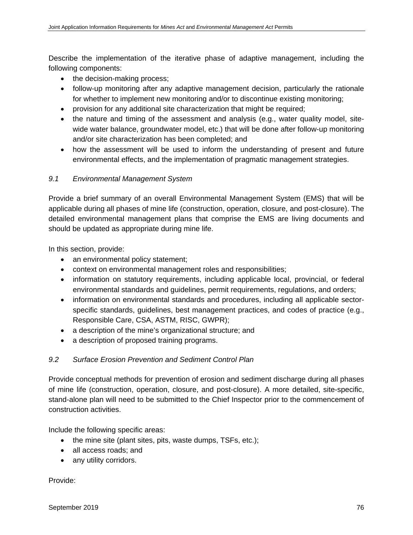Describe the implementation of the iterative phase of adaptive management, including the following components:

- the decision-making process;
- follow-up monitoring after any adaptive management decision, particularly the rationale for whether to implement new monitoring and/or to discontinue existing monitoring;
- provision for any additional site characterization that might be required;
- the nature and timing of the assessment and analysis (e.g., water quality model, sitewide water balance, groundwater model, etc.) that will be done after follow-up monitoring and/or site characterization has been completed; and
- how the assessment will be used to inform the understanding of present and future environmental effects, and the implementation of pragmatic management strategies.

# *9.1 Environmental Management System*

Provide a brief summary of an overall Environmental Management System (EMS) that will be applicable during all phases of mine life (construction, operation, closure, and post-closure). The detailed environmental management plans that comprise the EMS are living documents and should be updated as appropriate during mine life.

In this section, provide:

- an environmental policy statement;
- context on environmental management roles and responsibilities;
- information on statutory requirements, including applicable local, provincial, or federal environmental standards and guidelines, permit requirements, regulations, and orders;
- information on environmental standards and procedures, including all applicable sectorspecific standards, guidelines, best management practices, and codes of practice (e.g., Responsible Care, CSA, ASTM, RISC, GWPR);
- a description of the mine's organizational structure; and
- a description of proposed training programs.

# *9.2 Surface Erosion Prevention and Sediment Control Plan*

Provide conceptual methods for prevention of erosion and sediment discharge during all phases of mine life (construction, operation, closure, and post-closure). A more detailed, site-specific, stand-alone plan will need to be submitted to the Chief Inspector prior to the commencement of construction activities.

Include the following specific areas:

- the mine site (plant sites, pits, waste dumps, TSFs, etc.);
- all access roads; and
- any utility corridors.

Provide: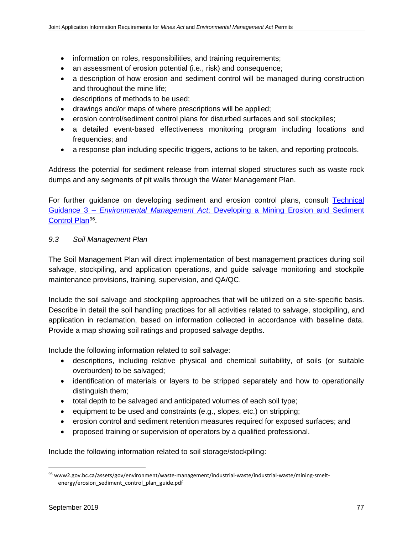- information on roles, responsibilities, and training requirements;
- an assessment of erosion potential (i.e., risk) and consequence;
- a description of how erosion and sediment control will be managed during construction and throughout the mine life;
- descriptions of methods to be used;
- drawings and/or maps of where prescriptions will be applied;
- erosion control/sediment control plans for disturbed surfaces and soil stockpiles;
- a detailed event-based effectiveness monitoring program including locations and frequencies; and
- a response plan including specific triggers, actions to be taken, and reporting protocols.

Address the potential for sediment release from internal sloped structures such as waste rock dumps and any segments of pit walls through the Water Management Plan.

For further guidance on developing sediment and erosion control plans, consult Technical Guidance 3 – *Environmental Management Act*[: Developing a Mining Erosion and](http://www2.gov.bc.ca/assets/gov/environment/waste-management/industrial-waste/industrial-waste/mining-smelt-energy/erosion_sediment_control_plan_guide.pdf) Sediment [Control Plan](http://www2.gov.bc.ca/assets/gov/environment/waste-management/industrial-waste/industrial-waste/mining-smelt-energy/erosion_sediment_control_plan_guide.pdf)<sup>96</sup>.

#### *9.3 Soil Management Plan*

The Soil Management Plan will direct implementation of best management practices during soil salvage, stockpiling, and application operations, and guide salvage monitoring and stockpile maintenance provisions, training, supervision, and QA/QC.

Include the soil salvage and stockpiling approaches that will be utilized on a site-specific basis. Describe in detail the soil handling practices for all activities related to salvage, stockpiling, and application in reclamation, based on information collected in accordance with baseline data. Provide a map showing soil ratings and proposed salvage depths.

Include the following information related to soil salvage:

- descriptions, including relative physical and chemical suitability, of soils (or suitable overburden) to be salvaged;
- identification of materials or layers to be stripped separately and how to operationally distinguish them;
- total depth to be salvaged and anticipated volumes of each soil type;
- equipment to be used and constraints (e.g., slopes, etc.) on stripping;
- erosion control and sediment retention measures required for exposed surfaces; and
- proposed training or supervision of operators by a qualified professional.

Include the following information related to soil storage/stockpiling:

<span id="page-88-0"></span> <sup>96</sup> www2.gov.bc.ca/assets/gov/environment/waste-management/industrial-waste/industrial-waste/mining-smeltenergy/erosion\_sediment\_control\_plan\_guide.pdf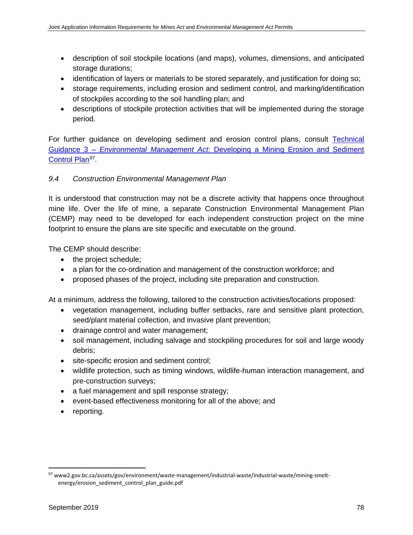- description of soil stockpile locations (and maps), volumes, dimensions, and anticipated storage durations;
- identification of layers or materials to be stored separately, and justification for doing so;
- storage requirements, including erosion and sediment control, and marking/identification of stockpiles according to the soil handling plan; and
- descriptions of stockpile protection activities that will be implemented during the storage period.

For further guidance on developing sediment and erosion control plans, consult [Technical](http://www2.gov.bc.ca/assets/gov/environment/waste-management/industrial-waste/industrial-waste/mining-smelt-energy/erosion_sediment_control_plan_guide.pdf)  Guidance 3 – *Environmental Management Act*[: Developing a Mining Erosion and Sediment](http://www2.gov.bc.ca/assets/gov/environment/waste-management/industrial-waste/industrial-waste/mining-smelt-energy/erosion_sediment_control_plan_guide.pdf)  [Control Plan](http://www2.gov.bc.ca/assets/gov/environment/waste-management/industrial-waste/industrial-waste/mining-smelt-energy/erosion_sediment_control_plan_guide.pdf)<sup>97</sup>.

# *9.4 Construction Environmental Management Plan*

It is understood that construction may not be a discrete activity that happens once throughout mine life. Over the life of mine, a separate Construction Environmental Management Plan (CEMP) may need to be developed for each independent construction project on the mine footprint to ensure the plans are site specific and executable on the ground.

The CEMP should describe:

- the project schedule;
- a plan for the co-ordination and management of the construction workforce; and
- proposed phases of the project, including site preparation and construction.

At a minimum, address the following, tailored to the construction activities/locations proposed:

- vegetation management, including buffer setbacks, rare and sensitive plant protection, seed/plant material collection, and invasive plant prevention;
- drainage control and water management;
- soil management, including salvage and stockpiling procedures for soil and large woody debris;
- site-specific erosion and sediment control;
- wildlife protection, such as timing windows, wildlife-human interaction management, and pre-construction surveys;
- a fuel management and spill response strategy;
- event-based effectiveness monitoring for all of the above; and
- reporting.

<span id="page-89-0"></span> <sup>97</sup> www2.gov.bc.ca/assets/gov/environment/waste-management/industrial-waste/industrial-waste/mining-smeltenergy/erosion\_sediment\_control\_plan\_guide.pdf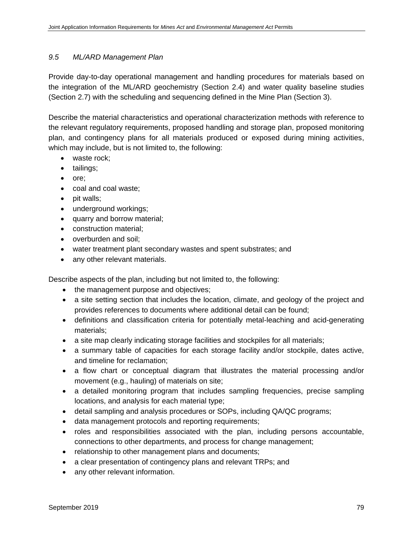#### *9.5 ML/ARD Management Plan*

Provide day-to-day operational management and handling procedures for materials based on the integration of the ML/ARD geochemistry (Section 2.4) and water quality baseline studies (Section 2.7) with the scheduling and sequencing defined in the Mine Plan (Section 3).

Describe the material characteristics and operational characterization methods with reference to the relevant regulatory requirements, proposed handling and storage plan, proposed monitoring plan, and contingency plans for all materials produced or exposed during mining activities, which may include, but is not limited to, the following:

- waste rock;
- tailings;
- ore;
- coal and coal waste;
- pit walls;
- underground workings;
- quarry and borrow material;
- construction material;
- overburden and soil;
- water treatment plant secondary wastes and spent substrates; and
- any other relevant materials.

Describe aspects of the plan, including but not limited to, the following:

- the management purpose and objectives;
- a site setting section that includes the location, climate, and geology of the project and provides references to documents where additional detail can be found;
- definitions and classification criteria for potentially metal-leaching and acid-generating materials;
- a site map clearly indicating storage facilities and stockpiles for all materials;
- a summary table of capacities for each storage facility and/or stockpile, dates active, and timeline for reclamation;
- a flow chart or conceptual diagram that illustrates the material processing and/or movement (e.g., hauling) of materials on site;
- a detailed monitoring program that includes sampling frequencies, precise sampling locations, and analysis for each material type;
- detail sampling and analysis procedures or SOPs, including QA/QC programs;
- data management protocols and reporting requirements;
- roles and responsibilities associated with the plan, including persons accountable, connections to other departments, and process for change management;
- relationship to other management plans and documents;
- a clear presentation of contingency plans and relevant TRPs; and
- any other relevant information.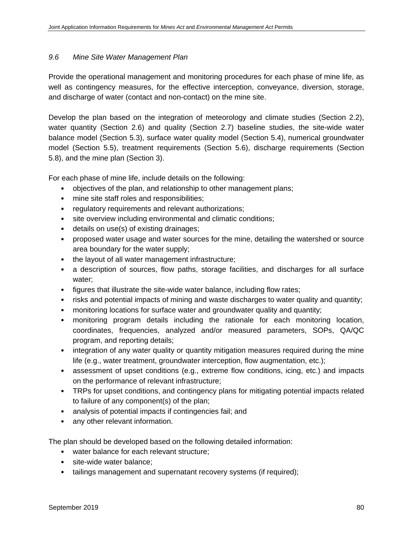#### *9.6 Mine Site Water Management Plan*

Provide the operational management and monitoring procedures for each phase of mine life, as well as contingency measures, for the effective interception, conveyance, diversion, storage, and discharge of water (contact and non-contact) on the mine site.

Develop the plan based on the integration of meteorology and climate studies (Section 2.2), water quantity (Section 2.6) and quality (Section 2.7) baseline studies, the site-wide water balance model (Section 5.3), surface water quality model (Section 5.4), numerical groundwater model (Section 5.5), treatment requirements (Section 5.6), discharge requirements (Section 5.8), and the mine plan (Section 3).

For each phase of mine life, include details on the following:

- objectives of the plan, and relationship to other management plans;
- mine site staff roles and responsibilities;
- regulatory requirements and relevant authorizations;
- site overview including environmental and climatic conditions;
- details on use(s) of existing drainages;
- proposed water usage and water sources for the mine, detailing the watershed or source area boundary for the water supply;
- the layout of all water management infrastructure;
- a description of sources, flow paths, storage facilities, and discharges for all surface water;
- figures that illustrate the site-wide water balance, including flow rates;
- risks and potential impacts of mining and waste discharges to water quality and quantity;
- monitoring locations for surface water and groundwater quality and quantity;
- monitoring program details including the rationale for each monitoring location, coordinates, frequencies, analyzed and/or measured parameters, SOPs, QA/QC program, and reporting details;
- integration of any water quality or quantity mitigation measures required during the mine life (e.g., water treatment, groundwater interception, flow augmentation, etc.);
- assessment of upset conditions (e.g., extreme flow conditions, icing, etc.) and impacts on the performance of relevant infrastructure;
- TRPs for upset conditions, and contingency plans for mitigating potential impacts related to failure of any component(s) of the plan;
- analysis of potential impacts if contingencies fail; and
- any other relevant information.

The plan should be developed based on the following detailed information:

- water balance for each relevant structure;
- site-wide water balance:
- tailings management and supernatant recovery systems (if required);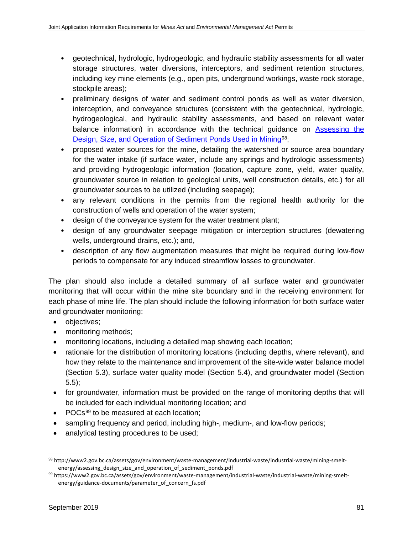- geotechnical, hydrologic, hydrogeologic, and hydraulic stability assessments for all water storage structures, water diversions, interceptors, and sediment retention structures, including key mine elements (e.g., open pits, underground workings, waste rock storage, stockpile areas);
- preliminary designs of water and sediment control ponds as well as water diversion, interception, and conveyance structures (consistent with the geotechnical, hydrologic, hydrogeological, and hydraulic stability assessments, and based on relevant water balance information) in accordance with the technical guidance on [Assessing the](http://www2.gov.bc.ca/assets/gov/environment/waste-management/industrial-waste/industrial-waste/mining-smelt-energy/assessing_design_size_and_operation_of_sediment_ponds.pdf)  [Design, Size, and Operation of Sediment Ponds Used in Mining](http://www2.gov.bc.ca/assets/gov/environment/waste-management/industrial-waste/industrial-waste/mining-smelt-energy/assessing_design_size_and_operation_of_sediment_ponds.pdf)<sup>98</sup>;
- proposed water sources for the mine, detailing the watershed or source area boundary for the water intake (if surface water, include any springs and hydrologic assessments) and providing hydrogeologic information (location, capture zone, yield, water quality, groundwater source in relation to geological units, well construction details, etc.) for all groundwater sources to be utilized (including seepage);
- any relevant conditions in the permits from the regional health authority for the construction of wells and operation of the water system;
- design of the conveyance system for the water treatment plant;
- design of any groundwater seepage mitigation or interception structures (dewatering wells, underground drains, etc.); and,
- description of any flow augmentation measures that might be required during low-flow periods to compensate for any induced streamflow losses to groundwater.

The plan should also include a detailed summary of all surface water and groundwater monitoring that will occur within the mine site boundary and in the receiving environment for each phase of mine life. The plan should include the following information for both surface water and groundwater monitoring:

- objectives;
- monitoring methods;
- monitoring locations, including a detailed map showing each location;
- rationale for the distribution of monitoring locations (including depths, where relevant), and how they relate to the maintenance and improvement of the site-wide water balance model (Section 5.3), surface water quality model (Section 5.4), and groundwater model (Section 5.5);
- for groundwater, information must be provided on the range of monitoring depths that will be included for each individual monitoring location; and
- POCs<sup>[99](#page-92-1)</sup> to be measured at each location;
- sampling frequency and period, including high-, medium-, and low-flow periods;
- analytical testing procedures to be used;

<span id="page-92-0"></span> <sup>98</sup> http://www2.gov.bc.ca/assets/gov/environment/waste-management/industrial-waste/industrial-waste/mining-smeltenergy/assessing\_design\_size\_and\_operation\_of\_sediment\_ponds.pdf

<span id="page-92-1"></span><sup>99</sup> https://www2.gov.bc.ca/assets/gov/environment/waste-management/industrial-waste/industrial-waste/mining-smeltenergy/guidance-documents/parameter\_of\_concern\_fs.pdf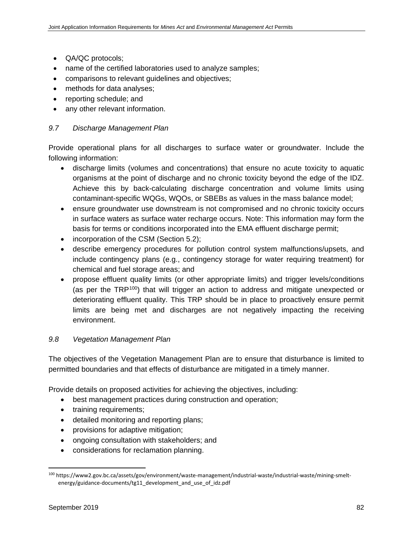- QA/QC protocols;
- name of the certified laboratories used to analyze samples;
- comparisons to relevant guidelines and objectives;
- methods for data analyses;
- reporting schedule; and
- any other relevant information.

# *9.7 Discharge Management Plan*

Provide operational plans for all discharges to surface water or groundwater. Include the following information:

- discharge limits (volumes and concentrations) that ensure no acute toxicity to aquatic organisms at the point of discharge and no chronic toxicity beyond the edge of the IDZ. Achieve this by back-calculating discharge concentration and volume limits using contaminant-specific WQGs, WQOs, or SBEBs as values in the mass balance model;
- ensure groundwater use downstream is not compromised and no chronic toxicity occurs in surface waters as surface water recharge occurs. Note: This information may form the basis for terms or conditions incorporated into the EMA effluent discharge permit;
- incorporation of the CSM (Section 5.2);
- describe emergency procedures for pollution control system malfunctions/upsets, and include contingency plans (e.g., contingency storage for water requiring treatment) for chemical and fuel storage areas; and
- propose effluent quality limits (or other appropriate limits) and trigger levels/conditions (as per the TRP[100\)](#page-93-0) that will trigger an action to address and mitigate unexpected or deteriorating effluent quality. This TRP should be in place to proactively ensure permit limits are being met and discharges are not negatively impacting the receiving environment.

#### *9.8 Vegetation Management Plan*

The objectives of the Vegetation Management Plan are to ensure that disturbance is limited to permitted boundaries and that effects of disturbance are mitigated in a timely manner.

Provide details on proposed activities for achieving the objectives, including:

- best management practices during construction and operation;
- training requirements;
- detailed monitoring and reporting plans;
- provisions for adaptive mitigation;
- ongoing consultation with stakeholders; and
- considerations for reclamation planning.

<span id="page-93-0"></span> <sup>100</sup> https://www2.gov.bc.ca/assets/gov/environment/waste-management/industrial-waste/industrial-waste/mining-smeltenergy/guidance-documents/tg11\_development\_and\_use\_of\_idz.pdf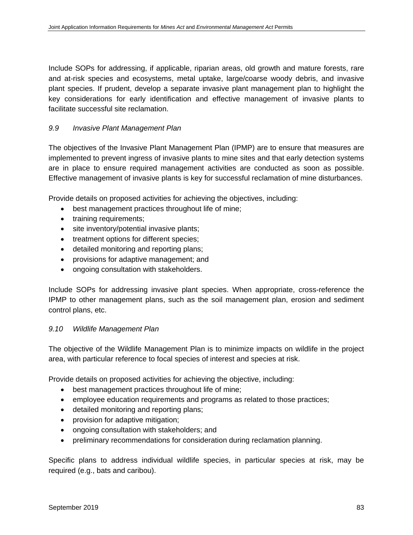Include SOPs for addressing, if applicable, riparian areas, old growth and mature forests, rare and at-risk species and ecosystems, metal uptake, large/coarse woody debris, and invasive plant species. If prudent, develop a separate invasive plant management plan to highlight the key considerations for early identification and effective management of invasive plants to facilitate successful site reclamation.

# *9.9 Invasive Plant Management Plan*

The objectives of the Invasive Plant Management Plan (IPMP) are to ensure that measures are implemented to prevent ingress of invasive plants to mine sites and that early detection systems are in place to ensure required management activities are conducted as soon as possible. Effective management of invasive plants is key for successful reclamation of mine disturbances.

Provide details on proposed activities for achieving the objectives, including:

- best management practices throughout life of mine;
- training requirements;
- site inventory/potential invasive plants;
- treatment options for different species;
- detailed monitoring and reporting plans;
- provisions for adaptive management; and
- ongoing consultation with stakeholders.

Include SOPs for addressing invasive plant species. When appropriate, cross-reference the IPMP to other management plans, such as the soil management plan, erosion and sediment control plans, etc.

#### *9.10 Wildlife Management Plan*

The objective of the Wildlife Management Plan is to minimize impacts on wildlife in the project area, with particular reference to focal species of interest and species at risk.

Provide details on proposed activities for achieving the objective, including:

- best management practices throughout life of mine;
- employee education requirements and programs as related to those practices;
- detailed monitoring and reporting plans;
- provision for adaptive mitigation;
- ongoing consultation with stakeholders; and
- preliminary recommendations for consideration during reclamation planning.

Specific plans to address individual wildlife species, in particular species at risk, may be required (e.g., bats and caribou).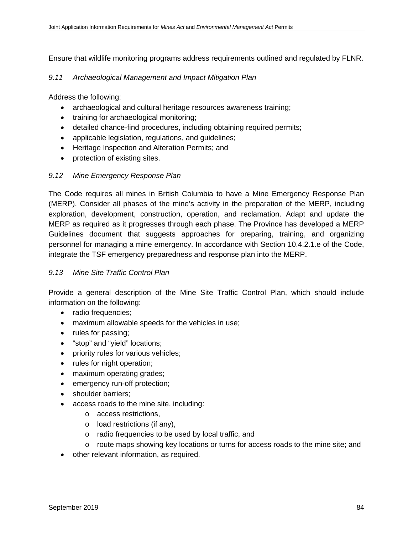Ensure that wildlife monitoring programs address requirements outlined and regulated by FLNR.

#### *9.11 Archaeological Management and Impact Mitigation Plan*

Address the following:

- archaeological and cultural heritage resources awareness training;
- training for archaeological monitoring;
- detailed chance-find procedures, including obtaining required permits;
- applicable legislation, regulations, and guidelines;
- Heritage Inspection and Alteration Permits; and
- protection of existing sites.

#### *9.12 Mine Emergency Response Plan*

The Code requires all mines in British Columbia to have a Mine Emergency Response Plan (MERP). Consider all phases of the mine's activity in the preparation of the MERP, including exploration, development, construction, operation, and reclamation. Adapt and update the MERP as required as it progresses through each phase. The Province has developed a MERP Guidelines document that suggests approaches for preparing, training, and organizing personnel for managing a mine emergency. In accordance with Section 10.4.2.1.e of the Code, integrate the TSF emergency preparedness and response plan into the MERP.

#### *9.13 Mine Site Traffic Control Plan*

Provide a general description of the Mine Site Traffic Control Plan, which should include information on the following:

- radio frequencies;
- maximum allowable speeds for the vehicles in use;
- rules for passing;
- "stop" and "yield" locations;
- priority rules for various vehicles;
- rules for night operation;
- maximum operating grades;
- emergency run-off protection;
- shoulder barriers;
- access roads to the mine site, including:
	- o access restrictions,
	- o load restrictions (if any),
	- o radio frequencies to be used by local traffic, and
	- o route maps showing key locations or turns for access roads to the mine site; and
- other relevant information, as required.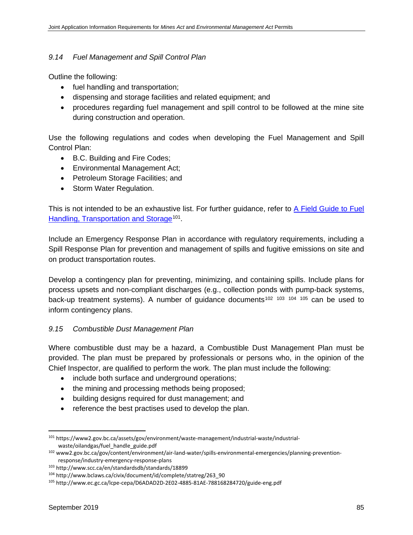#### *9.14 Fuel Management and Spill Control Plan*

Outline the following:

- fuel handling and transportation;
- dispensing and storage facilities and related equipment; and
- procedures regarding fuel management and spill control to be followed at the mine site during construction and operation.

Use the following regulations and codes when developing the Fuel Management and Spill Control Plan:

- B.C. Building and Fire Codes;
- Environmental Management Act;
- Petroleum Storage Facilities; and
- Storm Water Regulation.

This is not intended to be an exhaustive list. For further guidance, refer to [A Field Guide to Fuel](https://www2.gov.bc.ca/assets/gov/environment/waste-management/industrial-waste/industrial-waste/oilandgas/fuel_handle_guide.pdf)  [Handling, Transportation and Storage](https://www2.gov.bc.ca/assets/gov/environment/waste-management/industrial-waste/industrial-waste/oilandgas/fuel_handle_guide.pdf)<sup>101</sup>.

Include an Emergency Response Plan in accordance with regulatory requirements, including a Spill Response Plan for prevention and management of spills and fugitive emissions on site and on product transportation routes.

Develop a contingency plan for preventing, minimizing, and containing spills. Include plans for process upsets and non-compliant discharges (e.g., collection ponds with pump-back systems, back-up treatment systems). A number of guidance documents<sup>[102](#page-96-1) [103](#page-96-2) [104](#page-96-3) [105](#page-96-4)</sup> can be used to inform contingency plans.

# *9.15 Combustible Dust Management Plan*

Where combustible dust may be a hazard, a Combustible Dust Management Plan must be provided. The plan must be prepared by professionals or persons who, in the opinion of the Chief Inspector, are qualified to perform the work. The plan must include the following:

- include both surface and underground operations;
- the mining and processing methods being proposed;
- building designs required for dust management; and
- reference the best practises used to develop the plan.

<span id="page-96-0"></span> <sup>101</sup> https://www2.gov.bc.ca/assets/gov/environment/waste-management/industrial-waste/industrialwaste/oilandgas/fuel\_handle\_guide.pdf

<span id="page-96-1"></span><sup>102</sup> www2.gov.bc.ca/gov/content/environment/air-land-water/spills-environmental-emergencies/planning-preventionresponse/industry-emergency-response-plans

<span id="page-96-2"></span><sup>103</sup> http://www.scc.ca/en/standardsdb/standards/18899

<span id="page-96-3"></span><sup>104</sup> http://www.bclaws.ca/civix/document/id/complete/statreg/263\_90

<span id="page-96-4"></span><sup>105</sup> http://www.ec.gc.ca/lcpe-cepa/D6ADAD2D-2E02-4885-81AE-788168284720/guide-eng.pdf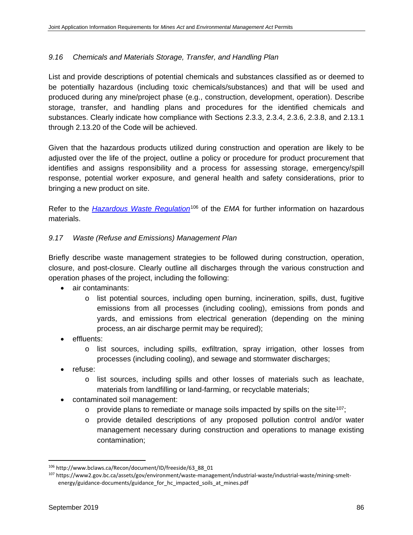# *9.16 Chemicals and Materials Storage, Transfer, and Handling Plan*

List and provide descriptions of potential chemicals and substances classified as or deemed to be potentially hazardous (including toxic chemicals/substances) and that will be used and produced during any mine/project phase (e.g., construction, development, operation). Describe storage, transfer, and handling plans and procedures for the identified chemicals and substances. Clearly indicate how compliance with Sections 2.3.3, 2.3.4, 2.3.6, 2.3.8, and 2.13.1 through 2.13.20 of the Code will be achieved.

Given that the hazardous products utilized during construction and operation are likely to be adjusted over the life of the project, outline a policy or procedure for product procurement that identifies and assigns responsibility and a process for assessing storage, emergency/spill response, potential worker exposure, and general health and safety considerations, prior to bringing a new product on site.

Refer to the *[Hazardous Waste Regulation](http://www.bclaws.ca/Recon/document/ID/freeside/63_88_01)*<sup>[106](#page-97-0)</sup> of the *EMA* for further information on hazardous materials.

# *9.17 Waste (Refuse and Emissions) Management Plan*

Briefly describe waste management strategies to be followed during construction, operation, closure, and post-closure. Clearly outline all discharges through the various construction and operation phases of the project, including the following:

- air contaminants:
	- o list potential sources, including open burning, incineration, spills, dust, fugitive emissions from all processes (including cooling), emissions from ponds and yards, and emissions from electrical generation (depending on the mining process, an air discharge permit may be required);
- effluents:
	- o list sources, including spills, exfiltration, spray irrigation, other losses from processes (including cooling), and sewage and stormwater discharges;
- refuse:
	- o list sources, including spills and other losses of materials such as leachate, materials from landfilling or land-farming, or recyclable materials;
- contaminated soil management:
	- $\circ$  provide plans to remediate or manage soils impacted by spills on the site<sup>[107](#page-97-1)</sup>;
	- o provide detailed descriptions of any proposed pollution control and/or water management necessary during construction and operations to manage existing contamination;

<span id="page-97-0"></span> <sup>106</sup> http://www.bclaws.ca/Recon/document/ID/freeside/63\_88\_01

<span id="page-97-1"></span><sup>107</sup> https://www2.gov.bc.ca/assets/gov/environment/waste-management/industrial-waste/industrial-waste/mining-smeltenergy/guidance-documents/guidance\_for\_hc\_impacted\_soils\_at\_mines.pdf